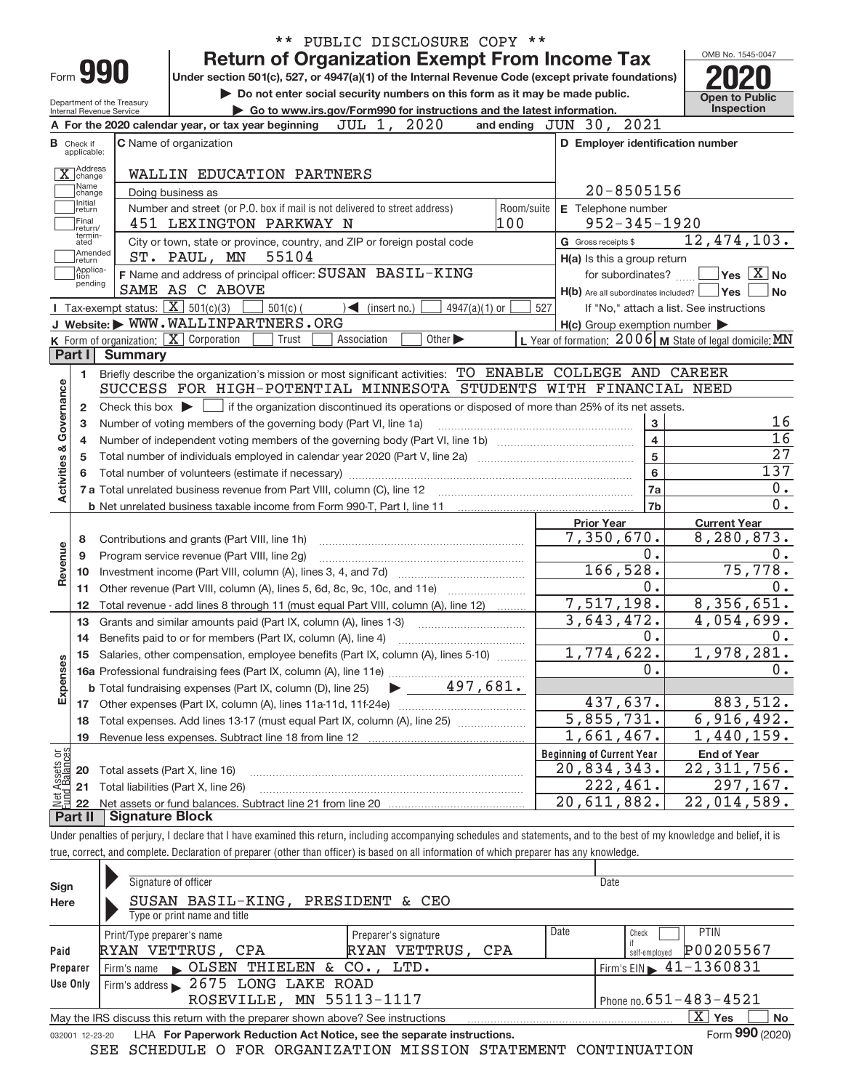| ** PUBLIC DISCLOSURE COPY ** |                                  |                                                               |                                                                                                                                                                            |                                                           |                                          |  |  |  |
|------------------------------|----------------------------------|---------------------------------------------------------------|----------------------------------------------------------------------------------------------------------------------------------------------------------------------------|-----------------------------------------------------------|------------------------------------------|--|--|--|
|                              |                                  |                                                               | <b>Return of Organization Exempt From Income Tax</b>                                                                                                                       |                                                           | OMB No. 1545-0047                        |  |  |  |
|                              |                                  | Form <b>990</b>                                               | Under section 501(c), 527, or 4947(a)(1) of the Internal Revenue Code (except private foundations)                                                                         |                                                           |                                          |  |  |  |
|                              |                                  |                                                               | Do not enter social security numbers on this form as it may be made public.                                                                                                |                                                           | <b>Open to Public</b>                    |  |  |  |
|                              |                                  | Department of the Treasury<br>Internal Revenue Service        | Go to www.irs.gov/Form990 for instructions and the latest information.                                                                                                     |                                                           | <b>Inspection</b>                        |  |  |  |
|                              |                                  |                                                               | 2020<br>JUL 1,<br>A For the 2020 calendar year, or tax year beginning                                                                                                      | and ending $JUN$ 30, $2021$                               |                                          |  |  |  |
|                              | <b>B</b> Check if<br>applicable: |                                                               | <b>C</b> Name of organization                                                                                                                                              | D Employer identification number                          |                                          |  |  |  |
|                              | Address<br>change                |                                                               | WALLIN EDUCATION PARTNERS                                                                                                                                                  |                                                           |                                          |  |  |  |
|                              | Name<br>change                   |                                                               | Doing business as                                                                                                                                                          | $20 - 8505156$                                            |                                          |  |  |  |
|                              | Initial<br>return                |                                                               | Number and street (or P.O. box if mail is not delivered to street address)<br>Room/suite                                                                                   | E Telephone number                                        |                                          |  |  |  |
|                              | Final<br>return/                 |                                                               | 100<br>451 LEXINGTON PARKWAY N                                                                                                                                             | $952 - 345 - 1920$                                        |                                          |  |  |  |
|                              | termin-<br>ated                  |                                                               | City or town, state or province, country, and ZIP or foreign postal code                                                                                                   | G Gross receipts \$                                       | 12, 474, 103.                            |  |  |  |
|                              | Amended<br>return                |                                                               | 55104<br>ST. PAUL, MN                                                                                                                                                      | H(a) Is this a group return                               |                                          |  |  |  |
|                              | Applica-<br>tion<br>pending      |                                                               | F Name and address of principal officer: SUSAN BASIL-KING                                                                                                                  | for subordinates?                                         | $\sqrt{}$ Yes $\sqrt{}$ X $\sqrt{}$ No   |  |  |  |
|                              |                                  |                                                               | SAME AS C ABOVE                                                                                                                                                            | $H(b)$ Are all subordinates included? $\Box$ Yes          | No                                       |  |  |  |
|                              |                                  | <b>I</b> Tax-exempt status: $\overline{\mathbf{X}}$ 501(c)(3) | $501(c)$ (<br>$\sum$ (insert no.)<br>$4947(a)(1)$ or                                                                                                                       | 527                                                       | If "No," attach a list. See instructions |  |  |  |
|                              |                                  |                                                               | J Website: WWW.WALLINPARTNERS.ORG                                                                                                                                          | $H(c)$ Group exemption number $\blacktriangleright$       |                                          |  |  |  |
|                              |                                  | K Form of organization: $\boxed{\mathbf{X}}$ Corporation      | Other $\blacktriangleright$<br>Association<br>Trust                                                                                                                        | L Year of formation: $2006$ M State of legal domicile: MN |                                          |  |  |  |
|                              | Part I                           | <b>Summary</b>                                                |                                                                                                                                                                            |                                                           |                                          |  |  |  |
|                              | 1.                               |                                                               | Briefly describe the organization's mission or most significant activities: TO ENABLE COLLEGE AND CAREER                                                                   |                                                           |                                          |  |  |  |
|                              |                                  |                                                               | SUCCESS FOR HIGH-POTENTIAL MINNESOTA STUDENTS WITH FINANCIAL NEED                                                                                                          |                                                           |                                          |  |  |  |
|                              | 2                                |                                                               | Check this box $\blacktriangleright$ $\Box$ if the organization discontinued its operations or disposed of more than 25% of its net assets.                                |                                                           |                                          |  |  |  |
| Governance                   | 3                                |                                                               | Number of voting members of the governing body (Part VI, line 1a)                                                                                                          | 3                                                         | 16<br>$\overline{16}$                    |  |  |  |
|                              | 4                                |                                                               |                                                                                                                                                                            | $\overline{\mathbf{4}}$<br>5                              | 27                                       |  |  |  |
| <b>Activities &amp;</b>      | 5                                |                                                               |                                                                                                                                                                            | 6                                                         | 137                                      |  |  |  |
|                              | 6                                |                                                               |                                                                                                                                                                            | 7a                                                        | 0.                                       |  |  |  |
|                              |                                  |                                                               |                                                                                                                                                                            | 7 <sub>b</sub>                                            | 0.                                       |  |  |  |
|                              |                                  |                                                               |                                                                                                                                                                            | <b>Prior Year</b>                                         | <b>Current Year</b>                      |  |  |  |
|                              | 8                                |                                                               | Contributions and grants (Part VIII, line 1h)                                                                                                                              | 7,350,670.                                                | 8,280,873.                               |  |  |  |
|                              | 9                                |                                                               | Program service revenue (Part VIII, line 2g)                                                                                                                               | 0.                                                        | 0.                                       |  |  |  |
| Revenue                      | 10                               |                                                               |                                                                                                                                                                            | 166,528.                                                  | 75,778.                                  |  |  |  |
|                              |                                  |                                                               | 11 Other revenue (Part VIII, column (A), lines 5, 6d, 8c, 9c, 10c, and 11e)                                                                                                | 0.                                                        | 0.                                       |  |  |  |
|                              | 12                               |                                                               | Total revenue - add lines 8 through 11 (must equal Part VIII, column (A), line 12)                                                                                         | 7,517,198.                                                | 8,356,651.                               |  |  |  |
|                              | 13                               |                                                               | Grants and similar amounts paid (Part IX, column (A), lines 1-3)                                                                                                           | 3,643,472.                                                | 4,054,699.                               |  |  |  |
|                              |                                  |                                                               |                                                                                                                                                                            | 0.                                                        | 0.                                       |  |  |  |
|                              |                                  |                                                               | 15 Salaries, other compensation, employee benefits (Part IX, column (A), lines 5-10)                                                                                       | 1,774,622.                                                | 1,978,281.                               |  |  |  |
| Expenses                     |                                  |                                                               |                                                                                                                                                                            | 0.                                                        | 0.                                       |  |  |  |
|                              |                                  |                                                               | 497,681.<br><b>b</b> Total fundraising expenses (Part IX, column (D), line 25)                                                                                             |                                                           |                                          |  |  |  |
|                              |                                  |                                                               |                                                                                                                                                                            | 437,637.                                                  | 883,512.                                 |  |  |  |
|                              | 18                               |                                                               | Total expenses. Add lines 13-17 (must equal Part IX, column (A), line 25)                                                                                                  | $\overline{5,855,731}$ .                                  | 6,916,492.                               |  |  |  |
|                              | 19                               |                                                               |                                                                                                                                                                            | 1,661,467.                                                | 1,440,159.                               |  |  |  |
| t Assets or<br>d Balances    |                                  |                                                               |                                                                                                                                                                            | <b>Beginning of Current Year</b>                          | <b>End of Year</b>                       |  |  |  |
|                              | 20                               | Total assets (Part X, line 16)                                |                                                                                                                                                                            | $\overline{20,834,343}$ .                                 | 22, 311, 756.                            |  |  |  |
|                              | 21                               |                                                               | Total liabilities (Part X, line 26)                                                                                                                                        | 222,461.                                                  | 297, 167.                                |  |  |  |
| $rac{1}{2}$                  | 22                               |                                                               |                                                                                                                                                                            | 20,611,882.                                               | 22,014,589.                              |  |  |  |
|                              | Part II                          | <b>Signature Block</b>                                        |                                                                                                                                                                            |                                                           |                                          |  |  |  |
|                              |                                  |                                                               | Under penalties of perjury, I declare that I have examined this return, including accompanying schedules and statements, and to the best of my knowledge and belief, it is |                                                           |                                          |  |  |  |

true, correct, and complete. Declaration of preparer (other than officer) is based on all information of which preparer has any knowledge.

| Sign                                                     | Signature of officer                                                            |                      |      | Date                                        |  |  |  |
|----------------------------------------------------------|---------------------------------------------------------------------------------|----------------------|------|---------------------------------------------|--|--|--|
| Here                                                     | SUSAN BASIL-KING, PRESIDENT & CEO<br>Type or print name and title               |                      |      |                                             |  |  |  |
|                                                          |                                                                                 |                      |      |                                             |  |  |  |
|                                                          | Print/Type preparer's name                                                      | Preparer's signature | Date | <b>PTIN</b><br>Check                        |  |  |  |
| Paid                                                     | RYAN VETTRUS, CPA                                                               | RYAN VETTRUS, CPA    |      | P00205567<br>self-emploved                  |  |  |  |
| Preparer                                                 | Firm's name CLSEN THIELEN & CO., LTD.                                           |                      |      | Firm's EIN $\blacktriangleright$ 41-1360831 |  |  |  |
| Use Only                                                 | Firm's address > 2675 LONG LAKE ROAD                                            |                      |      |                                             |  |  |  |
| ROSEVILLE, MN 55113-1117<br>Phone no. $651 - 483 - 4521$ |                                                                                 |                      |      |                                             |  |  |  |
|                                                          | May the IRS discuss this return with the preparer shown above? See instructions |                      |      | $\mathbf{X}$<br>Yes<br>No                   |  |  |  |
| 032001 12-23-20                                          | LHA For Paperwork Reduction Act Notice, see the separate instructions.          |                      |      | Form 990 (2020)                             |  |  |  |

SEE SCHEDULE O FOR ORGANIZATION MISSION STATEMENT CONTINUATION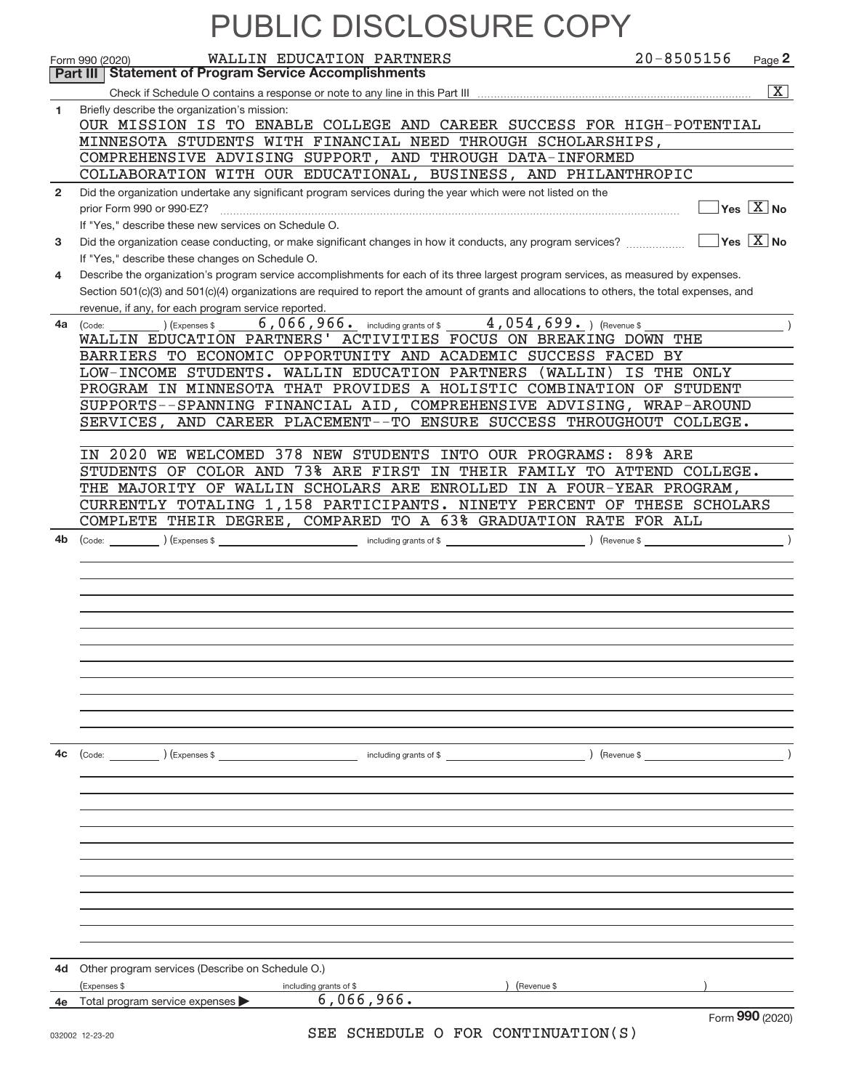|              | PUBLIC DISCLOSURE COP'                                                                                                                                                                  |                |                                          |  |  |  |  |  |
|--------------|-----------------------------------------------------------------------------------------------------------------------------------------------------------------------------------------|----------------|------------------------------------------|--|--|--|--|--|
|              | WALLIN EDUCATION PARTNERS<br>Form 990 (2020)                                                                                                                                            | $20 - 8505156$ | Page 2                                   |  |  |  |  |  |
|              | Part III   Statement of Program Service Accomplishments                                                                                                                                 |                |                                          |  |  |  |  |  |
|              |                                                                                                                                                                                         |                | $\overline{\mathbf{X}}$                  |  |  |  |  |  |
| 1            | Briefly describe the organization's mission:                                                                                                                                            |                |                                          |  |  |  |  |  |
|              | OUR MISSION IS TO ENABLE COLLEGE AND CAREER SUCCESS FOR HIGH-POTENTIAL<br>MINNESOTA STUDENTS WITH FINANCIAL NEED THROUGH SCHOLARSHIPS,                                                  |                |                                          |  |  |  |  |  |
|              | COMPREHENSIVE ADVISING SUPPORT, AND THROUGH DATA-INFORMED                                                                                                                               |                |                                          |  |  |  |  |  |
|              | COLLABORATION WITH OUR EDUCATIONAL, BUSINESS, AND PHILANTHROPIC                                                                                                                         |                |                                          |  |  |  |  |  |
| $\mathbf{2}$ | Did the organization undertake any significant program services during the year which were not listed on the                                                                            |                |                                          |  |  |  |  |  |
|              | prior Form 990 or 990-EZ?                                                                                                                                                               |                | $\sqrt{}$ Yes $\sqrt{}$ X $\sqrt{}$ No   |  |  |  |  |  |
|              | If "Yes," describe these new services on Schedule O.                                                                                                                                    |                |                                          |  |  |  |  |  |
| 3            | Did the organization cease conducting, or make significant changes in how it conducts, any program services?                                                                            |                | $\sqrt{}$ Yes $\sqrt{}\,\overline{X}$ No |  |  |  |  |  |
| 4            | If "Yes," describe these changes on Schedule O.<br>Describe the organization's program service accomplishments for each of its three largest program services, as measured by expenses. |                |                                          |  |  |  |  |  |
|              | Section 501(c)(3) and 501(c)(4) organizations are required to report the amount of grants and allocations to others, the total expenses, and                                            |                |                                          |  |  |  |  |  |
|              | revenue, if any, for each program service reported.                                                                                                                                     |                |                                          |  |  |  |  |  |
| 4a           | $4,054,699.$ (Revenue \$<br>$6,066,966.$ including grants of \$<br>$(Ex)$ (Expenses \$<br>(Code:                                                                                        |                |                                          |  |  |  |  |  |
|              | WALLIN EDUCATION PARTNERS' ACTIVITIES FOCUS ON BREAKING DOWN THE                                                                                                                        |                |                                          |  |  |  |  |  |
|              | BARRIERS TO ECONOMIC OPPORTUNITY AND ACADEMIC SUCCESS FACED BY                                                                                                                          |                |                                          |  |  |  |  |  |
|              | LOW-INCOME STUDENTS. WALLIN EDUCATION PARTNERS (WALLIN) IS THE ONLY                                                                                                                     |                |                                          |  |  |  |  |  |
|              | PROGRAM IN MINNESOTA THAT PROVIDES A HOLISTIC COMBINATION OF STUDENT<br>SUPPORTS--SPANNING FINANCIAL AID, COMPREHENSIVE ADVISING, WRAP-AROUND                                           |                |                                          |  |  |  |  |  |
|              | AND CAREER PLACEMENT--TO ENSURE SUCCESS THROUGHOUT COLLEGE.<br>SERVICES,                                                                                                                |                |                                          |  |  |  |  |  |
|              |                                                                                                                                                                                         |                |                                          |  |  |  |  |  |
|              | IN 2020 WE WELCOMED 378 NEW STUDENTS INTO OUR PROGRAMS: 89% ARE                                                                                                                         |                |                                          |  |  |  |  |  |
|              | STUDENTS OF COLOR AND 73% ARE FIRST IN THEIR FAMILY TO ATTEND COLLEGE.                                                                                                                  |                |                                          |  |  |  |  |  |
|              | THE MAJORITY OF WALLIN SCHOLARS ARE ENROLLED IN A FOUR-YEAR PROGRAM,                                                                                                                    |                |                                          |  |  |  |  |  |
|              | CURRENTLY TOTALING 1,158 PARTICIPANTS. NINETY PERCENT OF THESE SCHOLARS                                                                                                                 |                |                                          |  |  |  |  |  |
|              | COMPLETE THEIR DEGREE, COMPARED TO A 63% GRADUATION RATE FOR ALL                                                                                                                        |                |                                          |  |  |  |  |  |
| 4b           | including grants of \$<br>(Expenses \$<br>(Code:                                                                                                                                        | ) (Revenue \$  |                                          |  |  |  |  |  |
|              |                                                                                                                                                                                         |                |                                          |  |  |  |  |  |
|              |                                                                                                                                                                                         |                |                                          |  |  |  |  |  |
|              |                                                                                                                                                                                         |                |                                          |  |  |  |  |  |
|              |                                                                                                                                                                                         |                |                                          |  |  |  |  |  |
|              |                                                                                                                                                                                         |                |                                          |  |  |  |  |  |
|              |                                                                                                                                                                                         |                |                                          |  |  |  |  |  |
|              |                                                                                                                                                                                         |                |                                          |  |  |  |  |  |
|              |                                                                                                                                                                                         |                |                                          |  |  |  |  |  |
|              |                                                                                                                                                                                         |                |                                          |  |  |  |  |  |
|              |                                                                                                                                                                                         |                |                                          |  |  |  |  |  |
| 4c           | $\left(\text{Code:}\right)$ $\left(\text{Expenses $}\right)$<br>$\blacksquare$ including grants of \$ $\blacksquare$ (Revenue \$ $\blacksquare$ )                                       |                |                                          |  |  |  |  |  |
|              |                                                                                                                                                                                         |                |                                          |  |  |  |  |  |
|              |                                                                                                                                                                                         |                |                                          |  |  |  |  |  |
|              |                                                                                                                                                                                         |                |                                          |  |  |  |  |  |
|              |                                                                                                                                                                                         |                |                                          |  |  |  |  |  |
|              |                                                                                                                                                                                         |                |                                          |  |  |  |  |  |
|              |                                                                                                                                                                                         |                |                                          |  |  |  |  |  |
|              |                                                                                                                                                                                         |                |                                          |  |  |  |  |  |
|              |                                                                                                                                                                                         |                |                                          |  |  |  |  |  |
|              |                                                                                                                                                                                         |                |                                          |  |  |  |  |  |
|              |                                                                                                                                                                                         |                |                                          |  |  |  |  |  |
|              |                                                                                                                                                                                         |                |                                          |  |  |  |  |  |
| 4d           | Other program services (Describe on Schedule O.)                                                                                                                                        |                |                                          |  |  |  |  |  |
|              | (Expenses \$<br>) (Revenue \$<br>including grants of \$<br>6,066,966.                                                                                                                   |                |                                          |  |  |  |  |  |
| 4e           | Total program service expenses                                                                                                                                                          |                | Form 990 (2020)                          |  |  |  |  |  |
|              |                                                                                                                                                                                         |                |                                          |  |  |  |  |  |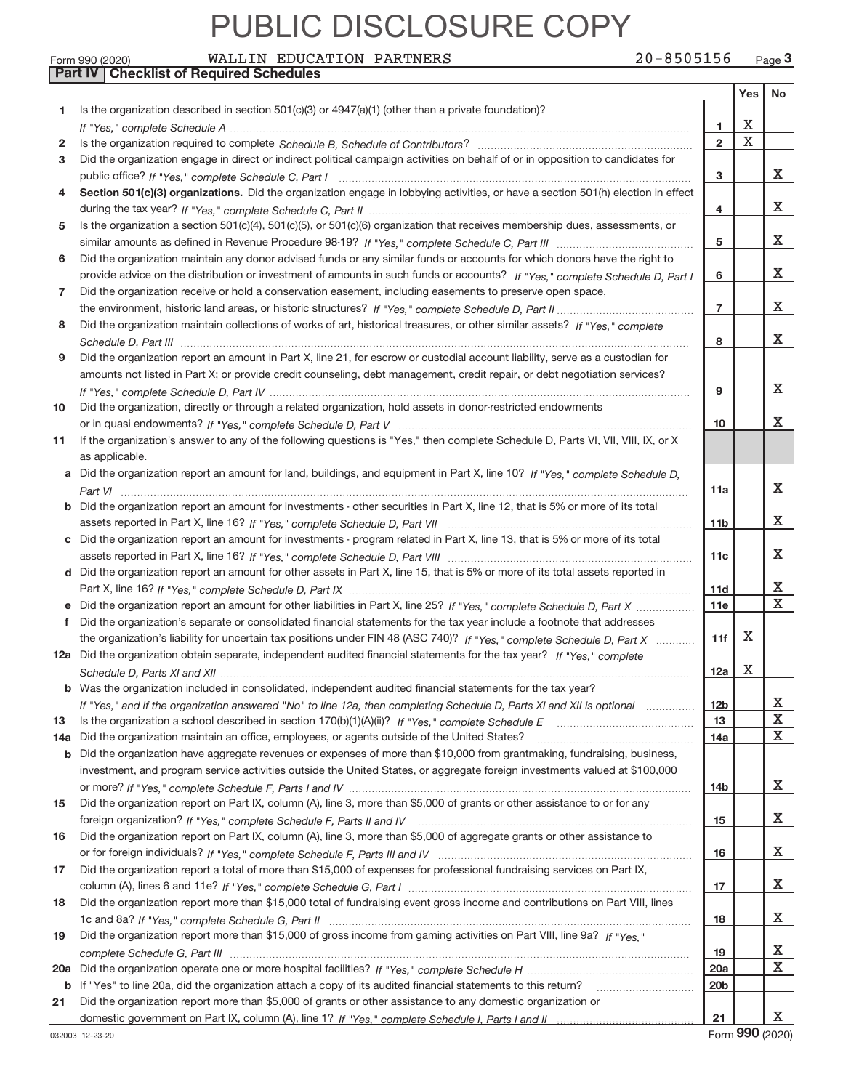**Part IV Checklist of Required Schedules**

| Form 990 (2020) |  | WALLIN EDUCATION PARTNERS | $20 - 8505156$ | Page 3 |
|-----------------|--|---------------------------|----------------|--------|
|-----------------|--|---------------------------|----------------|--------|

|     |                                                                                                                                                                                                                                                   |                 |                         | Yes   No                |
|-----|---------------------------------------------------------------------------------------------------------------------------------------------------------------------------------------------------------------------------------------------------|-----------------|-------------------------|-------------------------|
| 1   | Is the organization described in section $501(c)(3)$ or $4947(a)(1)$ (other than a private foundation)?                                                                                                                                           |                 |                         |                         |
|     |                                                                                                                                                                                                                                                   | 1               | Х                       |                         |
| 2   |                                                                                                                                                                                                                                                   | $\overline{2}$  | $\overline{\mathbf{x}}$ |                         |
| 3   | Did the organization engage in direct or indirect political campaign activities on behalf of or in opposition to candidates for                                                                                                                   |                 |                         |                         |
|     |                                                                                                                                                                                                                                                   | 3               |                         | X                       |
| 4   | Section 501(c)(3) organizations. Did the organization engage in lobbying activities, or have a section 501(h) election in effect                                                                                                                  |                 |                         |                         |
|     |                                                                                                                                                                                                                                                   | 4               |                         | X                       |
| 5   | Is the organization a section 501(c)(4), 501(c)(5), or 501(c)(6) organization that receives membership dues, assessments, or                                                                                                                      |                 |                         |                         |
|     |                                                                                                                                                                                                                                                   | 5               |                         | X                       |
| 6   | Did the organization maintain any donor advised funds or any similar funds or accounts for which donors have the right to                                                                                                                         |                 |                         |                         |
|     | provide advice on the distribution or investment of amounts in such funds or accounts? If "Yes," complete Schedule D, Part I                                                                                                                      | 6               |                         | X                       |
| 7   | Did the organization receive or hold a conservation easement, including easements to preserve open space,                                                                                                                                         |                 |                         |                         |
|     |                                                                                                                                                                                                                                                   | $\overline{7}$  |                         | X                       |
| 8   | Did the organization maintain collections of works of art, historical treasures, or other similar assets? If "Yes," complete                                                                                                                      |                 |                         |                         |
|     |                                                                                                                                                                                                                                                   | 8               |                         | X                       |
| 9   | Did the organization report an amount in Part X, line 21, for escrow or custodial account liability, serve as a custodian for                                                                                                                     |                 |                         |                         |
|     | amounts not listed in Part X; or provide credit counseling, debt management, credit repair, or debt negotiation services?                                                                                                                         |                 |                         |                         |
|     |                                                                                                                                                                                                                                                   | 9               |                         | X.                      |
| 10  | Did the organization, directly or through a related organization, hold assets in donor-restricted endowments                                                                                                                                      |                 |                         |                         |
|     |                                                                                                                                                                                                                                                   | 10              |                         | X.                      |
| 11  | If the organization's answer to any of the following questions is "Yes," then complete Schedule D, Parts VI, VII, VIII, IX, or X                                                                                                                  |                 |                         |                         |
|     | as applicable.                                                                                                                                                                                                                                    |                 |                         |                         |
|     | Did the organization report an amount for land, buildings, and equipment in Part X, line 10? If "Yes," complete Schedule D.                                                                                                                       |                 |                         |                         |
|     |                                                                                                                                                                                                                                                   | 11a             |                         | X                       |
| b   | Did the organization report an amount for investments - other securities in Part X, line 12, that is 5% or more of its total                                                                                                                      |                 |                         |                         |
|     |                                                                                                                                                                                                                                                   | 11b             |                         | X                       |
|     | c Did the organization report an amount for investments - program related in Part X, line 13, that is 5% or more of its total                                                                                                                     |                 |                         | X.                      |
|     |                                                                                                                                                                                                                                                   | 11c             |                         |                         |
|     | d Did the organization report an amount for other assets in Part X, line 15, that is 5% or more of its total assets reported in                                                                                                                   |                 |                         | X                       |
|     |                                                                                                                                                                                                                                                   | 11d             |                         | $\overline{\mathtt{x}}$ |
|     |                                                                                                                                                                                                                                                   | 11e             |                         |                         |
| f   | Did the organization's separate or consolidated financial statements for the tax year include a footnote that addresses                                                                                                                           | 11f             | х                       |                         |
|     | the organization's liability for uncertain tax positions under FIN 48 (ASC 740)? If "Yes," complete Schedule D, Part X<br>12a Did the organization obtain separate, independent audited financial statements for the tax year? If "Yes," complete |                 |                         |                         |
|     |                                                                                                                                                                                                                                                   | 12a             | х                       |                         |
|     | <b>b</b> Was the organization included in consolidated, independent audited financial statements for the tax year?                                                                                                                                |                 |                         |                         |
|     |                                                                                                                                                                                                                                                   | 12 <sub>b</sub> |                         |                         |
| 13  | If "Yes," and if the organization answered "No" to line 12a, then completing Schedule D, Parts XI and XII is optional                                                                                                                             | 13              |                         | ∡⊾<br>X                 |
| 14a | Did the organization maintain an office, employees, or agents outside of the United States?                                                                                                                                                       | 14a             |                         | X                       |
| b   | Did the organization have aggregate revenues or expenses of more than \$10,000 from grantmaking, fundraising, business,                                                                                                                           |                 |                         |                         |
|     | investment, and program service activities outside the United States, or aggregate foreign investments valued at \$100,000                                                                                                                        |                 |                         |                         |
|     |                                                                                                                                                                                                                                                   | 14b             |                         | X                       |
| 15  | Did the organization report on Part IX, column (A), line 3, more than \$5,000 of grants or other assistance to or for any                                                                                                                         |                 |                         |                         |
|     |                                                                                                                                                                                                                                                   | 15              |                         | X                       |
| 16  | Did the organization report on Part IX, column (A), line 3, more than \$5,000 of aggregate grants or other assistance to                                                                                                                          |                 |                         |                         |
|     |                                                                                                                                                                                                                                                   | 16              |                         | X                       |
| 17  | Did the organization report a total of more than \$15,000 of expenses for professional fundraising services on Part IX,                                                                                                                           |                 |                         |                         |
|     |                                                                                                                                                                                                                                                   | 17              |                         | X                       |
| 18  | Did the organization report more than \$15,000 total of fundraising event gross income and contributions on Part VIII, lines                                                                                                                      |                 |                         |                         |
|     |                                                                                                                                                                                                                                                   | 18              |                         | X                       |
| 19  | Did the organization report more than \$15,000 of gross income from gaming activities on Part VIII, line 9a? If "Yes."                                                                                                                            |                 |                         |                         |
|     |                                                                                                                                                                                                                                                   | 19              |                         | X                       |
| 20a |                                                                                                                                                                                                                                                   | 20a             |                         | X                       |
| b   | If "Yes" to line 20a, did the organization attach a copy of its audited financial statements to this return?                                                                                                                                      | 20 <sub>b</sub> |                         |                         |
| 21  | Did the organization report more than \$5,000 of grants or other assistance to any domestic organization or                                                                                                                                       |                 |                         |                         |
|     |                                                                                                                                                                                                                                                   | 21              |                         | x.                      |
|     |                                                                                                                                                                                                                                                   |                 |                         |                         |

Form 990 (2020)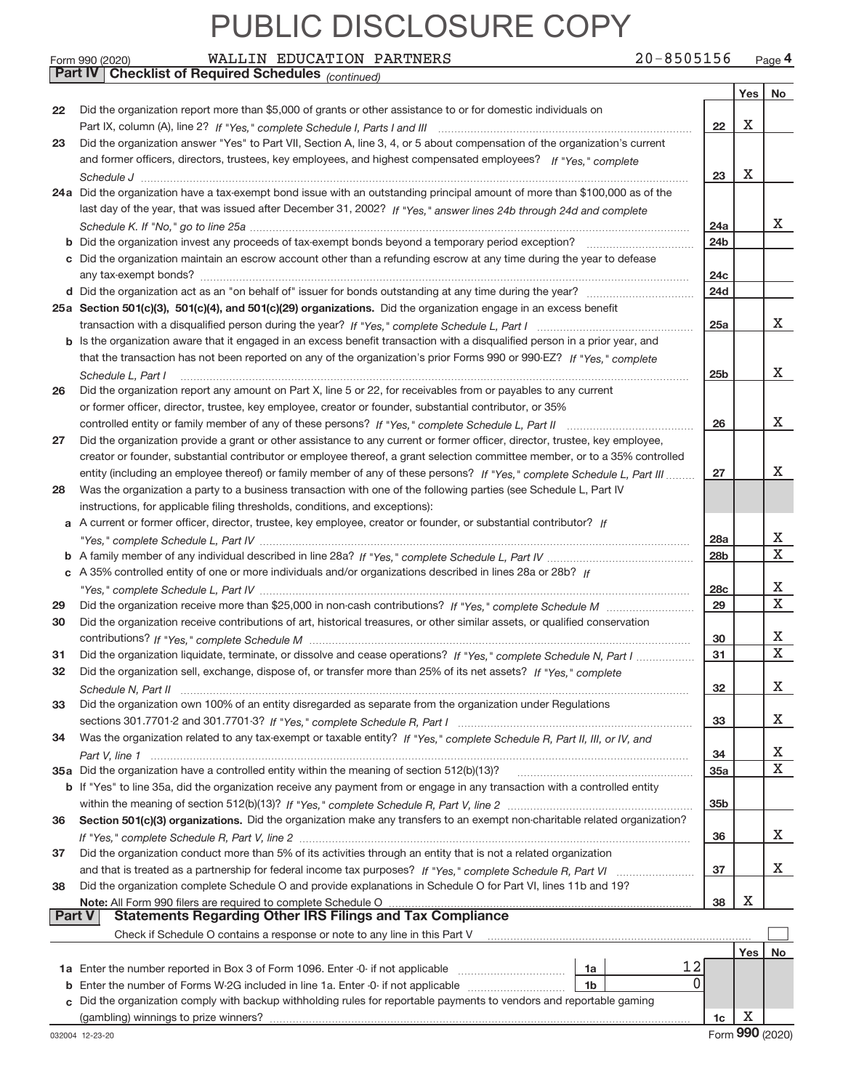|               | Part IV   Checklist of Required Schedules (continued)                                                                        |                 |     |             |
|---------------|------------------------------------------------------------------------------------------------------------------------------|-----------------|-----|-------------|
|               |                                                                                                                              |                 | Yes | No          |
| 22            | Did the organization report more than \$5,000 of grants or other assistance to or for domestic individuals on                |                 |     |             |
|               |                                                                                                                              | 22              | X   |             |
|               | Did the organization answer "Yes" to Part VII, Section A, line 3, 4, or 5 about compensation of the organization's current   |                 |     |             |
| 23            |                                                                                                                              |                 |     |             |
|               | and former officers, directors, trustees, key employees, and highest compensated employees? If "Yes," complete               |                 | X   |             |
|               |                                                                                                                              | 23              |     |             |
|               | 24a Did the organization have a tax-exempt bond issue with an outstanding principal amount of more than \$100,000 as of the  |                 |     |             |
|               | last day of the year, that was issued after December 31, 2002? If "Yes," answer lines 24b through 24d and complete           |                 |     |             |
|               |                                                                                                                              | 24a             |     | X.          |
|               |                                                                                                                              | 24b             |     |             |
|               | c Did the organization maintain an escrow account other than a refunding escrow at any time during the year to defease       |                 |     |             |
|               |                                                                                                                              | 24 <sub>c</sub> |     |             |
|               |                                                                                                                              | 24d             |     |             |
|               | 25a Section 501(c)(3), 501(c)(4), and 501(c)(29) organizations. Did the organization engage in an excess benefit             |                 |     |             |
|               |                                                                                                                              | 25a             |     | X           |
|               | b Is the organization aware that it engaged in an excess benefit transaction with a disqualified person in a prior year, and |                 |     |             |
|               | that the transaction has not been reported on any of the organization's prior Forms 990 or 990-EZ? If "Yes," complete        |                 |     |             |
|               | Schedule L, Part I                                                                                                           | 25 <sub>b</sub> |     | X           |
| 26            | Did the organization report any amount on Part X, line 5 or 22, for receivables from or payables to any current              |                 |     |             |
|               | or former officer, director, trustee, key employee, creator or founder, substantial contributor, or 35%                      |                 |     |             |
|               |                                                                                                                              | 26              |     | X           |
|               |                                                                                                                              |                 |     |             |
| 27            | Did the organization provide a grant or other assistance to any current or former officer, director, trustee, key employee,  |                 |     |             |
|               | creator or founder, substantial contributor or employee thereof, a grant selection committee member, or to a 35% controlled  |                 |     | x           |
|               | entity (including an employee thereof) or family member of any of these persons? If "Yes," complete Schedule L, Part III     | 27              |     |             |
| 28            | Was the organization a party to a business transaction with one of the following parties (see Schedule L, Part IV            |                 |     |             |
|               | instructions, for applicable filing thresholds, conditions, and exceptions):                                                 |                 |     |             |
|               | a A current or former officer, director, trustee, key employee, creator or founder, or substantial contributor? If           |                 |     |             |
|               |                                                                                                                              | 28a             |     | x           |
|               |                                                                                                                              | 28b             |     | $\mathbf X$ |
|               | c A 35% controlled entity of one or more individuals and/or organizations described in lines 28a or 28b? If                  |                 |     |             |
|               |                                                                                                                              | 28c             |     | x           |
| 29            |                                                                                                                              | 29              |     | $\mathbf X$ |
| 30            | Did the organization receive contributions of art, historical treasures, or other similar assets, or qualified conservation  |                 |     |             |
|               |                                                                                                                              | 30              |     | X           |
| 31            | Did the organization liquidate, terminate, or dissolve and cease operations? If "Yes," complete Schedule N, Part I           | 31              |     | $\mathbf X$ |
| 32            | Did the organization sell, exchange, dispose of, or transfer more than 25% of its net assets? If "Yes," complete             |                 |     |             |
|               |                                                                                                                              | 32              |     | х           |
| 33            | Did the organization own 100% of an entity disregarded as separate from the organization under Regulations                   |                 |     |             |
|               |                                                                                                                              | 33              |     | X.          |
| 34            | Was the organization related to any tax-exempt or taxable entity? If "Yes," complete Schedule R, Part II, III, or IV, and    |                 |     |             |
|               |                                                                                                                              | 34              |     | х           |
|               |                                                                                                                              | 35a             |     | X           |
|               | b If "Yes" to line 35a, did the organization receive any payment from or engage in any transaction with a controlled entity  |                 |     |             |
|               |                                                                                                                              | 35 <sub>b</sub> |     |             |
| 36            | Section 501(c)(3) organizations. Did the organization make any transfers to an exempt non-charitable related organization?   |                 |     |             |
|               |                                                                                                                              |                 |     | X.          |
|               |                                                                                                                              | 36              |     |             |
| 37            | Did the organization conduct more than 5% of its activities through an entity that is not a related organization             |                 |     |             |
|               |                                                                                                                              | 37              |     | X.          |
| 38            | Did the organization complete Schedule O and provide explanations in Schedule O for Part VI, lines 11b and 19?               |                 |     |             |
| <b>Part V</b> |                                                                                                                              | 38              | X   |             |
|               |                                                                                                                              |                 |     |             |
|               | Check if Schedule O contains a response or note to any line in this Part V                                                   |                 |     |             |
|               |                                                                                                                              |                 | Yes | No          |
|               | 12<br>1a                                                                                                                     |                 |     |             |
|               | 0<br>1 <sub>b</sub>                                                                                                          |                 |     |             |
|               | c Did the organization comply with backup withholding rules for reportable payments to vendors and reportable gaming         |                 |     |             |
|               |                                                                                                                              | 1c              | Х   |             |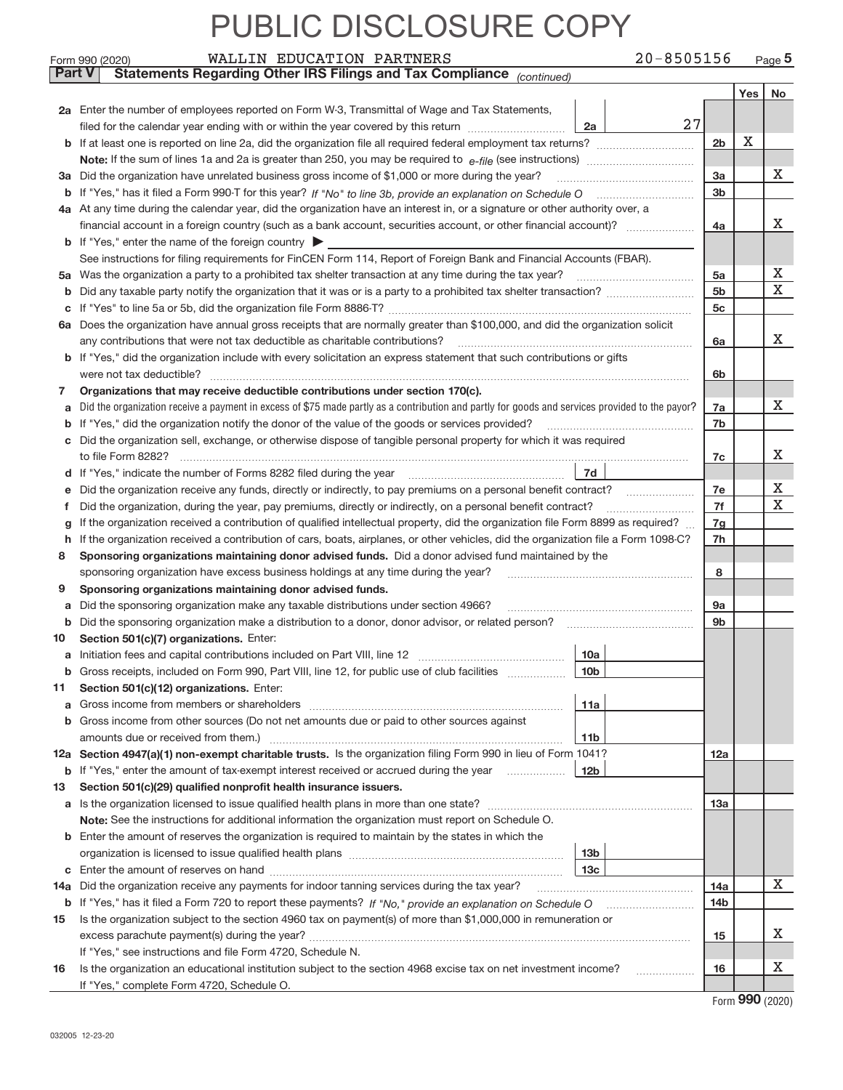|        | $20 - 8505156$<br>WALLIN EDUCATION PARTNERS<br>Form 990 (2020)                                                                                                                            |                 |     | $Page$ <sup>5</sup> |
|--------|-------------------------------------------------------------------------------------------------------------------------------------------------------------------------------------------|-----------------|-----|---------------------|
| Part V | Statements Regarding Other IRS Filings and Tax Compliance (continued)                                                                                                                     |                 |     |                     |
|        |                                                                                                                                                                                           |                 | Yes | No                  |
|        | 2a Enter the number of employees reported on Form W-3, Transmittal of Wage and Tax Statements,                                                                                            |                 |     |                     |
|        | 27<br>filed for the calendar year ending with or within the year covered by this return [11] [11] filed for the calendar year ending with or within the year covered by this return<br>2a |                 |     |                     |
|        |                                                                                                                                                                                           | 2 <sub>b</sub>  | X   |                     |
|        |                                                                                                                                                                                           |                 |     |                     |
|        | 3a Did the organization have unrelated business gross income of \$1,000 or more during the year?                                                                                          | 3a              |     | X                   |
|        |                                                                                                                                                                                           | 3 <sub>b</sub>  |     |                     |
|        | 4a At any time during the calendar year, did the organization have an interest in, or a signature or other authority over, a                                                              |                 |     |                     |
|        |                                                                                                                                                                                           | 4a              |     | х                   |
|        | <b>b</b> If "Yes," enter the name of the foreign country $\blacktriangleright$                                                                                                            |                 |     |                     |
|        | See instructions for filing requirements for FinCEN Form 114, Report of Foreign Bank and Financial Accounts (FBAR).                                                                       |                 |     |                     |
|        | 5a Was the organization a party to a prohibited tax shelter transaction at any time during the tax year?                                                                                  | 5a              |     | х                   |
|        |                                                                                                                                                                                           | 5 <sub>b</sub>  |     | х                   |
|        |                                                                                                                                                                                           | 5 <sub>c</sub>  |     |                     |
|        | 6a Does the organization have annual gross receipts that are normally greater than \$100,000, and did the organization solicit                                                            |                 |     |                     |
|        | any contributions that were not tax deductible as charitable contributions?                                                                                                               | 6a              |     | х                   |
|        | b If "Yes," did the organization include with every solicitation an express statement that such contributions or gifts                                                                    |                 |     |                     |
|        | were not tax deductible?                                                                                                                                                                  | 6b              |     |                     |
| 7      | Organizations that may receive deductible contributions under section 170(c).                                                                                                             |                 |     |                     |
|        | a Did the organization receive a payment in excess of \$75 made partly as a contribution and partly for goods and services provided to the payor?                                         | 7a              |     | х                   |
|        | <b>b</b> If "Yes," did the organization notify the donor of the value of the goods or services provided?                                                                                  | 7b              |     |                     |
|        | c Did the organization sell, exchange, or otherwise dispose of tangible personal property for which it was required                                                                       |                 |     |                     |
|        |                                                                                                                                                                                           | 7c              |     | х                   |
|        | 7d                                                                                                                                                                                        |                 |     |                     |
|        | e Did the organization receive any funds, directly or indirectly, to pay premiums on a personal benefit contract?                                                                         | 7e              |     | х                   |
| f.     | Did the organization, during the year, pay premiums, directly or indirectly, on a personal benefit contract?                                                                              | 7f              |     | Χ                   |
| g      | If the organization received a contribution of qualified intellectual property, did the organization file Form 8899 as required?                                                          | 7g              |     |                     |
|        | h If the organization received a contribution of cars, boats, airplanes, or other vehicles, did the organization file a Form 1098-C?                                                      | 7h              |     |                     |
| 8      | Sponsoring organizations maintaining donor advised funds. Did a donor advised fund maintained by the                                                                                      |                 |     |                     |
|        | sponsoring organization have excess business holdings at any time during the year?                                                                                                        | 8               |     |                     |
| 9      | Sponsoring organizations maintaining donor advised funds.                                                                                                                                 |                 |     |                     |
| а      | Did the sponsoring organization make any taxable distributions under section 4966?                                                                                                        | 9а              |     |                     |
|        |                                                                                                                                                                                           | 9b              |     |                     |
| 10     | Section 501(c)(7) organizations. Enter:                                                                                                                                                   |                 |     |                     |
|        | 10a                                                                                                                                                                                       |                 |     |                     |
| b      | Gross receipts, included on Form 990, Part VIII, line 12, for public use of club facilities<br>10b                                                                                        |                 |     |                     |
| 11     | Section 501(c)(12) organizations. Enter:                                                                                                                                                  |                 |     |                     |
|        | 11a                                                                                                                                                                                       |                 |     |                     |
|        | b Gross income from other sources (Do not net amounts due or paid to other sources against                                                                                                |                 |     |                     |
|        | amounts due or received from them.)<br>11 <sub>b</sub>                                                                                                                                    |                 |     |                     |
|        | 12a Section 4947(a)(1) non-exempt charitable trusts. Is the organization filing Form 990 in lieu of Form 1041?                                                                            | 12a             |     |                     |
|        | <b>b</b> If "Yes," enter the amount of tax-exempt interest received or accrued during the year<br>12 <sub>b</sub>                                                                         |                 |     |                     |
| 13     | Section 501(c)(29) qualified nonprofit health insurance issuers.                                                                                                                          | 13а             |     |                     |
|        | Note: See the instructions for additional information the organization must report on Schedule O.                                                                                         |                 |     |                     |
|        | <b>b</b> Enter the amount of reserves the organization is required to maintain by the states in which the                                                                                 |                 |     |                     |
|        | 13 <sub>b</sub>                                                                                                                                                                           |                 |     |                     |
| С      | 13с                                                                                                                                                                                       |                 |     |                     |
| 14a    | Did the organization receive any payments for indoor tanning services during the tax year?                                                                                                | 14a             |     | х                   |
|        |                                                                                                                                                                                           | 14 <sub>b</sub> |     |                     |
| 15     | Is the organization subject to the section 4960 tax on payment(s) of more than \$1,000,000 in remuneration or                                                                             |                 |     |                     |
|        |                                                                                                                                                                                           | 15              |     | х                   |
|        | If "Yes," see instructions and file Form 4720, Schedule N.                                                                                                                                |                 |     |                     |
| 16     | Is the organization an educational institution subject to the section 4968 excise tax on net investment income?<br>.                                                                      | 16              |     | х                   |
|        | If "Yes," complete Form 4720, Schedule O.                                                                                                                                                 |                 |     |                     |

Form (2020) **990**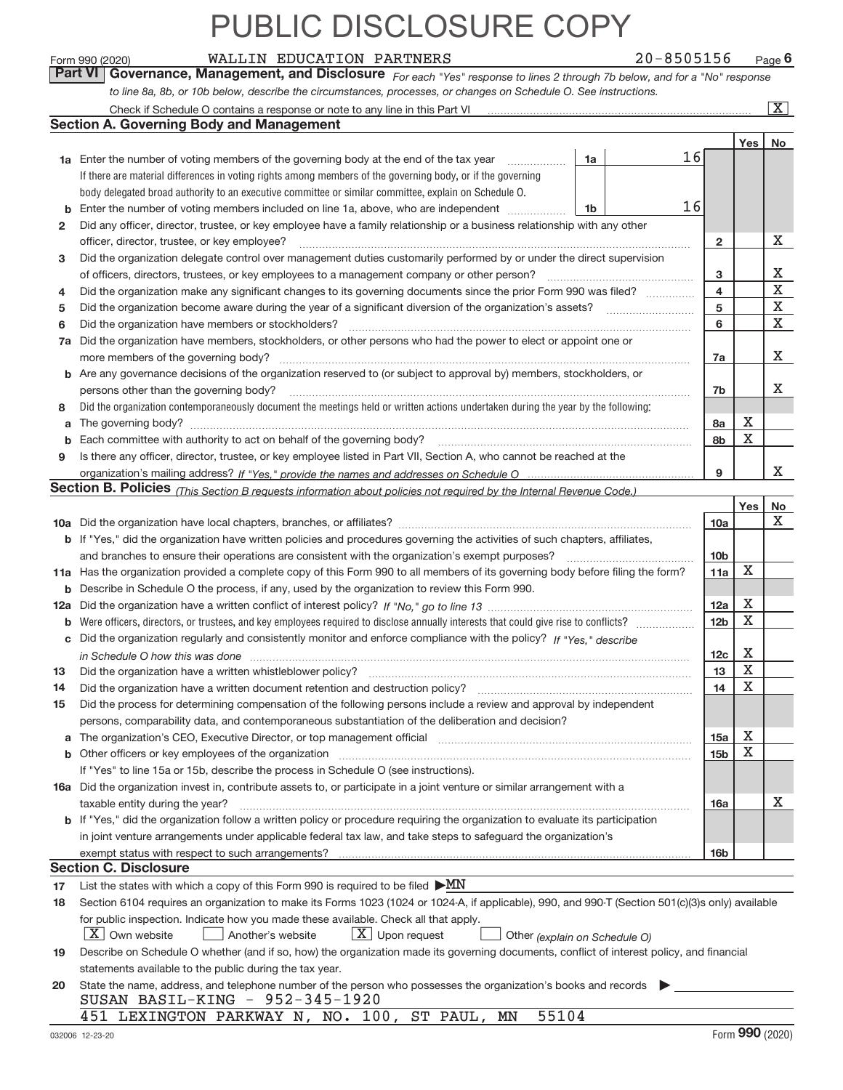Form 990 (2020) WALLIN EDUCATION PARTNERS 2 U-8 5 U5 I 5 6 Page **6** WALLIN EDUCATION PARTNERS 20‐8505156

*For each "Yes" response to lines 2 through 7b below, and for a "No" response to line 8a, 8b, or 10b below, describe the circumstances, processes, or changes on Schedule O. See instructions.* **Part VI Governance, Management, and Disclosure** 

|     | Check if Schedule O contains a response or note to any line in this Part VI                                                                                                                                                    |                 |             | $\overline{\mathbf{X}}$ |
|-----|--------------------------------------------------------------------------------------------------------------------------------------------------------------------------------------------------------------------------------|-----------------|-------------|-------------------------|
|     | <b>Section A. Governing Body and Management</b>                                                                                                                                                                                |                 |             |                         |
|     |                                                                                                                                                                                                                                |                 | Yes         | No                      |
|     | 16<br>1a<br><b>1a</b> Enter the number of voting members of the governing body at the end of the tax year                                                                                                                      |                 |             |                         |
|     | If there are material differences in voting rights among members of the governing body, or if the governing                                                                                                                    |                 |             |                         |
|     | body delegated broad authority to an executive committee or similar committee, explain on Schedule O.                                                                                                                          |                 |             |                         |
| b   | 16<br>Enter the number of voting members included on line 1a, above, who are independent<br>1b                                                                                                                                 |                 |             |                         |
| 2   | Did any officer, director, trustee, or key employee have a family relationship or a business relationship with any other                                                                                                       |                 |             |                         |
|     | officer, director, trustee, or key employee?                                                                                                                                                                                   | $\overline{2}$  |             | х                       |
| 3   | Did the organization delegate control over management duties customarily performed by or under the direct supervision                                                                                                          |                 |             |                         |
|     | of officers, directors, trustees, or key employees to a management company or other person?                                                                                                                                    | з               |             | х                       |
| 4   | Did the organization make any significant changes to its governing documents since the prior Form 990 was filed?                                                                                                               | 4               |             | $\mathbf X$             |
| 5   |                                                                                                                                                                                                                                | 5               |             | $\mathbf X$             |
| 6   | Did the organization have members or stockholders?                                                                                                                                                                             | 6               |             | X                       |
| 7a  | Did the organization have members, stockholders, or other persons who had the power to elect or appoint one or                                                                                                                 |                 |             |                         |
|     | more members of the governing body?                                                                                                                                                                                            | 7a              |             | х                       |
| b   | Are any governance decisions of the organization reserved to (or subject to approval by) members, stockholders, or                                                                                                             |                 |             |                         |
|     | persons other than the governing body?                                                                                                                                                                                         | 7b              |             | х                       |
| 8   | Did the organization contemporaneously document the meetings held or written actions undertaken during the year by the following:                                                                                              |                 |             |                         |
| a   |                                                                                                                                                                                                                                | 8a              | х           |                         |
|     |                                                                                                                                                                                                                                | 8b              | X           |                         |
| 9   | Is there any officer, director, trustee, or key employee listed in Part VII, Section A, who cannot be reached at the                                                                                                           |                 |             |                         |
|     |                                                                                                                                                                                                                                | 9               |             | x                       |
|     | <b>Section B. Policies</b> (This Section B requests information about policies not required by the Internal Revenue Code.)                                                                                                     |                 |             |                         |
|     |                                                                                                                                                                                                                                |                 | Yes         | No                      |
|     |                                                                                                                                                                                                                                | 10a             |             | х                       |
|     | If "Yes," did the organization have written policies and procedures governing the activities of such chapters, affiliates,                                                                                                     |                 |             |                         |
|     | and branches to ensure their operations are consistent with the organization's exempt purposes?                                                                                                                                | 10 <sub>b</sub> |             |                         |
| 11a | Has the organization provided a complete copy of this Form 990 to all members of its governing body before filing the form?                                                                                                    | 11a             | X           |                         |
| b   | Describe in Schedule O the process, if any, used by the organization to review this Form 990.                                                                                                                                  |                 |             |                         |
| 12a |                                                                                                                                                                                                                                | 12a             | Х           |                         |
| b   | Were officers, directors, or trustees, and key employees required to disclose annually interests that could give rise to conflicts?                                                                                            | 12 <sub>b</sub> | X           |                         |
| с   | Did the organization regularly and consistently monitor and enforce compliance with the policy? If "Yes," describe                                                                                                             |                 |             |                         |
|     | in Schedule O how this was done encourance and an interventional control of the state of the state of the state of the state of the state of the state of the state of the state of the state of the state of the state of the | 12 <sub>c</sub> | X           |                         |
| 13  | Did the organization have a written whistleblower policy?                                                                                                                                                                      | 13              | $\mathbf X$ |                         |
| 14  | Did the organization have a written document retention and destruction policy?                                                                                                                                                 | 14              | $\mathbf X$ |                         |
| 15  | Did the process for determining compensation of the following persons include a review and approval by independent                                                                                                             |                 |             |                         |
|     | persons, comparability data, and contemporaneous substantiation of the deliberation and decision?                                                                                                                              |                 |             |                         |
| а   | The organization's CEO, Executive Director, or top management official manufactured content of the organization's CEO, Executive Director, or top management official manufactured content of the state of the state of the st | 15a             | х           |                         |
|     | Other officers or key employees of the organization                                                                                                                                                                            | 15 <sub>b</sub> | X           |                         |
|     | If "Yes" to line 15a or 15b, describe the process in Schedule O (see instructions).                                                                                                                                            |                 |             |                         |
|     | 16a Did the organization invest in, contribute assets to, or participate in a joint venture or similar arrangement with a                                                                                                      |                 |             |                         |
|     | taxable entity during the year?                                                                                                                                                                                                | 16a             |             | х                       |
|     | b If "Yes," did the organization follow a written policy or procedure requiring the organization to evaluate its participation                                                                                                 |                 |             |                         |
|     | in joint venture arrangements under applicable federal tax law, and take steps to safeguard the organization's                                                                                                                 |                 |             |                         |
|     | exempt status with respect to such arrangements?                                                                                                                                                                               | 16 <sub>b</sub> |             |                         |
|     | <b>Section C. Disclosure</b>                                                                                                                                                                                                   |                 |             |                         |
| 17  | List the states with which a copy of this Form 990 is required to be filed $\blacktriangleright MN$                                                                                                                            |                 |             |                         |
| 18  | Section 6104 requires an organization to make its Forms 1023 (1024 or 1024-A, if applicable), 990, and 990-T (Section 501(c)(3)s only) available                                                                               |                 |             |                         |
|     | for public inspection. Indicate how you made these available. Check all that apply.<br>$X$ Own website<br>$X$ Upon request<br>Another's website                                                                                |                 |             |                         |
|     | Other (explain on Schedule O)<br>Describe on Schedule O whether (and if so, how) the organization made its governing documents, conflict of interest policy, and financial                                                     |                 |             |                         |
| 19  | statements available to the public during the tax year.                                                                                                                                                                        |                 |             |                         |
| 20  | State the name, address, and telephone number of the person who possesses the organization's books and records                                                                                                                 |                 |             |                         |
|     | SUSAN BASIL-KING - 952-345-1920                                                                                                                                                                                                |                 |             |                         |
|     | 55104<br>451 LEXINGTON PARKWAY N, NO. 100, ST PAUL,<br>ΜN                                                                                                                                                                      |                 |             |                         |
|     |                                                                                                                                                                                                                                |                 |             |                         |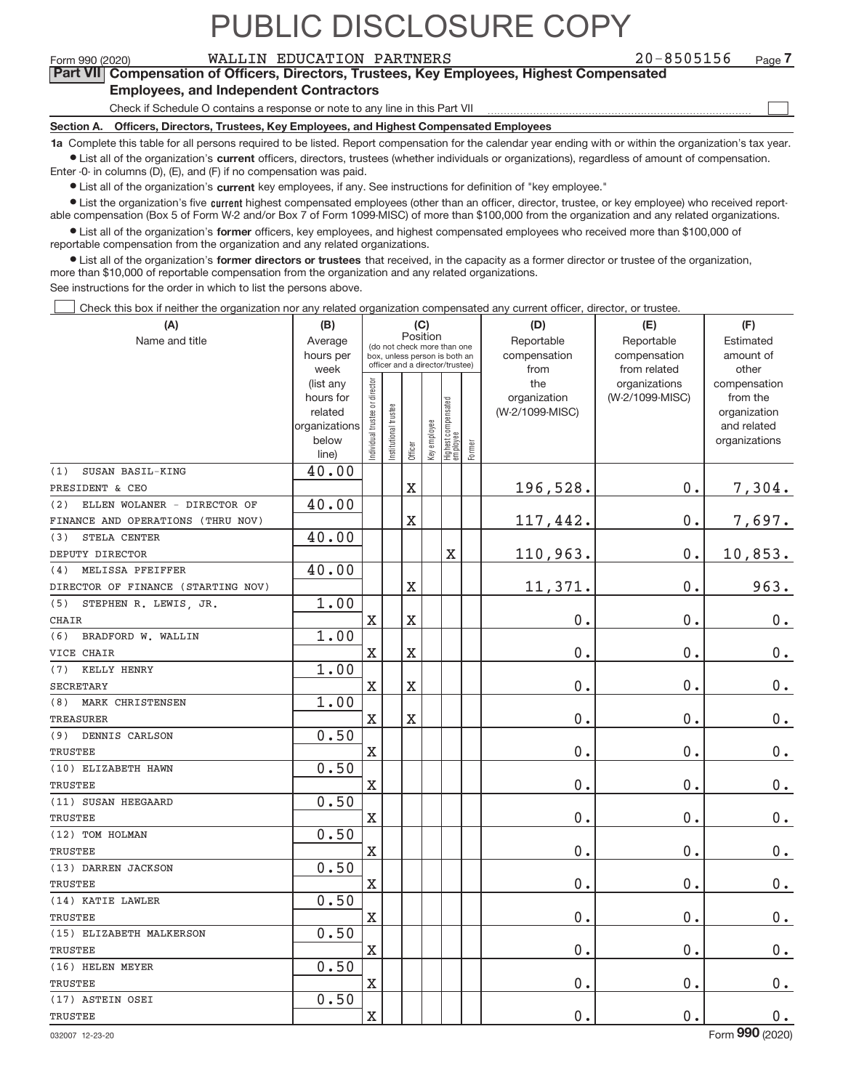**7**

 $\begin{array}{c} \boxed{1} \\ \boxed{1} \\ \end{array}$ 

Form 990 (2020) WALLIN EDUCATION PARTNERS 2 0−8505156 <sub>Page</sub> **Part VII Compensation of Officers, Directors, Trustees, Key Employees, Highest Compensated Employees, and Independent Contractors**

Check if Schedule O contains a response or note to any line in this Part VII

**Section A. Officers, Directors, Trustees, Key Employees, and Highest Compensated Employees**

**1a**  Complete this table for all persons required to be listed. Report compensation for the calendar year ending with or within the organization's tax year. **•** List all of the organization's current officers, directors, trustees (whether individuals or organizations), regardless of amount of compensation.

Enter ‐0‐ in columns (D), (E), and (F) if no compensation was paid.

**•** List all of the organization's current key employees, if any. See instructions for definition of "key employee."

● List the organization's five current highest compensated employees (other than an officer, director, trustee, or key employee) who received report‐ able compensation (Box 5 of Form W‐2 and/or Box 7 of Form 1099‐MISC) of more than \$100,000 from the organization and any related organizations.

 $\bullet$  List all of the organization's former officers, key employees, and highest compensated employees who received more than \$100,000 of reportable compensation from the organization and any related organizations.

**•** List all of the organization's former directors or trustees that received, in the capacity as a former director or trustee of the organization, more than \$10,000 of reportable compensation from the organization and any related organizations.

See instructions for the order in which to list the persons above.

Check this box if neither the organization nor any related organization compensated any current officer, director, or trustee.  $\Box$ 

| (A)                                | (B)                    |                                |                       | (C)                   |              |                                                                  |        | (D)             | (E)                              | (F)                      |
|------------------------------------|------------------------|--------------------------------|-----------------------|-----------------------|--------------|------------------------------------------------------------------|--------|-----------------|----------------------------------|--------------------------|
| Name and title                     | Average                |                                |                       | Position              |              | (do not check more than one                                      |        | Reportable      | Reportable                       | Estimated                |
|                                    | hours per              |                                |                       |                       |              | box, unless person is both an<br>officer and a director/trustee) |        | compensation    | compensation                     | amount of                |
|                                    | week                   |                                |                       |                       |              |                                                                  |        | from<br>the     | from related                     | other                    |
|                                    | (list any<br>hours for |                                |                       |                       |              |                                                                  |        | organization    | organizations<br>(W-2/1099-MISC) | compensation<br>from the |
|                                    | related                |                                |                       |                       |              |                                                                  |        | (W-2/1099-MISC) |                                  | organization             |
|                                    | organizations          |                                |                       |                       |              |                                                                  |        |                 |                                  | and related              |
|                                    | below                  | Individual trustee or director | Institutional trustee |                       | Key employee |                                                                  |        |                 |                                  | organizations            |
|                                    | line)                  |                                |                       | Officer               |              | Highest compensated<br>  employee                                | Former |                 |                                  |                          |
| (1)<br>SUSAN BASIL-KING            | 40.00                  |                                |                       |                       |              |                                                                  |        |                 |                                  |                          |
| PRESIDENT & CEO                    |                        |                                |                       | $\rm X$               |              |                                                                  |        | 196,528.        | 0.                               | 7,304.                   |
| ELLEN WOLANER - DIRECTOR OF<br>(2) | 40.00                  |                                |                       |                       |              |                                                                  |        |                 |                                  |                          |
| FINANCE AND OPERATIONS (THRU NOV)  |                        |                                |                       | X                     |              |                                                                  |        | 117,442.        | 0.                               | 7,697.                   |
| STELA CENTER<br>(3)                | 40.00                  |                                |                       |                       |              |                                                                  |        |                 |                                  |                          |
| DEPUTY DIRECTOR                    |                        |                                |                       |                       |              | $\overline{\text{X}}$                                            |        | 110,963.        | 0.                               | 10,853.                  |
| MELISSA PFEIFFER<br>(4)            | 40.00                  |                                |                       |                       |              |                                                                  |        |                 |                                  |                          |
| DIRECTOR OF FINANCE (STARTING NOV) |                        |                                |                       | $\overline{\text{X}}$ |              |                                                                  |        | 11,371.         | 0.                               | 963.                     |
| (5)<br>STEPHEN R. LEWIS, JR.       | 1.00                   |                                |                       |                       |              |                                                                  |        |                 |                                  |                          |
| <b>CHAIR</b>                       |                        | $\mathbf X$                    |                       | $\rm X$               |              |                                                                  |        | $0$ .           | 0.                               | $0_{.}$                  |
| (6)<br>BRADFORD W. WALLIN          | 1.00                   |                                |                       |                       |              |                                                                  |        |                 |                                  |                          |
| VICE CHAIR                         |                        | $\mathbf X$                    |                       | $\overline{\text{X}}$ |              |                                                                  |        | 0.              | 0.                               | $0$ .                    |
| (7) KELLY HENRY                    | 1.00                   |                                |                       |                       |              |                                                                  |        |                 |                                  |                          |
| <b>SECRETARY</b>                   |                        | $\mathbf X$                    |                       | $\rm X$               |              |                                                                  |        | 0.              | 0.                               | $0$ .                    |
| (8) MARK CHRISTENSEN               | 1.00                   |                                |                       |                       |              |                                                                  |        |                 |                                  |                          |
| <b>TREASURER</b>                   |                        | $\mathbf X$                    |                       | X                     |              |                                                                  |        | 0.              | 0.                               | 0.                       |
| (9) DENNIS CARLSON                 | 0.50                   |                                |                       |                       |              |                                                                  |        |                 |                                  |                          |
| TRUSTEE                            |                        | $\mathbf X$                    |                       |                       |              |                                                                  |        | 0.              | 0.                               | $\mathbf 0$ .            |
| (10) ELIZABETH HAWN                | 0.50                   |                                |                       |                       |              |                                                                  |        |                 |                                  |                          |
| TRUSTEE                            |                        | $\mathbf X$                    |                       |                       |              |                                                                  |        | 0.              | 0.                               | $\mathbf 0$ .            |
| (11) SUSAN HEEGAARD                | 0.50                   |                                |                       |                       |              |                                                                  |        |                 |                                  |                          |
| <b>TRUSTEE</b>                     |                        | $\mathbf X$                    |                       |                       |              |                                                                  |        | 0.              | 0.                               | $0$ .                    |
| (12) TOM HOLMAN                    | 0.50                   |                                |                       |                       |              |                                                                  |        |                 |                                  |                          |
| <b>TRUSTEE</b>                     |                        | $\mathbf X$                    |                       |                       |              |                                                                  |        | 0.              | 0.                               | $0$ .                    |
| (13) DARREN JACKSON                | 0.50                   |                                |                       |                       |              |                                                                  |        |                 |                                  |                          |
| <b>TRUSTEE</b>                     |                        | $\mathbf X$                    |                       |                       |              |                                                                  |        | 0.              | 0.                               | $0$ .                    |
| (14) KATIE LAWLER                  | 0.50                   |                                |                       |                       |              |                                                                  |        |                 |                                  |                          |
| <b>TRUSTEE</b>                     |                        | $\mathbf X$                    |                       |                       |              |                                                                  |        | 0.              | 0.                               | $\pmb{0}$ .              |
| (15) ELIZABETH MALKERSON           | 0.50                   |                                |                       |                       |              |                                                                  |        |                 |                                  |                          |
| <b>TRUSTEE</b>                     |                        | $\mathbf X$                    |                       |                       |              |                                                                  |        | 0.              | 0.                               | $0$ .                    |
| (16) HELEN MEYER                   | 0.50                   |                                |                       |                       |              |                                                                  |        |                 |                                  |                          |
| <b>TRUSTEE</b>                     |                        | $\overline{\mathbf{X}}$        |                       |                       |              |                                                                  |        | 0.              | 0.                               | $0$ .                    |
| (17) ASTEIN OSEI                   | 0.50                   |                                |                       |                       |              |                                                                  |        |                 |                                  |                          |
| <b>TRUSTEE</b>                     |                        | $\mathbf X$                    |                       |                       |              |                                                                  |        | 0.              | 0.                               | $0$ .                    |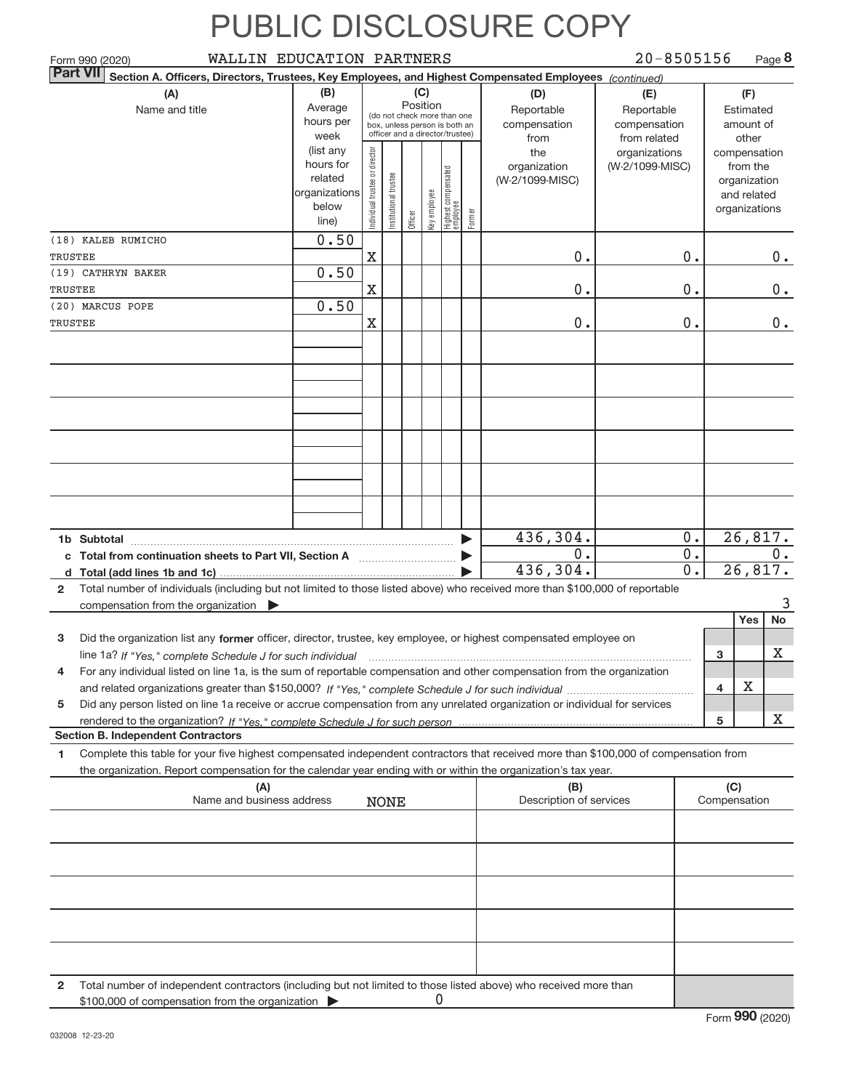| <b>Part VII</b><br>Section A. Officers, Directors, Trustees, Key Employees, and Highest Compensated Employees (continued)<br>(B)<br>(C)<br>(F)<br>(A)<br>(D)<br>(E)<br>Position<br>Average<br>Name and title<br>Reportable<br>Reportable<br>Estimated<br>(do not check more than one<br>hours per<br>compensation<br>compensation<br>amount of<br>box, unless person is both an<br>officer and a director/trustee)<br>week<br>from related<br>other<br>from<br>(list any<br>Individual trustee or director<br>the<br>organizations<br>compensation<br>hours for<br>(W-2/1099-MISC)<br>from the<br>organization<br>Highest compensated<br>employee<br>nstitutional trustee<br>related<br>(W-2/1099-MISC)<br>organization<br>organizations<br>Key employee<br>and related<br>below<br>organizations<br>Former<br>Officer<br>line)<br>0.50<br>(18) KALEB RUMICHO<br>0.<br>X<br>0.<br>0.50<br>(19) CATHRYN BAKER<br>0.<br>0.<br>X<br>0.50<br>(20) MARCUS POPE<br>0.<br>$\mathbf X$<br>0. |               |
|--------------------------------------------------------------------------------------------------------------------------------------------------------------------------------------------------------------------------------------------------------------------------------------------------------------------------------------------------------------------------------------------------------------------------------------------------------------------------------------------------------------------------------------------------------------------------------------------------------------------------------------------------------------------------------------------------------------------------------------------------------------------------------------------------------------------------------------------------------------------------------------------------------------------------------------------------------------------------------------|---------------|
|                                                                                                                                                                                                                                                                                                                                                                                                                                                                                                                                                                                                                                                                                                                                                                                                                                                                                                                                                                                      |               |
| TRUSTEE<br>TRUSTEE<br>TRUSTEE                                                                                                                                                                                                                                                                                                                                                                                                                                                                                                                                                                                                                                                                                                                                                                                                                                                                                                                                                        |               |
|                                                                                                                                                                                                                                                                                                                                                                                                                                                                                                                                                                                                                                                                                                                                                                                                                                                                                                                                                                                      |               |
|                                                                                                                                                                                                                                                                                                                                                                                                                                                                                                                                                                                                                                                                                                                                                                                                                                                                                                                                                                                      |               |
|                                                                                                                                                                                                                                                                                                                                                                                                                                                                                                                                                                                                                                                                                                                                                                                                                                                                                                                                                                                      | 0.            |
|                                                                                                                                                                                                                                                                                                                                                                                                                                                                                                                                                                                                                                                                                                                                                                                                                                                                                                                                                                                      | 0.            |
|                                                                                                                                                                                                                                                                                                                                                                                                                                                                                                                                                                                                                                                                                                                                                                                                                                                                                                                                                                                      |               |
|                                                                                                                                                                                                                                                                                                                                                                                                                                                                                                                                                                                                                                                                                                                                                                                                                                                                                                                                                                                      | 0.            |
|                                                                                                                                                                                                                                                                                                                                                                                                                                                                                                                                                                                                                                                                                                                                                                                                                                                                                                                                                                                      |               |
|                                                                                                                                                                                                                                                                                                                                                                                                                                                                                                                                                                                                                                                                                                                                                                                                                                                                                                                                                                                      |               |
|                                                                                                                                                                                                                                                                                                                                                                                                                                                                                                                                                                                                                                                                                                                                                                                                                                                                                                                                                                                      |               |
|                                                                                                                                                                                                                                                                                                                                                                                                                                                                                                                                                                                                                                                                                                                                                                                                                                                                                                                                                                                      |               |
|                                                                                                                                                                                                                                                                                                                                                                                                                                                                                                                                                                                                                                                                                                                                                                                                                                                                                                                                                                                      |               |
| 436,304.<br>0.<br>1b Subtotal                                                                                                                                                                                                                                                                                                                                                                                                                                                                                                                                                                                                                                                                                                                                                                                                                                                                                                                                                        | 26,817.       |
| $0$ .<br>0.<br>436, 304.<br>$\overline{0}$ .<br>d                                                                                                                                                                                                                                                                                                                                                                                                                                                                                                                                                                                                                                                                                                                                                                                                                                                                                                                                    | 0.<br>26,817. |
| Total number of individuals (including but not limited to those listed above) who received more than \$100,000 of reportable<br>$\mathbf{2}$                                                                                                                                                                                                                                                                                                                                                                                                                                                                                                                                                                                                                                                                                                                                                                                                                                         |               |
| compensation from the organization $\blacktriangleright$<br>Yes                                                                                                                                                                                                                                                                                                                                                                                                                                                                                                                                                                                                                                                                                                                                                                                                                                                                                                                      | 3<br>No       |
| Did the organization list any former officer, director, trustee, key employee, or highest compensated employee on<br>3<br>3<br>line 1a? If "Yes," complete Schedule J for such individual manufactured contained and the Yes," complete Schedule J for such individual                                                                                                                                                                                                                                                                                                                                                                                                                                                                                                                                                                                                                                                                                                               | х             |
| 4<br>For any individual listed on line 1a, is the sum of reportable compensation and other compensation from the organization<br>X<br>4                                                                                                                                                                                                                                                                                                                                                                                                                                                                                                                                                                                                                                                                                                                                                                                                                                              |               |
| Did any person listed on line 1a receive or accrue compensation from any unrelated organization or individual for services<br>5<br>5                                                                                                                                                                                                                                                                                                                                                                                                                                                                                                                                                                                                                                                                                                                                                                                                                                                 | х             |
| <b>Section B. Independent Contractors</b>                                                                                                                                                                                                                                                                                                                                                                                                                                                                                                                                                                                                                                                                                                                                                                                                                                                                                                                                            |               |
| Complete this table for your five highest compensated independent contractors that received more than \$100,000 of compensation from<br>1<br>the organization. Report compensation for the calendar year ending with or within the organization's tax year.                                                                                                                                                                                                                                                                                                                                                                                                                                                                                                                                                                                                                                                                                                                          |               |
| (C)<br>(A)<br>(B)<br>Description of services<br>Name and business address<br>Compensation<br><b>NONE</b>                                                                                                                                                                                                                                                                                                                                                                                                                                                                                                                                                                                                                                                                                                                                                                                                                                                                             |               |
|                                                                                                                                                                                                                                                                                                                                                                                                                                                                                                                                                                                                                                                                                                                                                                                                                                                                                                                                                                                      |               |
|                                                                                                                                                                                                                                                                                                                                                                                                                                                                                                                                                                                                                                                                                                                                                                                                                                                                                                                                                                                      |               |
|                                                                                                                                                                                                                                                                                                                                                                                                                                                                                                                                                                                                                                                                                                                                                                                                                                                                                                                                                                                      |               |
|                                                                                                                                                                                                                                                                                                                                                                                                                                                                                                                                                                                                                                                                                                                                                                                                                                                                                                                                                                                      |               |
| Total number of independent contractors (including but not limited to those listed above) who received more than<br>2<br>0<br>\$100,000 of compensation from the organization                                                                                                                                                                                                                                                                                                                                                                                                                                                                                                                                                                                                                                                                                                                                                                                                        |               |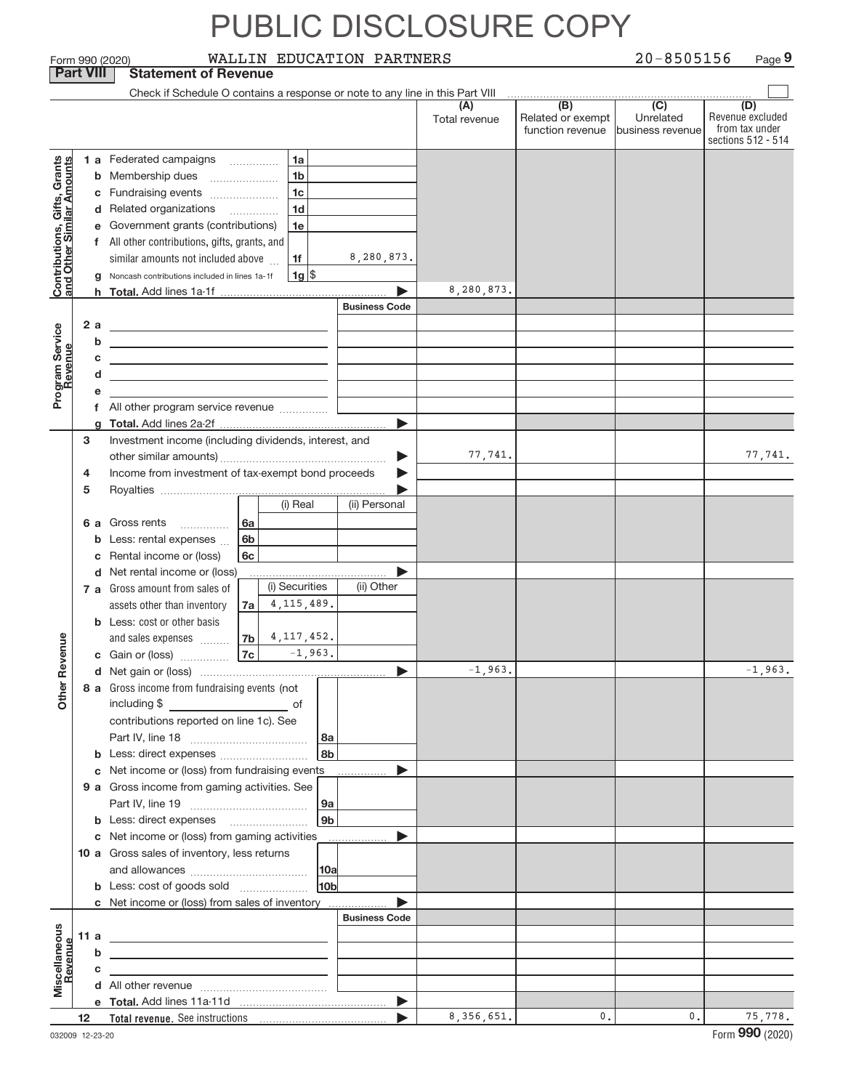|                                                           |      |   | Form 990 (2020)                                                                                                      |     |                 | WALLIN EDUCATION PARTNERS |                      |                                              | $20 - 8505156$                                    | Page 9                                                          |
|-----------------------------------------------------------|------|---|----------------------------------------------------------------------------------------------------------------------|-----|-----------------|---------------------------|----------------------|----------------------------------------------|---------------------------------------------------|-----------------------------------------------------------------|
| <b>Part VIII</b><br><b>Statement of Revenue</b>           |      |   |                                                                                                                      |     |                 |                           |                      |                                              |                                                   |                                                                 |
|                                                           |      |   | Check if Schedule O contains a response or note to any line in this Part VIII                                        |     |                 |                           |                      |                                              |                                                   |                                                                 |
|                                                           |      |   |                                                                                                                      |     |                 |                           | (A)<br>Total revenue | (B)<br>Related or exempt<br>function revenue | $\overline{(C)}$<br>Unrelated<br>business revenue | (D)<br>Revenue excluded<br>from tax under<br>sections 512 - 514 |
|                                                           |      |   | 1 a Federated campaigns                                                                                              |     | 1a              |                           |                      |                                              |                                                   |                                                                 |
|                                                           |      |   | <b>b</b> Membership dues                                                                                             |     | 1 <sub>b</sub>  |                           |                      |                                              |                                                   |                                                                 |
| Contributions, Gifts, Grants<br>and Other Similar Amounts |      |   | c Fundraising events                                                                                                 |     | 1 <sub>c</sub>  |                           |                      |                                              |                                                   |                                                                 |
|                                                           |      |   | d Related organizations                                                                                              |     | 1 <sub>d</sub>  |                           |                      |                                              |                                                   |                                                                 |
|                                                           |      |   | e Government grants (contributions)                                                                                  |     | 1e              |                           |                      |                                              |                                                   |                                                                 |
|                                                           |      |   | f All other contributions, gifts, grants, and                                                                        |     |                 |                           |                      |                                              |                                                   |                                                                 |
|                                                           |      |   | similar amounts not included above                                                                                   |     | 1f              | 8,280,873.                |                      |                                              |                                                   |                                                                 |
|                                                           |      |   | g Noncash contributions included in lines 1a-1f                                                                      |     | 1g              |                           |                      |                                              |                                                   |                                                                 |
|                                                           |      |   |                                                                                                                      |     |                 |                           | 8,280,873.           |                                              |                                                   |                                                                 |
|                                                           |      |   |                                                                                                                      |     |                 | <b>Business Code</b>      |                      |                                              |                                                   |                                                                 |
|                                                           | 2a   |   | the control of the control of the control of the control of                                                          |     |                 |                           |                      |                                              |                                                   |                                                                 |
|                                                           |      | b | <u> 1989 - Johann Barn, amerikansk politiker (d. 1989)</u>                                                           |     |                 |                           |                      |                                              |                                                   |                                                                 |
|                                                           |      | С |                                                                                                                      |     |                 |                           |                      |                                              |                                                   |                                                                 |
|                                                           |      | d | <u> 1989 - Johann John Stein, markin fan it ferskearre fan it ferskearre fan it ferskearre fan it ferskearre fan</u> |     |                 |                           |                      |                                              |                                                   |                                                                 |
| Program Service                                           |      | е |                                                                                                                      |     |                 |                           |                      |                                              |                                                   |                                                                 |
|                                                           |      |   |                                                                                                                      |     |                 |                           |                      |                                              |                                                   |                                                                 |
|                                                           | 3    | g | Investment income (including dividends, interest, and                                                                |     |                 |                           |                      |                                              |                                                   |                                                                 |
|                                                           |      |   |                                                                                                                      |     |                 | ▶                         | 77,741.              |                                              |                                                   | 77,741.                                                         |
|                                                           | 4    |   | Income from investment of tax-exempt bond proceeds                                                                   |     |                 |                           |                      |                                              |                                                   |                                                                 |
|                                                           | 5    |   |                                                                                                                      |     |                 |                           |                      |                                              |                                                   |                                                                 |
|                                                           |      |   |                                                                                                                      |     | (i) Real        | (ii) Personal             |                      |                                              |                                                   |                                                                 |
|                                                           |      |   | 6 a Gross rents                                                                                                      | ∣6a |                 |                           |                      |                                              |                                                   |                                                                 |
|                                                           |      | b | Less: rental expenses                                                                                                | 6b  |                 |                           |                      |                                              |                                                   |                                                                 |
|                                                           |      |   | c Rental income or (loss)                                                                                            | 6c  |                 |                           |                      |                                              |                                                   |                                                                 |
|                                                           |      |   | d Net rental income or (loss)                                                                                        |     |                 |                           |                      |                                              |                                                   |                                                                 |
|                                                           |      |   | 7 a Gross amount from sales of                                                                                       |     | (i) Securities  | (ii) Other                |                      |                                              |                                                   |                                                                 |
|                                                           |      |   | assets other than inventory                                                                                          | 7a  | 4, 115, 489.    |                           |                      |                                              |                                                   |                                                                 |
|                                                           |      |   | <b>b</b> Less: cost or other basis                                                                                   |     |                 |                           |                      |                                              |                                                   |                                                                 |
| evenue                                                    |      |   | and sales expenses                                                                                                   | 7b  | 4, 117, 452.    |                           |                      |                                              |                                                   |                                                                 |
|                                                           |      |   | c Gain or (loss)                                                                                                     | 7c  | $-1,963.$       |                           | $-1,963.$            |                                              |                                                   | $-1,963.$                                                       |
|                                                           |      |   |                                                                                                                      |     |                 |                           |                      |                                              |                                                   |                                                                 |
| Other R                                                   |      |   | 8 a Gross income from fundraising events (not<br>including \$                                                        |     |                 |                           |                      |                                              |                                                   |                                                                 |
|                                                           |      |   | contributions reported on line 1c). See                                                                              |     |                 |                           |                      |                                              |                                                   |                                                                 |
|                                                           |      |   |                                                                                                                      |     | 8a              |                           |                      |                                              |                                                   |                                                                 |
|                                                           |      |   |                                                                                                                      |     | 8 <sub>b</sub>  |                           |                      |                                              |                                                   |                                                                 |
|                                                           |      |   | c Net income or (loss) from fundraising events                                                                       |     |                 | ▶<br><u>.</u>             |                      |                                              |                                                   |                                                                 |
|                                                           |      |   | 9 a Gross income from gaming activities. See                                                                         |     |                 |                           |                      |                                              |                                                   |                                                                 |
|                                                           |      |   |                                                                                                                      |     | <b>9a</b>       |                           |                      |                                              |                                                   |                                                                 |
|                                                           |      |   |                                                                                                                      |     | 9 <sub>b</sub>  |                           |                      |                                              |                                                   |                                                                 |
|                                                           |      |   | c Net income or (loss) from gaming activities                                                                        |     |                 | ▶                         |                      |                                              |                                                   |                                                                 |
|                                                           |      |   | 10 a Gross sales of inventory, less returns                                                                          |     |                 |                           |                      |                                              |                                                   |                                                                 |
|                                                           |      |   |                                                                                                                      |     | 10a             |                           |                      |                                              |                                                   |                                                                 |
|                                                           |      |   | <b>b</b> Less: cost of goods sold                                                                                    |     | 10 <sub>b</sub> |                           |                      |                                              |                                                   |                                                                 |
|                                                           |      |   |                                                                                                                      |     |                 |                           |                      |                                              |                                                   |                                                                 |
|                                                           |      |   |                                                                                                                      |     |                 | <b>Business Code</b>      |                      |                                              |                                                   |                                                                 |
|                                                           | 11 a | b | <u> 1980 - Johann Barbara, martxa alemaniar amerikan a</u>                                                           |     |                 |                           |                      |                                              |                                                   |                                                                 |
| Miscellaneous<br>Revenue                                  |      | с |                                                                                                                      |     |                 |                           |                      |                                              |                                                   |                                                                 |
|                                                           |      |   |                                                                                                                      |     |                 |                           |                      |                                              |                                                   |                                                                 |
|                                                           |      |   |                                                                                                                      |     |                 | $\blacktriangleright$     |                      |                                              |                                                   |                                                                 |
|                                                           | 12   |   |                                                                                                                      |     |                 | $\blacktriangleright$     | 8,356,651.           | 0.                                           | 0.                                                | 75,778.                                                         |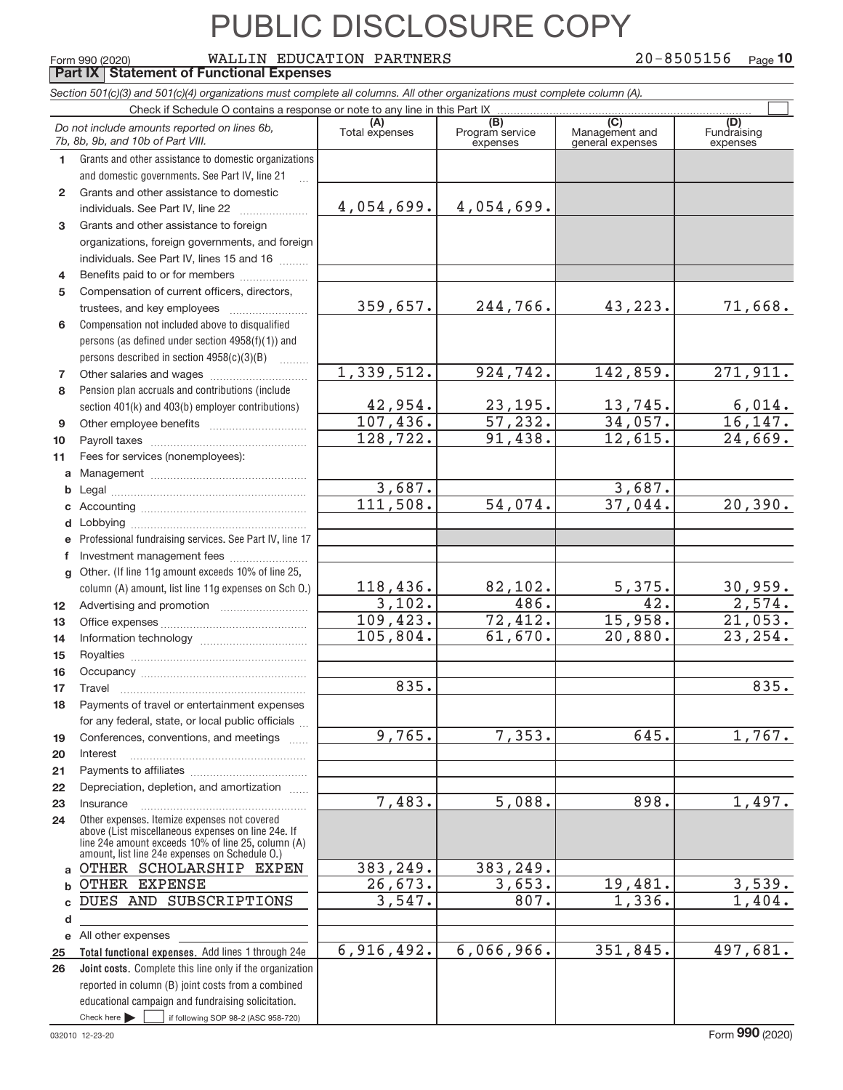#### **Total functional expenses.**  Add lines 1 through 24e **Joint costs.** Complete this line only if the organization **(A) (B) (B) (C)** (C) (A)<br>Total expenses Program service Management and Fundrain<br>expenses expenses expenses expen **1 2 3 4 5 6 7 8 9 10 11 a b c d e f g 12 13 14 15 16 17 18 19 20 21 22 23 24 a b c** DUES AND SUBSCRIPTIONS **d e 25 26** *Section 501(c)(3) and 501(c)(4) organizations must complete all columns. All other organizations must complete column (A).* Grants and other assistance to domestic organizations and domestic governments. See Part IV, line 21 Compensation not included above to disqualified persons (as defined under section 4958(f)(1)) and persons described in section  $4958(c)(3)(B)$  ........ Pension plan accruals and contributions (include section 401(k) and 403(b) employer contributions) Professional fundraising services. See Part IV, line 17 Other. (If line 11g amount exceeds 10% of line 25, column (A) amount, list line 11g expenses on Sch O.) Other expenses. Itemize expenses not covered above (List miscellaneous expenses on line 24e. If line 24e amount exceeds 10% of line 25, column (A) amount, list line 24e expenses on Schedule O.) reported in column (B) joint costs from a combined educational campaign and fundraising solicitation.  $_{\rm Form}$   $_{990}$   $_{(2020)}$   $_{\rm WALLIN}$   $_{\rm EDUCATION}$   $_{\rm PARTNERS}$   $_{\rm 20-8505156}$   $_{\rm Page}$ Check if Schedule O contains a response or note to any line in this Part IX (C) (C) (C) (C) (C) (C) (C) (C) (C) Management and general expenses **Fundraising** expenses ~<br>… Grants and other assistance to domestic  $individuals. See Part IV, line 22  $_________1$$ Grants and other assistance to foreign organizations, foreign governments, and foreign individuals. See Part IV, lines 15 and 16  $\ldots$ Benefits paid to or for members ..................... Compensation of current officers, directors, trustees, and key employees ~~~~~~~~ Other salaries and wages ~~~~~~~~~~ Other employee benefits ~~~~~~~~~~ Payroll taxes ~~~~~~~~~~~~~~~~ Fees for services (nonemployees): Management ~~~~~~~~~~~~~~~~ Legal ~~~~~~~~~~~~~~~~~~~~ Accounting ~~~~~~~~~~~~~~~~~ Lobbying ~~~~~~~~~~~~~~~~~~ Investment management fees ........................ Advertising and promotion *www.community.com* Office expenses ~~~~~~~~~~~~~~~ Information technology ~~~~~~~~~~~ Royalties ~~~~~~~~~~~~~~~~~~ Occupancy ~~~~~~~~~~~~~~~~~ Travel ~~~~~~~~~~~~~~~~~~~ Payments of travel or entertainment expenses for any federal, state, or local public officials ... Conferences, conventions, and meetings Interest Payments to affiliates ~~~~~~~~~~~~ ~~~~~~~~~~~~~~~~~~ Depreciation, depletion, and amortization ...... Insurance ~~~~~~~~~~~~~~~~~ All other expenses *Do not include amounts reported on lines 6b, 7b, 8b, 9b, and 10b of Part VIII.* 20-8505156 <sub>Page</sub> 10 **Part IX Statement of Functional Expenses**  $\boxed{\phantom{1}}$ 4,054,699. 359,657. 1,339,512. 42,954. 107,436. 128,722. 3,687. 111,508. 118,436. 3,102. 109,423. 105,804. 835. 9,765. 7,483. 383,249. 26,673. 3,547. 6,916,492. 4,054,699. 244,766. 43,223. 71,668. 924,742. 142,859. 271,911.  $23, 195.$  13,745. 6,014. 57,232. 34,057. 16,147. 91,438. 12,615. 24,669. 3,687. 54,074. 37,044. 20,390.  $82, 102.$  5,375. 30,959. 486. 42. 2,574. 72,412. 15,958. 21,053.  $61,670.$  20,880. 23,254. 835. 7,353. 645. 1,767.  $5,088.$  898. 1,497. 383,249. 3,653. 19,481. 3,539. 807. 1,336. 1,404. 6,066,966. 351,845. 497,681. OTHER SCHOLARSHIP EXPEN OTHER EXPENSE

 $\blacktriangleright$   $\sqcup$ 

 $\frac{1}{1}$  if following SOP 98-2 (ASC 958-720)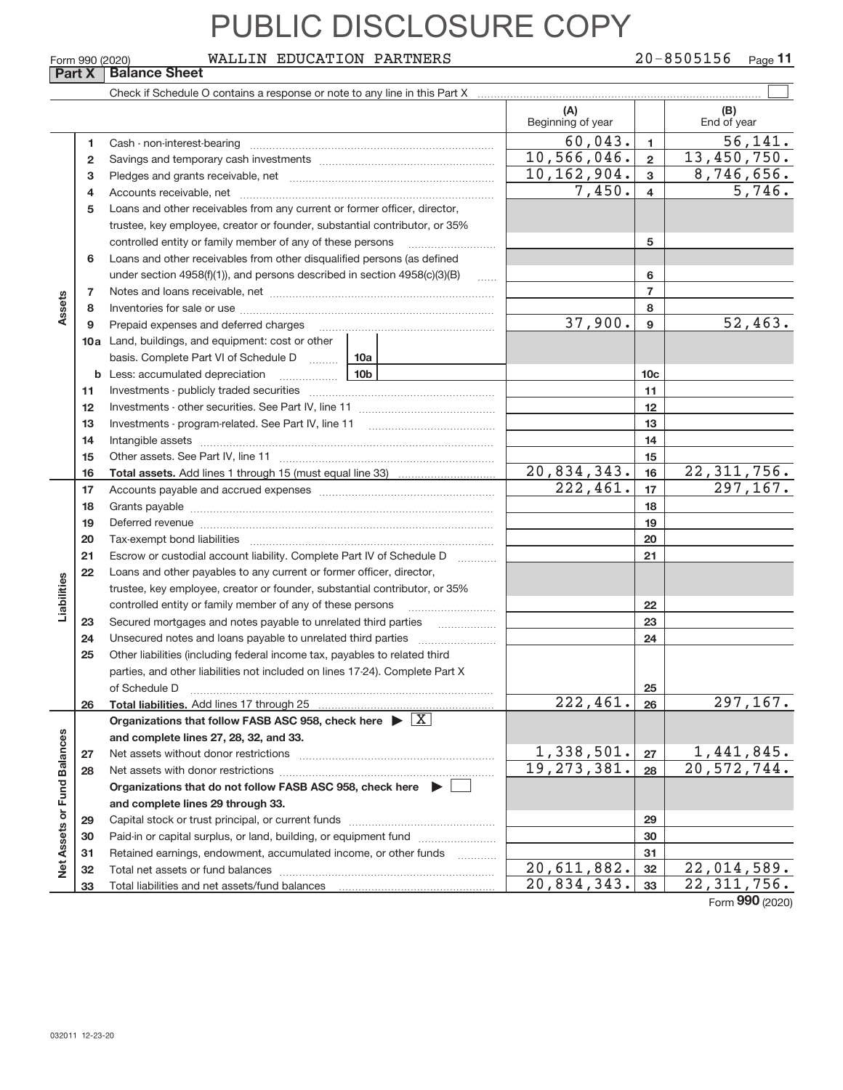#### $_{\rm Form}$   $_{990}$   $_{(2020)}$   $_{\rm WALLIN}$   $_{\rm EDUCATION}$   $_{\rm PARTNERS}$   $_{\rm 20-8505156}$   $_{\rm Page}$

|                             | Form 990 (2020) | WALLIN EDUCATION PARTNERS                                                                                                                                                                                                      |                          |                 | $20 - 8505156$<br>$Page$ <sup>11</sup> |
|-----------------------------|-----------------|--------------------------------------------------------------------------------------------------------------------------------------------------------------------------------------------------------------------------------|--------------------------|-----------------|----------------------------------------|
|                             | Part X          | <b>Balance Sheet</b>                                                                                                                                                                                                           |                          |                 |                                        |
|                             |                 |                                                                                                                                                                                                                                |                          |                 |                                        |
|                             |                 |                                                                                                                                                                                                                                | (A)<br>Beginning of year |                 | (B)<br>End of year                     |
|                             | 1               |                                                                                                                                                                                                                                | 60,043.                  | $\mathbf{1}$    | 56, 141.                               |
|                             | 2               |                                                                                                                                                                                                                                | 10, 566, 046.            | $\mathbf{2}$    | 13,450,750.                            |
|                             | з               |                                                                                                                                                                                                                                | 10, 162, 904.            | 3               | 8,746,656.                             |
|                             | 4               |                                                                                                                                                                                                                                | 7,450.                   | $\overline{4}$  | 5,746.                                 |
|                             | 5               | Loans and other receivables from any current or former officer, director,                                                                                                                                                      |                          |                 |                                        |
|                             |                 | trustee, key employee, creator or founder, substantial contributor, or 35%                                                                                                                                                     |                          |                 |                                        |
|                             |                 | controlled entity or family member of any of these persons                                                                                                                                                                     |                          | 5               |                                        |
|                             | 6               | Loans and other receivables from other disqualified persons (as defined                                                                                                                                                        |                          |                 |                                        |
|                             |                 | under section $4958(f)(1)$ , and persons described in section $4958(c)(3)(B)$                                                                                                                                                  |                          | 6               |                                        |
|                             | 7               |                                                                                                                                                                                                                                |                          | $\overline{7}$  |                                        |
| Assets                      | 8               |                                                                                                                                                                                                                                |                          | 8               |                                        |
|                             | 9               | Prepaid expenses and deferred charges [11] matter contracts and set of the charges [11] matter contracts and the Prepaid expenses and deferred charges [11] matter contracts and the Prepaid experiment of Prepaid experiment  | 37,900.                  | 9               | 52,463.                                |
|                             |                 | <b>10a</b> Land, buildings, and equipment: cost or other                                                                                                                                                                       |                          |                 |                                        |
|                             |                 | basis. Complete Part VI of Schedule D  10a                                                                                                                                                                                     |                          |                 |                                        |
|                             |                 | 10 <sub>b</sub><br><b>b</b> Less: accumulated depreciation<br>. 1                                                                                                                                                              |                          | 10 <sub>c</sub> |                                        |
|                             | 11              |                                                                                                                                                                                                                                |                          | 11              |                                        |
|                             | 12              |                                                                                                                                                                                                                                |                          | 12              |                                        |
|                             | 13<br>14        |                                                                                                                                                                                                                                |                          | 13<br>14        |                                        |
|                             | 15              |                                                                                                                                                                                                                                |                          | 15              |                                        |
|                             | 16              |                                                                                                                                                                                                                                | 20,834,343.              | 16              | 22, 311, 756.                          |
|                             | 17              |                                                                                                                                                                                                                                | 222,461.                 | 17              | 297, 167.                              |
|                             | 18              |                                                                                                                                                                                                                                |                          | 18              |                                        |
|                             | 19              | Deferred revenue manual contracts and contracts are contracted and contract and contract are contracted and contract are contracted and contract are contracted and contract are contracted and contract are contracted and co |                          | 19              |                                        |
|                             | 20              |                                                                                                                                                                                                                                |                          | 20              |                                        |
|                             | 21              | Escrow or custodial account liability. Complete Part IV of Schedule D                                                                                                                                                          |                          | 21              |                                        |
|                             | 22              | Loans and other payables to any current or former officer, director,                                                                                                                                                           |                          |                 |                                        |
|                             |                 | trustee, key employee, creator or founder, substantial contributor, or 35%                                                                                                                                                     |                          |                 |                                        |
| Liabilities                 |                 | controlled entity or family member of any of these persons                                                                                                                                                                     |                          | 22              |                                        |
|                             | 23              |                                                                                                                                                                                                                                |                          | 23              |                                        |
|                             | 24              |                                                                                                                                                                                                                                |                          | 24              |                                        |
|                             | 25              | Other liabilities (including federal income tax, payables to related third                                                                                                                                                     |                          |                 |                                        |
|                             |                 | parties, and other liabilities not included on lines 17-24). Complete Part X                                                                                                                                                   |                          |                 |                                        |
|                             |                 | of Schedule D                                                                                                                                                                                                                  | 222,461.                 | 25              | 297, 167.                              |
|                             | 26              | Total liabilities. Add lines 17 through 25<br>Organizations that follow FASB ASC 958, check here $\blacktriangleright \boxed{X}$                                                                                               |                          | 26              |                                        |
|                             |                 | and complete lines 27, 28, 32, and 33.                                                                                                                                                                                         |                          |                 |                                        |
|                             | 27              |                                                                                                                                                                                                                                | 1,338,501.               | 27              | 1,441,845.                             |
|                             | 28              | Net assets with donor restrictions                                                                                                                                                                                             | 19, 273, 381.            | 28              | $\overline{20, 572, 744.}$             |
|                             |                 | Organizations that do not follow FASB ASC 958, check here $\blacktriangleright$                                                                                                                                                |                          |                 |                                        |
| Net Assets or Fund Balances |                 | and complete lines 29 through 33.                                                                                                                                                                                              |                          |                 |                                        |
|                             | 29              |                                                                                                                                                                                                                                |                          | 29              |                                        |
|                             | 30              | Paid-in or capital surplus, or land, building, or equipment fund                                                                                                                                                               |                          | 30              |                                        |
|                             | 31              | Retained earnings, endowment, accumulated income, or other funds                                                                                                                                                               |                          | 31              |                                        |
|                             | 32              | Total net assets or fund balances                                                                                                                                                                                              | 20,611,882.              | 32              | 22,014,589.                            |
|                             | 33              |                                                                                                                                                                                                                                | 20,834,343.              | 33              | 22, 311, 756.                          |
|                             |                 |                                                                                                                                                                                                                                |                          |                 | Form 990 (2020)                        |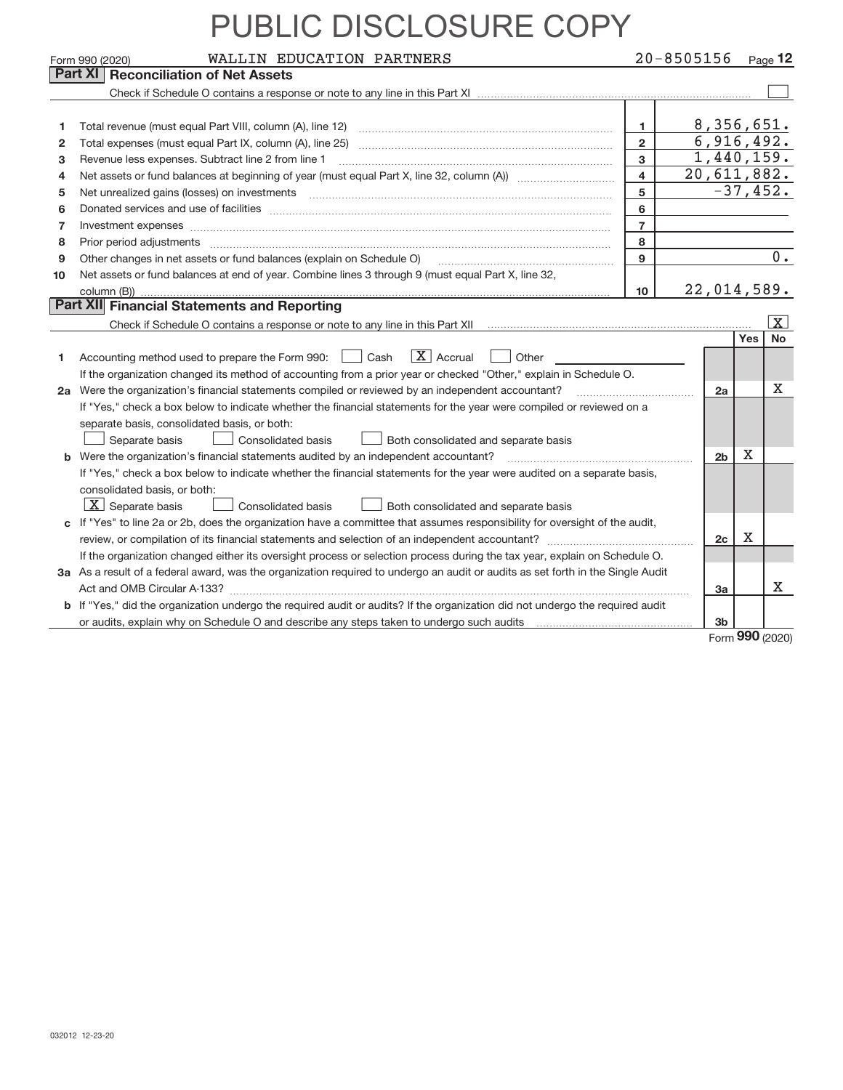|    | WALLIN EDUCATION PARTNERS<br>Form 990 (2020)                                                                                                                                                                                   |                 | $20 - 8505156$ |             | $P_{A}$ 12              |
|----|--------------------------------------------------------------------------------------------------------------------------------------------------------------------------------------------------------------------------------|-----------------|----------------|-------------|-------------------------|
|    | <b>Part XI</b><br><b>Reconciliation of Net Assets</b>                                                                                                                                                                          |                 |                |             |                         |
|    |                                                                                                                                                                                                                                |                 |                |             |                         |
|    |                                                                                                                                                                                                                                |                 |                |             |                         |
| 1  | Total revenue (must equal Part VIII, column (A), line 12)                                                                                                                                                                      | $\mathbf{1}$    | 8,356,651.     |             |                         |
| 2  |                                                                                                                                                                                                                                | $\overline{2}$  | 6,916,492.     |             |                         |
| з  | Revenue less expenses. Subtract line 2 from line 1                                                                                                                                                                             | 3               | 1,440,159.     |             |                         |
| 4  |                                                                                                                                                                                                                                | $\overline{4}$  | 20,611,882.    |             |                         |
| 5  |                                                                                                                                                                                                                                | 5               |                |             | $-37,452.$              |
| 6  | Donated services and use of facilities [111] Donated and the service of facilities [11] Donated services and use of facilities [11] Donated and the service of the service of the service of the service of the service of the | 6               |                |             |                         |
| 7  | Investment expenses www.communication.com/www.communication.com/www.communication.com/www.communication.com                                                                                                                    | $\overline{7}$  |                |             |                         |
| 8  | Prior period adjustments                                                                                                                                                                                                       | 8               |                |             |                         |
| 9  | Other changes in net assets or fund balances (explain on Schedule O)                                                                                                                                                           | $\mathbf{9}$    |                |             | 0.                      |
| 10 | Net assets or fund balances at end of year. Combine lines 3 through 9 (must equal Part X, line 32,                                                                                                                             |                 |                |             |                         |
|    |                                                                                                                                                                                                                                | 10 <sup>1</sup> | 22,014,589.    |             |                         |
|    | <b>Part XII Financial Statements and Reporting</b>                                                                                                                                                                             |                 |                |             |                         |
|    |                                                                                                                                                                                                                                |                 |                |             | $\overline{\mathbf{X}}$ |
|    |                                                                                                                                                                                                                                |                 |                | Yes         | <b>No</b>               |
| 1. | $ X $ Accrual<br>Accounting method used to prepare the Form 990: [130] Cash<br>Other                                                                                                                                           |                 |                |             |                         |
|    | If the organization changed its method of accounting from a prior year or checked "Other," explain in Schedule O.                                                                                                              |                 |                |             |                         |
|    | 2a Were the organization's financial statements compiled or reviewed by an independent accountant?                                                                                                                             |                 | 2a             |             | X                       |
|    | If "Yes," check a box below to indicate whether the financial statements for the year were compiled or reviewed on a                                                                                                           |                 |                |             |                         |
|    | separate basis, consolidated basis, or both:                                                                                                                                                                                   |                 |                |             |                         |
|    | Separate basis<br><b>Consolidated basis</b><br>Both consolidated and separate basis                                                                                                                                            |                 |                |             |                         |
|    | <b>b</b> Were the organization's financial statements audited by an independent accountant?                                                                                                                                    |                 | 2 <sub>b</sub> | $\mathbf X$ |                         |
|    | If "Yes," check a box below to indicate whether the financial statements for the year were audited on a separate basis,                                                                                                        |                 |                |             |                         |
|    | consolidated basis, or both:                                                                                                                                                                                                   |                 |                |             |                         |
|    | $\vert X \vert$ Separate basis<br><b>Consolidated basis</b><br>Both consolidated and separate basis                                                                                                                            |                 |                |             |                         |
|    | c If "Yes" to line 2a or 2b, does the organization have a committee that assumes responsibility for oversight of the audit,                                                                                                    |                 |                |             |                         |
|    |                                                                                                                                                                                                                                |                 | 2c             | $\mathbf X$ |                         |
|    | If the organization changed either its oversight process or selection process during the tax year, explain on Schedule O.                                                                                                      |                 |                |             |                         |
|    | 3a As a result of a federal award, was the organization required to undergo an audit or audits as set forth in the Single Audit                                                                                                |                 |                |             |                         |
|    |                                                                                                                                                                                                                                |                 | 3a             |             | x                       |
|    | <b>b</b> If "Yes," did the organization undergo the required audit or audits? If the organization did not undergo the required audit                                                                                           |                 |                |             |                         |
|    | or audits, explain why on Schedule O and describe any steps taken to undergo such audits [11] contains the school of audits [11] or audits [11] or audits [11] or audits [11] or audits [11] or audits [11] or audits [11] or  |                 | 3b             |             |                         |

Form (2020) **990**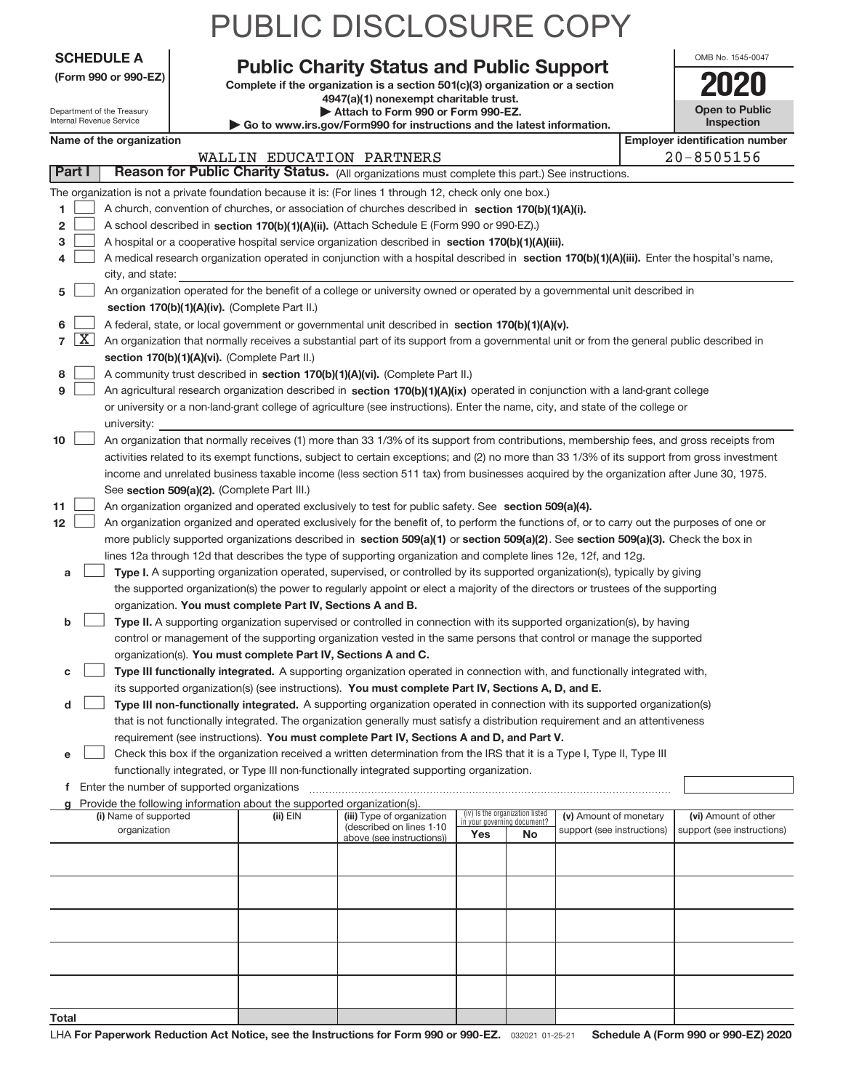|                   | PUBLIC DISCLOSURE COPY                          |  |
|-------------------|-------------------------------------------------|--|
| <b>SCHEDULE A</b> | <b>Dublic Charity Status and Dublic Support</b> |  |

|  | (Form 990 or 990-EZ) |
|--|----------------------|
|  |                      |

Department of the Treasury Internal Revenue Service

#### **Public Charity Status and Public Support**

**Complete if the organization is a section 501(c)(3) organization or a section 4947(a)(1) nonexempt charitable trust. | Attach to Form 990 or Form 990‐EZ. | Go to www.irs.gov/Form990 for instructions and the latest information.**

| <b>Open to Public</b><br><b>Inspection</b> |  |
|--------------------------------------------|--|
|                                            |  |

1545-0047

#### **Name of the organization Employer identification number Employer identification number**

|        |                     |                                                                                                                                              |              | WALLIN EDUCATION PARTNERS  |                                           |                                 |                            | $20 - 8505156$             |
|--------|---------------------|----------------------------------------------------------------------------------------------------------------------------------------------|--------------|----------------------------|-------------------------------------------|---------------------------------|----------------------------|----------------------------|
| Part I |                     | Reason for Public Charity Status. (All organizations must complete this part.) See instructions.                                             |              |                            |                                           |                                 |                            |                            |
|        |                     | The organization is not a private foundation because it is: (For lines 1 through 12, check only one box.)                                    |              |                            |                                           |                                 |                            |                            |
| 1      |                     | A church, convention of churches, or association of churches described in section 170(b)(1)(A)(i).                                           |              |                            |                                           |                                 |                            |                            |
| 2      |                     | A school described in section 170(b)(1)(A)(ii). (Attach Schedule E (Form 990 or 990-EZ).)                                                    |              |                            |                                           |                                 |                            |                            |
| 3      |                     | A hospital or a cooperative hospital service organization described in section 170(b)(1)(A)(iii).                                            |              |                            |                                           |                                 |                            |                            |
| 4      |                     | A medical research organization operated in conjunction with a hospital described in section 170(b)(1)(A)(iii). Enter the hospital's name,   |              |                            |                                           |                                 |                            |                            |
|        |                     | city, and state:                                                                                                                             |              |                            |                                           |                                 |                            |                            |
| 5      |                     | An organization operated for the benefit of a college or university owned or operated by a governmental unit described in                    |              |                            |                                           |                                 |                            |                            |
|        |                     | section 170(b)(1)(A)(iv). (Complete Part II.)                                                                                                |              |                            |                                           |                                 |                            |                            |
| 6      |                     | A federal, state, or local government or governmental unit described in section 170(b)(1)(A)(v).                                             |              |                            |                                           |                                 |                            |                            |
| 7      | $\lfloor x \rfloor$ |                                                                                                                                              |              |                            |                                           |                                 |                            |                            |
|        |                     | An organization that normally receives a substantial part of its support from a governmental unit or from the general public described in    |              |                            |                                           |                                 |                            |                            |
|        |                     | section 170(b)(1)(A)(vi). (Complete Part II.)                                                                                                |              |                            |                                           |                                 |                            |                            |
| 8      |                     | A community trust described in section 170(b)(1)(A)(vi). (Complete Part II.)                                                                 |              |                            |                                           |                                 |                            |                            |
| 9      |                     | An agricultural research organization described in section 170(b)(1)(A)(ix) operated in conjunction with a land-grant college                |              |                            |                                           |                                 |                            |                            |
|        |                     | or university or a non-land-grant college of agriculture (see instructions). Enter the name, city, and state of the college or               |              |                            |                                           |                                 |                            |                            |
|        |                     | university:                                                                                                                                  |              |                            |                                           |                                 |                            |                            |
| 10     |                     | An organization that normally receives (1) more than 33 1/3% of its support from contributions, membership fees, and gross receipts from     |              |                            |                                           |                                 |                            |                            |
|        |                     | activities related to its exempt functions, subject to certain exceptions; and (2) no more than 33 1/3% of its support from gross investment |              |                            |                                           |                                 |                            |                            |
|        |                     | income and unrelated business taxable income (less section 511 tax) from businesses acquired by the organization after June 30, 1975.        |              |                            |                                           |                                 |                            |                            |
|        |                     | See section 509(a)(2). (Complete Part III.)                                                                                                  |              |                            |                                           |                                 |                            |                            |
| 11     |                     | An organization organized and operated exclusively to test for public safety. See section 509(a)(4).                                         |              |                            |                                           |                                 |                            |                            |
| 12     |                     | An organization organized and operated exclusively for the benefit of, to perform the functions of, or to carry out the purposes of one or   |              |                            |                                           |                                 |                            |                            |
|        |                     | more publicly supported organizations described in section 509(a)(1) or section 509(a)(2). See section 509(a)(3). Check the box in           |              |                            |                                           |                                 |                            |                            |
|        |                     | lines 12a through 12d that describes the type of supporting organization and complete lines 12e, 12f, and 12g.                               |              |                            |                                           |                                 |                            |                            |
| a      |                     | Type I. A supporting organization operated, supervised, or controlled by its supported organization(s), typically by giving                  |              |                            |                                           |                                 |                            |                            |
|        |                     | the supported organization(s) the power to regularly appoint or elect a majority of the directors or trustees of the supporting              |              |                            |                                           |                                 |                            |                            |
|        |                     | organization. You must complete Part IV, Sections A and B.                                                                                   |              |                            |                                           |                                 |                            |                            |
| b      |                     | Type II. A supporting organization supervised or controlled in connection with its supported organization(s), by having                      |              |                            |                                           |                                 |                            |                            |
|        |                     | control or management of the supporting organization vested in the same persons that control or manage the supported                         |              |                            |                                           |                                 |                            |                            |
|        |                     | organization(s). You must complete Part IV, Sections A and C.                                                                                |              |                            |                                           |                                 |                            |                            |
| с      |                     | Type III functionally integrated. A supporting organization operated in connection with, and functionally integrated with,                   |              |                            |                                           |                                 |                            |                            |
|        |                     | its supported organization(s) (see instructions). You must complete Part IV, Sections A, D, and E.                                           |              |                            |                                           |                                 |                            |                            |
| d      |                     | Type III non-functionally integrated. A supporting organization operated in connection with its supported organization(s)                    |              |                            |                                           |                                 |                            |                            |
|        |                     | that is not functionally integrated. The organization generally must satisfy a distribution requirement and an attentiveness                 |              |                            |                                           |                                 |                            |                            |
|        |                     | requirement (see instructions). You must complete Part IV, Sections A and D, and Part V.                                                     |              |                            |                                           |                                 |                            |                            |
| е      |                     | Check this box if the organization received a written determination from the IRS that it is a Type I, Type II, Type III                      |              |                            |                                           |                                 |                            |                            |
|        |                     | functionally integrated, or Type III non-functionally integrated supporting organization.                                                    |              |                            |                                           |                                 |                            |                            |
|        |                     | f Enter the number of supported organizations                                                                                                |              |                            |                                           |                                 |                            |                            |
|        |                     | g Provide the following information about the supported organization(s).<br>(i) Name of supported                                            | $(ii)$ $EIN$ | (iii) Type of organization |                                           | (iv) Is the organization listed | (v) Amount of monetary     | (vi) Amount of other       |
|        |                     | organization                                                                                                                                 |              | (described on lines 1-10   | in vour governing document?<br><b>Yes</b> | No                              | support (see instructions) | support (see instructions) |
|        |                     |                                                                                                                                              |              | above (see instructions))  |                                           |                                 |                            |                            |
|        |                     |                                                                                                                                              |              |                            |                                           |                                 |                            |                            |
|        |                     |                                                                                                                                              |              |                            |                                           |                                 |                            |                            |
|        |                     |                                                                                                                                              |              |                            |                                           |                                 |                            |                            |
|        |                     |                                                                                                                                              |              |                            |                                           |                                 |                            |                            |
|        |                     |                                                                                                                                              |              |                            |                                           |                                 |                            |                            |
|        |                     |                                                                                                                                              |              |                            |                                           |                                 |                            |                            |
|        |                     |                                                                                                                                              |              |                            |                                           |                                 |                            |                            |
|        |                     |                                                                                                                                              |              |                            |                                           |                                 |                            |                            |
|        |                     |                                                                                                                                              |              |                            |                                           |                                 |                            |                            |
| Total  |                     |                                                                                                                                              |              |                            |                                           |                                 |                            |                            |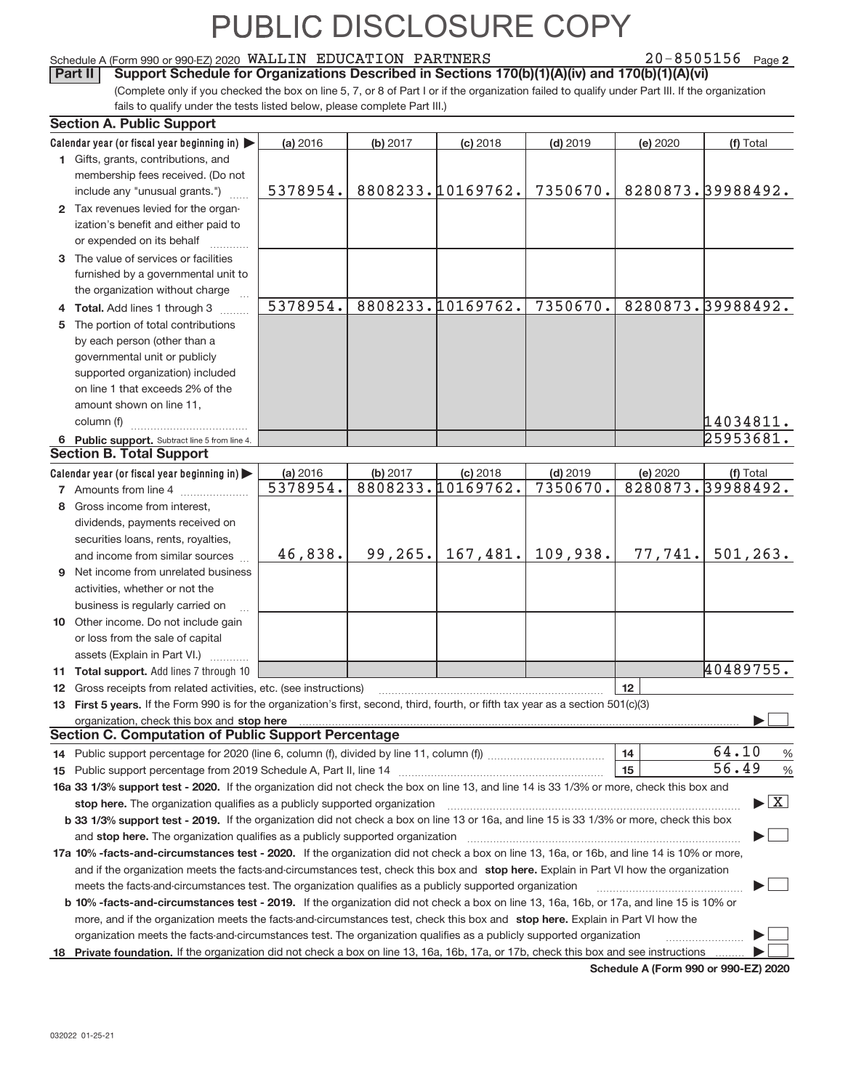#### Schedule A (Form 990 or 990‐EZ) 2020  $\,$  WALLIN EDUCATION PARTNERS  $20$  –  $8505156$  Page

20-8505156 Page 2

(Complete only if you checked the box on line 5, 7, or 8 of Part I or if the organization failed to qualify under Part III. If the organization fails to qualify under the tests listed below, please complete Part III.) **Part II** Support Schedule for Organizations Described in Sections 170(b)(1)(A)(iv) and 170(b)(1)(A)(vi)

| <b>Section A. Public Support</b>                                                                                                                                                                                               |          |          |                   |            |          |                                          |
|--------------------------------------------------------------------------------------------------------------------------------------------------------------------------------------------------------------------------------|----------|----------|-------------------|------------|----------|------------------------------------------|
| Calendar year (or fiscal year beginning in)                                                                                                                                                                                    | (a) 2016 | (b) 2017 | $(c)$ 2018        | $(d)$ 2019 | (e) 2020 | (f) Total                                |
| 1 Gifts, grants, contributions, and                                                                                                                                                                                            |          |          |                   |            |          |                                          |
| membership fees received. (Do not                                                                                                                                                                                              |          |          |                   |            |          |                                          |
| include any "unusual grants.")                                                                                                                                                                                                 | 5378954. |          | 8808233.10169762. | 7350670.   |          | 8280873.39988492.                        |
| 2 Tax revenues levied for the organ-                                                                                                                                                                                           |          |          |                   |            |          |                                          |
| ization's benefit and either paid to                                                                                                                                                                                           |          |          |                   |            |          |                                          |
| or expended on its behalf                                                                                                                                                                                                      |          |          |                   |            |          |                                          |
| 3 The value of services or facilities                                                                                                                                                                                          |          |          |                   |            |          |                                          |
| furnished by a governmental unit to                                                                                                                                                                                            |          |          |                   |            |          |                                          |
| the organization without charge                                                                                                                                                                                                |          |          |                   |            |          |                                          |
| 4 Total. Add lines 1 through 3                                                                                                                                                                                                 | 5378954. |          | 8808233.10169762. | 7350670.   |          | 8280873.39988492.                        |
| The portion of total contributions                                                                                                                                                                                             |          |          |                   |            |          |                                          |
| by each person (other than a                                                                                                                                                                                                   |          |          |                   |            |          |                                          |
| governmental unit or publicly                                                                                                                                                                                                  |          |          |                   |            |          |                                          |
| supported organization) included                                                                                                                                                                                               |          |          |                   |            |          |                                          |
| on line 1 that exceeds 2% of the                                                                                                                                                                                               |          |          |                   |            |          |                                          |
| amount shown on line 11,                                                                                                                                                                                                       |          |          |                   |            |          |                                          |
| column (f)                                                                                                                                                                                                                     |          |          |                   |            |          | 14034811.                                |
| 6 Public support. Subtract line 5 from line 4.                                                                                                                                                                                 |          |          |                   |            |          | $\overline{25953681}$ .                  |
| <b>Section B. Total Support</b>                                                                                                                                                                                                |          |          |                   |            |          |                                          |
| Calendar year (or fiscal year beginning in)                                                                                                                                                                                    | (a) 2016 | (b) 2017 | $(c)$ 2018        | $(d)$ 2019 | (e) 2020 | (f) Total                                |
| <b>7</b> Amounts from line 4                                                                                                                                                                                                   | 5378954. |          | 8808233.10169762. | 7350670.   |          | 8280873.39988492.                        |
| 8 Gross income from interest,                                                                                                                                                                                                  |          |          |                   |            |          |                                          |
| dividends, payments received on                                                                                                                                                                                                |          |          |                   |            |          |                                          |
| securities loans, rents, royalties,                                                                                                                                                                                            |          |          |                   |            |          |                                          |
| and income from similar sources                                                                                                                                                                                                | 46,838.  | 99, 265. | 167,481.          | 109,938.   | 77,741.  | 501, 263.                                |
| <b>9</b> Net income from unrelated business                                                                                                                                                                                    |          |          |                   |            |          |                                          |
| activities, whether or not the                                                                                                                                                                                                 |          |          |                   |            |          |                                          |
| business is regularly carried on                                                                                                                                                                                               |          |          |                   |            |          |                                          |
| 10 Other income. Do not include gain                                                                                                                                                                                           |          |          |                   |            |          |                                          |
| or loss from the sale of capital                                                                                                                                                                                               |          |          |                   |            |          |                                          |
| assets (Explain in Part VI.)                                                                                                                                                                                                   |          |          |                   |            |          |                                          |
| 11 Total support. Add lines 7 through 10                                                                                                                                                                                       |          |          |                   |            |          | 40489755.                                |
| 12 Gross receipts from related activities, etc. (see instructions)                                                                                                                                                             |          |          |                   |            | 12       |                                          |
| 13 First 5 years. If the Form 990 is for the organization's first, second, third, fourth, or fifth tax year as a section 501(c)(3)                                                                                             |          |          |                   |            |          |                                          |
| organization, check this box and stop here manufactured and according to the state of the state of the state of the state of the state of the state of the state of the state of the state of the state of the state of the st |          |          |                   |            |          |                                          |
| Section C. Computation of Public Support Percentage                                                                                                                                                                            |          |          |                   |            |          |                                          |
|                                                                                                                                                                                                                                |          |          |                   |            | 14       | 64.10<br>%                               |
|                                                                                                                                                                                                                                |          |          |                   |            | 15       | 56.49<br>$\%$                            |
| 16a 33 1/3% support test - 2020. If the organization did not check the box on line 13, and line 14 is 33 1/3% or more, check this box and                                                                                      |          |          |                   |            |          |                                          |
| stop here. The organization qualifies as a publicly supported organization                                                                                                                                                     |          |          |                   |            |          | $\blacktriangleright$ $\boxed{\text{X}}$ |
| b 33 1/3% support test - 2019. If the organization did not check a box on line 13 or 16a, and line 15 is 33 1/3% or more, check this box                                                                                       |          |          |                   |            |          |                                          |
| and stop here. The organization qualifies as a publicly supported organization                                                                                                                                                 |          |          |                   |            |          |                                          |
| 17a 10% -facts-and-circumstances test - 2020. If the organization did not check a box on line 13, 16a, or 16b, and line 14 is 10% or more,                                                                                     |          |          |                   |            |          |                                          |
| and if the organization meets the facts and circumstances test, check this box and stop here. Explain in Part VI how the organization                                                                                          |          |          |                   |            |          |                                          |
| meets the facts-and-circumstances test. The organization qualifies as a publicly supported organization                                                                                                                        |          |          |                   |            |          |                                          |
| <b>b 10% -facts-and-circumstances test - 2019.</b> If the organization did not check a box on line 13, 16a, 16b, or 17a, and line 15 is 10% or                                                                                 |          |          |                   |            |          |                                          |
| more, and if the organization meets the facts-and-circumstances test, check this box and stop here. Explain in Part VI how the                                                                                                 |          |          |                   |            |          |                                          |
| organization meets the facts-and-circumstances test. The organization qualifies as a publicly supported organization                                                                                                           |          |          |                   |            |          |                                          |
| 18 Private foundation. If the organization did not check a box on line 13, 16a, 16b, 17a, or 17b, check this box and see instructions                                                                                          |          |          |                   |            |          |                                          |
|                                                                                                                                                                                                                                |          |          |                   |            |          |                                          |

**Schedule A (Form 990 or 990‐EZ) 2020**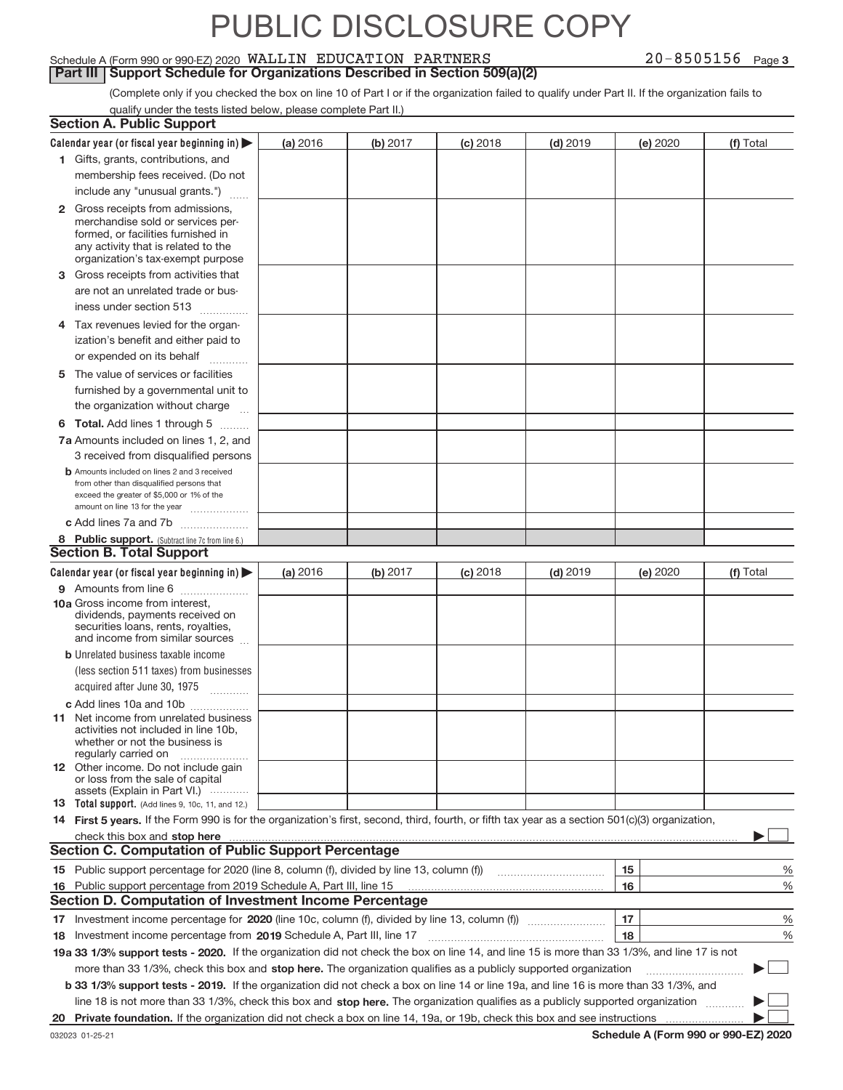#### Schedule A (Form 990 or 990‐EZ) 2020  $\,$  WALLIN EDUCATION PARTNERS  $20$  –  $8505156$  Page **Part III | Support Schedule for Organizations Described in Section 509(a)(2)**

20-8505156 Page 3

(Complete only if you checked the box on line 10 of Part I or if the organization failed to qualify under Part II. If the organization fails to qualify under the tests listed below, please complete Part II.)

|    | <b>Section A. Public Support</b>                                                                                                                                                                                                         |          |          |            |            |    |          |           |
|----|------------------------------------------------------------------------------------------------------------------------------------------------------------------------------------------------------------------------------------------|----------|----------|------------|------------|----|----------|-----------|
|    | Calendar year (or fiscal year beginning in) $\blacktriangleright$                                                                                                                                                                        | (a) 2016 | (b) 2017 | $(c)$ 2018 | $(d)$ 2019 |    | (e) 2020 | (f) Total |
|    | 1 Gifts, grants, contributions, and                                                                                                                                                                                                      |          |          |            |            |    |          |           |
|    | membership fees received. (Do not                                                                                                                                                                                                        |          |          |            |            |    |          |           |
|    | include any "unusual grants.")                                                                                                                                                                                                           |          |          |            |            |    |          |           |
|    | <b>2</b> Gross receipts from admissions,                                                                                                                                                                                                 |          |          |            |            |    |          |           |
|    | merchandise sold or services per-                                                                                                                                                                                                        |          |          |            |            |    |          |           |
|    | formed, or facilities furnished in<br>any activity that is related to the                                                                                                                                                                |          |          |            |            |    |          |           |
|    | organization's tax-exempt purpose                                                                                                                                                                                                        |          |          |            |            |    |          |           |
|    | 3 Gross receipts from activities that                                                                                                                                                                                                    |          |          |            |            |    |          |           |
|    | are not an unrelated trade or bus-                                                                                                                                                                                                       |          |          |            |            |    |          |           |
|    | iness under section 513                                                                                                                                                                                                                  |          |          |            |            |    |          |           |
|    | 4 Tax revenues levied for the organ-                                                                                                                                                                                                     |          |          |            |            |    |          |           |
|    | ization's benefit and either paid to                                                                                                                                                                                                     |          |          |            |            |    |          |           |
|    | or expended on its behalf                                                                                                                                                                                                                |          |          |            |            |    |          |           |
| 5. | The value of services or facilities                                                                                                                                                                                                      |          |          |            |            |    |          |           |
|    | furnished by a governmental unit to                                                                                                                                                                                                      |          |          |            |            |    |          |           |
|    | the organization without charge                                                                                                                                                                                                          |          |          |            |            |    |          |           |
|    |                                                                                                                                                                                                                                          |          |          |            |            |    |          |           |
|    | <b>6 Total.</b> Add lines 1 through 5                                                                                                                                                                                                    |          |          |            |            |    |          |           |
|    | 7a Amounts included on lines 1, 2, and                                                                                                                                                                                                   |          |          |            |            |    |          |           |
|    | 3 received from disqualified persons<br><b>b</b> Amounts included on lines 2 and 3 received                                                                                                                                              |          |          |            |            |    |          |           |
|    | from other than disqualified persons that                                                                                                                                                                                                |          |          |            |            |    |          |           |
|    | exceed the greater of \$5,000 or 1% of the                                                                                                                                                                                               |          |          |            |            |    |          |           |
|    | amount on line 13 for the year                                                                                                                                                                                                           |          |          |            |            |    |          |           |
|    | c Add lines 7a and 7b                                                                                                                                                                                                                    |          |          |            |            |    |          |           |
|    | 8 Public support. (Subtract line 7c from line 6.)                                                                                                                                                                                        |          |          |            |            |    |          |           |
|    | <b>Section B. Total Support</b>                                                                                                                                                                                                          |          |          |            |            |    |          |           |
|    | Calendar year (or fiscal year beginning in)                                                                                                                                                                                              | (a) 2016 | (b) 2017 | $(c)$ 2018 | $(d)$ 2019 |    | (e) 2020 | (f) Total |
|    | 9 Amounts from line 6                                                                                                                                                                                                                    |          |          |            |            |    |          |           |
|    | <b>10a Gross income from interest.</b><br>dividends, payments received on                                                                                                                                                                |          |          |            |            |    |          |           |
|    | securities loans, rents, royalties,                                                                                                                                                                                                      |          |          |            |            |    |          |           |
|    | and income from similar sources                                                                                                                                                                                                          |          |          |            |            |    |          |           |
|    | <b>b</b> Unrelated business taxable income                                                                                                                                                                                               |          |          |            |            |    |          |           |
|    | (less section 511 taxes) from businesses                                                                                                                                                                                                 |          |          |            |            |    |          |           |
|    | acquired after June 30, 1975                                                                                                                                                                                                             |          |          |            |            |    |          |           |
|    | c Add lines 10a and 10b                                                                                                                                                                                                                  |          |          |            |            |    |          |           |
|    | <b>11</b> Net income from unrelated business                                                                                                                                                                                             |          |          |            |            |    |          |           |
|    | activities not included in line 10b,                                                                                                                                                                                                     |          |          |            |            |    |          |           |
|    | whether or not the business is<br>regularly carried on                                                                                                                                                                                   |          |          |            |            |    |          |           |
|    | 12 Other income. Do not include gain                                                                                                                                                                                                     |          |          |            |            |    |          |           |
|    | or loss from the sale of capital                                                                                                                                                                                                         |          |          |            |            |    |          |           |
|    | assets (Explain in Part VI.)<br><b>13</b> Total support. (Add lines 9, 10c, 11, and 12.)                                                                                                                                                 |          |          |            |            |    |          |           |
|    | 14 First 5 years. If the Form 990 is for the organization's first, second, third, fourth, or fifth tax year as a section 501(c)(3) organization,                                                                                         |          |          |            |            |    |          |           |
|    | check this box and stop here <b>contractly contractly and stop here</b> contractly contract this box and stop here <b>contractly and stop here</b> contractly and the state of the state of the state of the state of the state of the s |          |          |            |            |    |          |           |
|    | <b>Section C. Computation of Public Support Percentage</b>                                                                                                                                                                               |          |          |            |            |    |          |           |
|    | 15 Public support percentage for 2020 (line 8, column (f), divided by line 13, column (f))                                                                                                                                               |          |          |            |            | 15 |          | %         |
| 16 | Public support percentage from 2019 Schedule A, Part III, line 15                                                                                                                                                                        |          |          |            |            | 16 |          | %         |
|    | <b>Section D. Computation of Investment Income Percentage</b>                                                                                                                                                                            |          |          |            |            |    |          |           |
|    |                                                                                                                                                                                                                                          |          |          |            |            | 17 |          | %         |
|    | 18 Investment income percentage from 2019 Schedule A, Part III, line 17                                                                                                                                                                  |          |          |            |            | 18 |          | %         |
|    | 19a 33 1/3% support tests - 2020. If the organization did not check the box on line 14, and line 15 is more than 33 1/3%, and line 17 is not                                                                                             |          |          |            |            |    |          |           |
|    | more than 33 1/3%, check this box and stop here. The organization qualifies as a publicly supported organization                                                                                                                         |          |          |            |            |    |          |           |
|    | b 33 1/3% support tests - 2019. If the organization did not check a box on line 14 or line 19a, and line 16 is more than 33 1/3%, and                                                                                                    |          |          |            |            |    |          |           |
|    | line 18 is not more than 33 1/3%, check this box and stop here. The organization qualifies as a publicly supported organization                                                                                                          |          |          |            |            |    |          |           |
|    |                                                                                                                                                                                                                                          |          |          |            |            |    |          |           |
| 20 |                                                                                                                                                                                                                                          |          |          |            |            |    |          |           |

**Schedule A (Form 990 or 990‐EZ) 2020**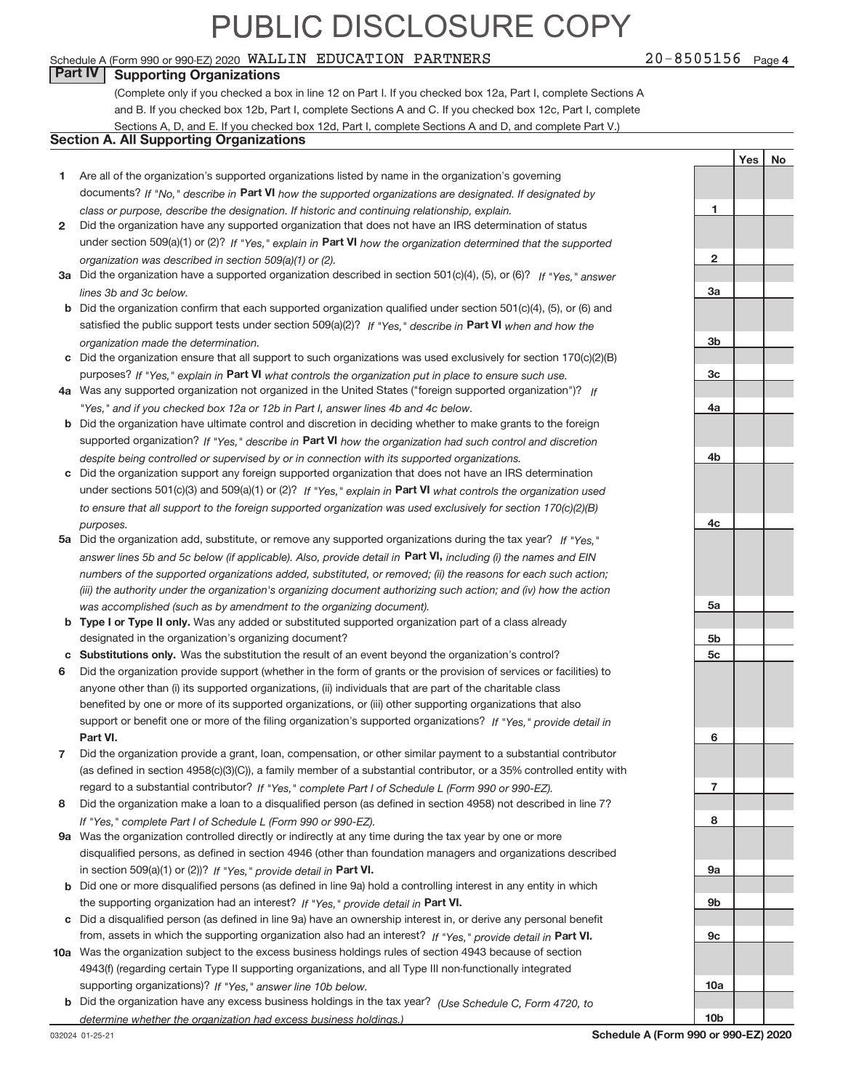#### Schedule A (Form 990 or 990‐EZ) 2020  $\,$  WALLIN EDUCATION PARTNERS  $20$  –  $8505156$  Page

#### **Part IV Supporting Organizations**

(Complete only if you checked a box in line 12 on Part I. If you checked box 12a, Part I, complete Sections A and B. If you checked box 12b, Part I, complete Sections A and C. If you checked box 12c, Part I, complete Sections A, D, and E. If you checked box 12d, Part I, complete Sections A and D, and complete Part V.)

#### **Section A. All Supporting Organizations**

- **1** Are all of the organization's supported organizations listed by name in the organization's governing documents? If "No," describe in Part VI how the supported organizations are designated. If designated by *class or purpose, describe the designation. If historic and continuing relationship, explain.*
- **2** under section 509(a)(1) or (2)? If "Yes," explain in Part VI how the organization determined that the supported *organization was described in section 509(a)(1) or (2).* Did the organization have any supported organization that does not have an IRS determination of status
- **3a** Did the organization have a supported organization described in section 501(c)(4), (5), or (6)? If "Yes," answer *lines 3b and 3c below.*
- **b** Did the organization confirm that each supported organization qualified under section 501(c)(4), (5), or (6) and satisfied the public support tests under section 509(a)(2)? If "Yes," describe in Part VI when and how the *organization made the determination.*
- **c** Did the organization ensure that all support to such organizations was used exclusively for section 170(c)(2)(B) purposes? If "Yes," explain in Part VI what controls the organization put in place to ensure such use.
- **4 a** *If* Was any supported organization not organized in the United States ("foreign supported organization")? *"Yes," and if you checked box 12a or 12b in Part I, answer lines 4b and 4c below.*
- **b** Did the organization have ultimate control and discretion in deciding whether to make grants to the foreign supported organization? If "Yes," describe in Part VI how the organization had such control and discretion *despite being controlled or supervised by or in connection with its supported organizations.*
- **c** Did the organization support any foreign supported organization that does not have an IRS determination under sections 501(c)(3) and 509(a)(1) or (2)? If "Yes," explain in Part VI what controls the organization used *to ensure that all support to the foreign supported organization was used exclusively for section 170(c)(2)(B) purposes.*
- **5a** Did the organization add, substitute, or remove any supported organizations during the tax year? If "Yes," answer lines 5b and 5c below (if applicable). Also, provide detail in Part VI, including (i) the names and EIN *numbers of the supported organizations added, substituted, or removed; (ii) the reasons for each such action; (iii) the authority under the organization's organizing document authorizing such action; and (iv) how the action was accomplished (such as by amendment to the organizing document).*
- **b** Type I or Type II only. Was any added or substituted supported organization part of a class already designated in the organization's organizing document?
- **c Substitutions only.**  Was the substitution the result of an event beyond the organization's control?
- **6** Did the organization provide support (whether in the form of grants or the provision of services or facilities) to **Part VI.** *If "Yes," provide detail in* support or benefit one or more of the filing organization's supported organizations? anyone other than (i) its supported organizations, (ii) individuals that are part of the charitable class benefited by one or more of its supported organizations, or (iii) other supporting organizations that also
- **7** regard to a substantial contributor? If "Yes," complete Part I of Schedule L (Form 990 or 990-EZ). Did the organization provide a grant, loan, compensation, or other similar payment to a substantial contributor (as defined in section 4958(c)(3)(C)), a family member of a substantial contributor, or a 35% controlled entity with
- **8** Did the organization make a loan to a disqualified person (as defined in section 4958) not described in line 7? *If "Yes," complete Part I of Schedule L (Form 990 or 990-EZ).*
- **9 a** Was the organization controlled directly or indirectly at any time during the tax year by one or more in section 509(a)(1) or (2))? If "Yes," provide detail in Part VI. disqualified persons, as defined in section 4946 (other than foundation managers and organizations described
- **b** the supporting organization had an interest? If "Yes," provide detail in Part VI. Did one or more disqualified persons (as defined in line 9a) hold a controlling interest in any entity in which
- **c** Did a disqualified person (as defined in line 9a) have an ownership interest in, or derive any personal benefit from, assets in which the supporting organization also had an interest? If "Yes," provide detail in Part VI.
- **10 a** Was the organization subject to the excess business holdings rules of section 4943 because of section supporting organizations)? If "Yes," answer line 10b below. 4943(f) (regarding certain Type II supporting organizations, and all Type III non‐functionally integrated
	- **b** Did the organization have any excess business holdings in the tax year? (Use Schedule C, Form 4720, to *determine whether the organization had excess business holdings.)*

**1 2 3a 3b 3c 4a 4b 4c 5a 5b 5c 6 7 8 9a 9b 9c 10a**

20-8505156 Page 4

Yes | No

**10b**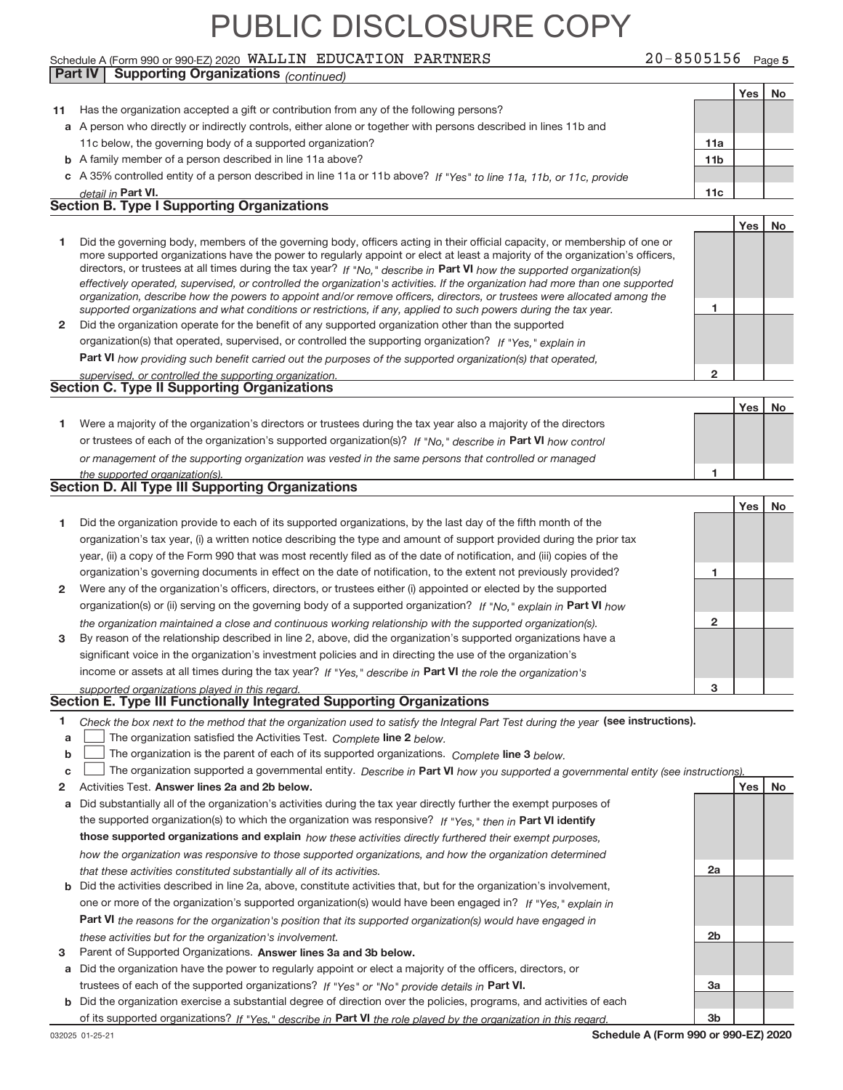#### Schedule A (Form 990 or 990‐EZ) 2020  $\,$  WALLIN EDUCATION PARTNERS  $20$  –  $8505156$  Page **Part IV Supporting Organizations** *(continued)*

**11** Has the organization accepted a gift or contribution from any of the following persons?

**a** A person who directly or indirectly controls, either alone or together with persons described in lines 11b and

#### 20-8505156 Page 5

Yes | No

|    | 11c below, the governing body of a supported organization?                                                                                                                                                                                                                                                                                                                                                                                                                                                                                                                                                                                                                                                                                                               | 11a          |            |    |
|----|--------------------------------------------------------------------------------------------------------------------------------------------------------------------------------------------------------------------------------------------------------------------------------------------------------------------------------------------------------------------------------------------------------------------------------------------------------------------------------------------------------------------------------------------------------------------------------------------------------------------------------------------------------------------------------------------------------------------------------------------------------------------------|--------------|------------|----|
|    | <b>b</b> A family member of a person described in line 11a above?                                                                                                                                                                                                                                                                                                                                                                                                                                                                                                                                                                                                                                                                                                        | 11b          |            |    |
|    | c A 35% controlled entity of a person described in line 11a or 11b above? If "Yes" to line 11a, 11b, or 11c, provide                                                                                                                                                                                                                                                                                                                                                                                                                                                                                                                                                                                                                                                     |              |            |    |
|    | detail in Part VI.                                                                                                                                                                                                                                                                                                                                                                                                                                                                                                                                                                                                                                                                                                                                                       | 11c          |            |    |
|    | <b>Section B. Type I Supporting Organizations</b>                                                                                                                                                                                                                                                                                                                                                                                                                                                                                                                                                                                                                                                                                                                        |              |            |    |
|    |                                                                                                                                                                                                                                                                                                                                                                                                                                                                                                                                                                                                                                                                                                                                                                          |              | Yes        | No |
| 1  | Did the governing body, members of the governing body, officers acting in their official capacity, or membership of one or<br>more supported organizations have the power to regularly appoint or elect at least a majority of the organization's officers,<br>directors, or trustees at all times during the tax year? If "No," describe in Part VI how the supported organization(s)<br>effectively operated, supervised, or controlled the organization's activities. If the organization had more than one supported<br>organization, describe how the powers to appoint and/or remove officers, directors, or trustees were allocated among the<br>supported organizations and what conditions or restrictions, if any, applied to such powers during the tax year. | 1            |            |    |
| 2  | Did the organization operate for the benefit of any supported organization other than the supported                                                                                                                                                                                                                                                                                                                                                                                                                                                                                                                                                                                                                                                                      |              |            |    |
|    | organization(s) that operated, supervised, or controlled the supporting organization? If "Yes," explain in                                                                                                                                                                                                                                                                                                                                                                                                                                                                                                                                                                                                                                                               |              |            |    |
|    | <b>Part VI</b> how providing such benefit carried out the purposes of the supported organization(s) that operated,                                                                                                                                                                                                                                                                                                                                                                                                                                                                                                                                                                                                                                                       |              |            |    |
|    | supervised, or controlled the supporting organization.                                                                                                                                                                                                                                                                                                                                                                                                                                                                                                                                                                                                                                                                                                                   | $\mathbf{2}$ |            |    |
|    | <b>Section C. Type II Supporting Organizations</b>                                                                                                                                                                                                                                                                                                                                                                                                                                                                                                                                                                                                                                                                                                                       |              |            |    |
|    |                                                                                                                                                                                                                                                                                                                                                                                                                                                                                                                                                                                                                                                                                                                                                                          |              | <b>Yes</b> | No |
| 1. | Were a majority of the organization's directors or trustees during the tax year also a majority of the directors                                                                                                                                                                                                                                                                                                                                                                                                                                                                                                                                                                                                                                                         |              |            |    |
|    | or trustees of each of the organization's supported organization(s)? If "No," describe in Part VI how control                                                                                                                                                                                                                                                                                                                                                                                                                                                                                                                                                                                                                                                            |              |            |    |
|    | or management of the supporting organization was vested in the same persons that controlled or managed                                                                                                                                                                                                                                                                                                                                                                                                                                                                                                                                                                                                                                                                   |              |            |    |
|    | the supported organization(s).                                                                                                                                                                                                                                                                                                                                                                                                                                                                                                                                                                                                                                                                                                                                           | 1            |            |    |
|    | <b>Section D. All Type III Supporting Organizations</b>                                                                                                                                                                                                                                                                                                                                                                                                                                                                                                                                                                                                                                                                                                                  |              |            |    |
|    |                                                                                                                                                                                                                                                                                                                                                                                                                                                                                                                                                                                                                                                                                                                                                                          |              | <b>Yes</b> | No |
| 1  | Did the organization provide to each of its supported organizations, by the last day of the fifth month of the                                                                                                                                                                                                                                                                                                                                                                                                                                                                                                                                                                                                                                                           |              |            |    |
|    | organization's tax year, (i) a written notice describing the type and amount of support provided during the prior tax                                                                                                                                                                                                                                                                                                                                                                                                                                                                                                                                                                                                                                                    |              |            |    |
|    | year, (ii) a copy of the Form 990 that was most recently filed as of the date of notification, and (iii) copies of the                                                                                                                                                                                                                                                                                                                                                                                                                                                                                                                                                                                                                                                   |              |            |    |
|    | organization's governing documents in effect on the date of notification, to the extent not previously provided?                                                                                                                                                                                                                                                                                                                                                                                                                                                                                                                                                                                                                                                         | 1            |            |    |
| 2  | Were any of the organization's officers, directors, or trustees either (i) appointed or elected by the supported                                                                                                                                                                                                                                                                                                                                                                                                                                                                                                                                                                                                                                                         |              |            |    |
|    | organization(s) or (ii) serving on the governing body of a supported organization? If "No," explain in Part VI how                                                                                                                                                                                                                                                                                                                                                                                                                                                                                                                                                                                                                                                       |              |            |    |
|    | the organization maintained a close and continuous working relationship with the supported organization(s).                                                                                                                                                                                                                                                                                                                                                                                                                                                                                                                                                                                                                                                              | $\mathbf{2}$ |            |    |
| 3  | By reason of the relationship described in line 2, above, did the organization's supported organizations have a                                                                                                                                                                                                                                                                                                                                                                                                                                                                                                                                                                                                                                                          |              |            |    |
|    | significant voice in the organization's investment policies and in directing the use of the organization's                                                                                                                                                                                                                                                                                                                                                                                                                                                                                                                                                                                                                                                               |              |            |    |
|    | income or assets at all times during the tax year? If "Yes," describe in Part VI the role the organization's                                                                                                                                                                                                                                                                                                                                                                                                                                                                                                                                                                                                                                                             |              |            |    |
|    | supported organizations played in this regard.                                                                                                                                                                                                                                                                                                                                                                                                                                                                                                                                                                                                                                                                                                                           | 3            |            |    |
|    | Section E. Type III Functionally Integrated Supporting Organizations                                                                                                                                                                                                                                                                                                                                                                                                                                                                                                                                                                                                                                                                                                     |              |            |    |
| 1  | Check the box next to the method that the organization used to satisfy the Integral Part Test during the year (see instructions).                                                                                                                                                                                                                                                                                                                                                                                                                                                                                                                                                                                                                                        |              |            |    |
| a  | The organization satisfied the Activities Test. Complete line 2 below.                                                                                                                                                                                                                                                                                                                                                                                                                                                                                                                                                                                                                                                                                                   |              |            |    |
| b  | The organization is the parent of each of its supported organizations. Complete line 3 below.                                                                                                                                                                                                                                                                                                                                                                                                                                                                                                                                                                                                                                                                            |              |            |    |
| C  | The organization supported a governmental entity. Describe in Part VI how you supported a governmental entity (see instructions).                                                                                                                                                                                                                                                                                                                                                                                                                                                                                                                                                                                                                                        |              |            |    |
| 2  | Activities Test. Answer lines 2a and 2b below.                                                                                                                                                                                                                                                                                                                                                                                                                                                                                                                                                                                                                                                                                                                           |              | Yes        | No |
| а  | Did substantially all of the organization's activities during the tax year directly further the exempt purposes of                                                                                                                                                                                                                                                                                                                                                                                                                                                                                                                                                                                                                                                       |              |            |    |
|    | the supported organization(s) to which the organization was responsive? If "Yes," then in Part VI identify                                                                                                                                                                                                                                                                                                                                                                                                                                                                                                                                                                                                                                                               |              |            |    |
|    | those supported organizations and explain how these activities directly furthered their exempt purposes,                                                                                                                                                                                                                                                                                                                                                                                                                                                                                                                                                                                                                                                                 |              |            |    |
|    | how the organization was responsive to those supported organizations, and how the organization determined                                                                                                                                                                                                                                                                                                                                                                                                                                                                                                                                                                                                                                                                |              |            |    |
|    | that these activities constituted substantially all of its activities.                                                                                                                                                                                                                                                                                                                                                                                                                                                                                                                                                                                                                                                                                                   | 2a           |            |    |
| b  | Did the activities described in line 2a, above, constitute activities that, but for the organization's involvement,                                                                                                                                                                                                                                                                                                                                                                                                                                                                                                                                                                                                                                                      |              |            |    |
|    | one or more of the organization's supported organization(s) would have been engaged in? If "Yes," explain in                                                                                                                                                                                                                                                                                                                                                                                                                                                                                                                                                                                                                                                             |              |            |    |
|    | <b>Part VI</b> the reasons for the organization's position that its supported organization(s) would have engaged in                                                                                                                                                                                                                                                                                                                                                                                                                                                                                                                                                                                                                                                      |              |            |    |
|    | these activities but for the organization's involvement.                                                                                                                                                                                                                                                                                                                                                                                                                                                                                                                                                                                                                                                                                                                 | 2b           |            |    |
| з  | Parent of Supported Organizations. Answer lines 3a and 3b below.                                                                                                                                                                                                                                                                                                                                                                                                                                                                                                                                                                                                                                                                                                         |              |            |    |
| а  | Did the organization have the power to regularly appoint or elect a majority of the officers, directors, or                                                                                                                                                                                                                                                                                                                                                                                                                                                                                                                                                                                                                                                              |              |            |    |
|    | trustees of each of the supported organizations? If "Yes" or "No" provide details in Part VI.                                                                                                                                                                                                                                                                                                                                                                                                                                                                                                                                                                                                                                                                            | За           |            |    |
| b  | Did the organization exercise a substantial degree of direction over the policies, programs, and activities of each                                                                                                                                                                                                                                                                                                                                                                                                                                                                                                                                                                                                                                                      |              |            |    |
|    | of its supported organizations? If "Yes," describe in Part VI the role played by the organization in this regard.                                                                                                                                                                                                                                                                                                                                                                                                                                                                                                                                                                                                                                                        | Зb           |            |    |
|    | Schedule A (Form 990 or 990-EZ) 2020<br>032025 01-25-21                                                                                                                                                                                                                                                                                                                                                                                                                                                                                                                                                                                                                                                                                                                  |              |            |    |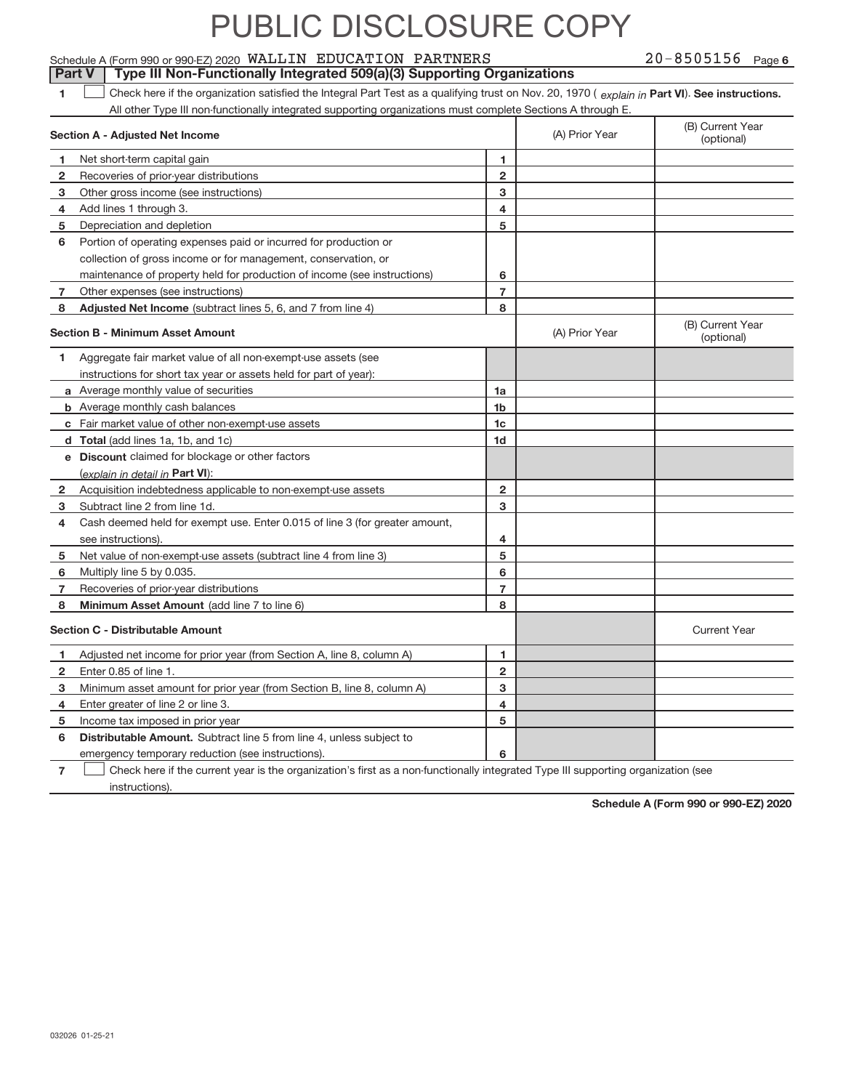$20 - 8505156$  Page 6 **1**  $\Box$  Check here if the organization satisfied the Integral Part Test as a qualifying trust on Nov. 20, 1970 ( explain in Part VI). See instructions. **Section A ‐ Adjusted Net Income 1 2 3 4** Add lines 1 through 3. **5 6** Portion of operating expenses paid or incurred for production or **7 8 Adjusted Net Income** (subtract lines 5, 6, and 7 from line 4) **8 8 1 2 3 4 5 6 7 Section B ‐ Minimum Asset Amount 1** Aggregate fair market value of all non‐exempt‐use assets (see **2 3** Subtract line 2 from line 1d. **4** Cash deemed held for exempt use. Enter 0.015 of line 3 (for greater amount, 5 Net value of non-exempt-use assets (subtract line 4 from line 3) **6 7 8 a** Average monthly value of securities **b** Average monthly cash balances **c** Fair market value of other non‐exempt‐use assets **d Total**  (add lines 1a, 1b, and 1c) **e Discount** claimed for blockage or other factors **1a 1b 1c 1d 2 3 4 5 6 7 8** (explain in detail in Part VI): **Minimum Asset Amount**  (add line 7 to line 6) **Section C ‐ Distributable Amount 1 2 3 4 5 6 7 1 2 3 4 5 6** Distributable Amount. Subtract line 5 from line 4, unless subject to Schedule A (Form 990 or 990‐EZ) 2020  $\,$  WALLIN EDUCATION PARTNERS  $20$  –  $8505156$  Page All other Type III non-functionally integrated supporting organizations must complete Sections A through E. (B) Current Year (A) Prior Year  $\left| \begin{array}{c} \text{(b) Current 1} \\ \text{(optional)} \end{array} \right|$ Net short‐term capital gain Recoveries of prior‐year distributions Other gross income (see instructions) Depreciation and depletion collection of gross income or for management, conservation, or maintenance of property held for production of income (see instructions) Other expenses (see instructions) (B) Current Year  $(A)$  Prior Year  $\left\{\n\begin{array}{ccc}\n\downarrow & \downarrow \\
\downarrow & \downarrow\n\end{array}\n\right.$  (optional) instructions for short tax year or assets held for part of year): Acquisition indebtedness applicable to non‐exempt‐use assets see instructions). Multiply line 5 by 0.035. Recoveries of prior‐year distributions Current Year Adjusted net income for prior year (from Section A, line 8, column A) Enter 0.85 of line 1. Minimum asset amount for prior year (from Section B, line 8, column A) Enter greater of line 2 or line 3. Income tax imposed in prior year emergency temporary reduction (see instructions). Check here if the current year is the organization's first as a non‐functionally integrated Type III supporting organization (see **Part V** Type III Non-Functionally Integrated 509(a)(3) Supporting Organizations  $\overline{\phantom{a}}$  $\overline{\phantom{a}}$ 

instructions).

**Schedule A (Form 990 or 990‐EZ) 2020**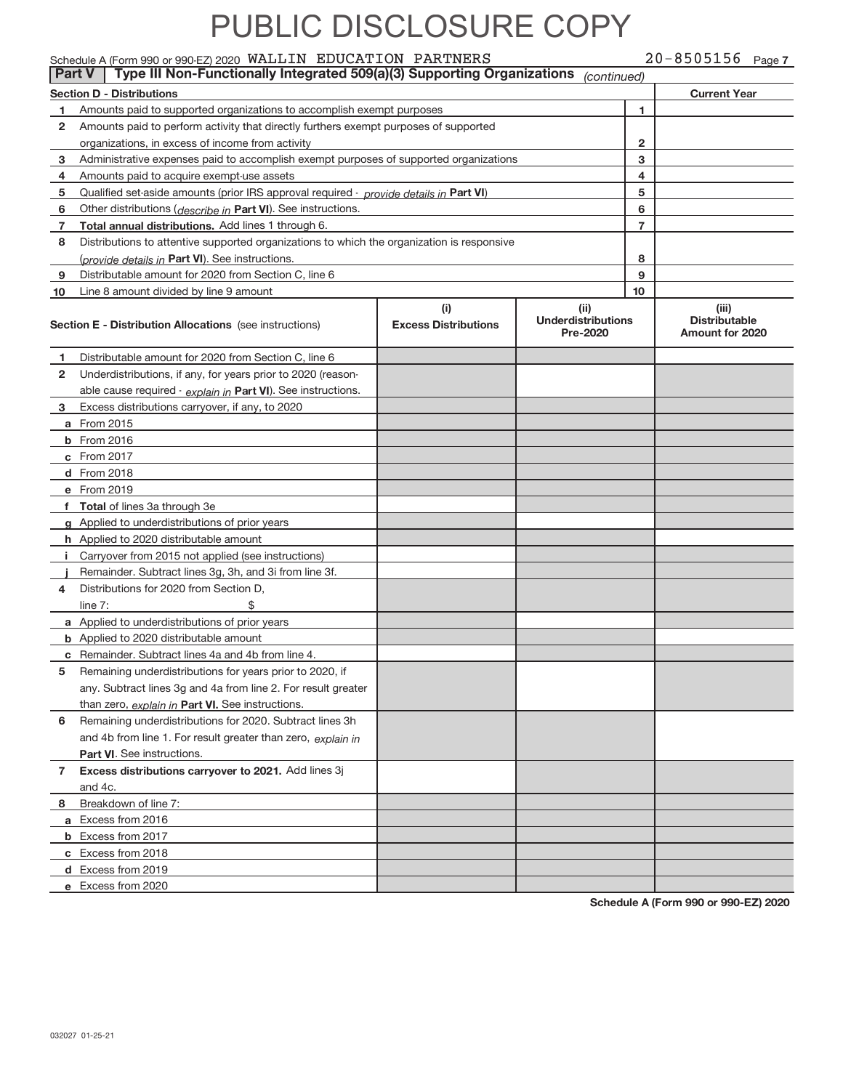|               | Schedule A (Form 990 or 990-EZ) 2020 WALLIN EDUCATION PARTNERS                             |                                    |                                               |                | $20 - 8505156$ Page 7                            |  |
|---------------|--------------------------------------------------------------------------------------------|------------------------------------|-----------------------------------------------|----------------|--------------------------------------------------|--|
| <b>Part V</b> | Type III Non-Functionally Integrated 509(a)(3) Supporting Organizations (continued)        |                                    |                                               |                |                                                  |  |
|               | <b>Section D - Distributions</b>                                                           |                                    |                                               |                | <b>Current Year</b>                              |  |
| 1             | Amounts paid to supported organizations to accomplish exempt purposes                      |                                    |                                               | 1.             |                                                  |  |
| 2             | Amounts paid to perform activity that directly furthers exempt purposes of supported       |                                    |                                               |                |                                                  |  |
|               | organizations, in excess of income from activity                                           |                                    |                                               | 2              |                                                  |  |
| 3             | Administrative expenses paid to accomplish exempt purposes of supported organizations      | 3                                  |                                               |                |                                                  |  |
| 4             | Amounts paid to acquire exempt use assets                                                  | 4                                  |                                               |                |                                                  |  |
| 5             | Qualified set-aside amounts (prior IRS approval required - provide details in Part VI)     | 5                                  |                                               |                |                                                  |  |
| 6             | Other distributions ( <i>describe in</i> Part VI). See instructions.                       |                                    |                                               | 6              |                                                  |  |
| 7             | Total annual distributions. Add lines 1 through 6.                                         |                                    |                                               | $\overline{7}$ |                                                  |  |
| 8             | Distributions to attentive supported organizations to which the organization is responsive |                                    |                                               |                |                                                  |  |
|               | (provide details in Part VI). See instructions.                                            |                                    |                                               | 8              |                                                  |  |
| 9             | Distributable amount for 2020 from Section C, line 6                                       |                                    |                                               | 9              |                                                  |  |
| 10            | Line 8 amount divided by line 9 amount                                                     |                                    |                                               | 10             |                                                  |  |
|               | <b>Section E - Distribution Allocations</b> (see instructions)                             | (i)<br><b>Excess Distributions</b> | (ii)<br><b>Underdistributions</b><br>Pre-2020 |                | (iii)<br><b>Distributable</b><br>Amount for 2020 |  |
| 1             | Distributable amount for 2020 from Section C. line 6                                       |                                    |                                               |                |                                                  |  |
| 2             | Underdistributions, if any, for years prior to 2020 (reason-                               |                                    |                                               |                |                                                  |  |
|               | able cause required - explain in Part VI). See instructions.                               |                                    |                                               |                |                                                  |  |
| з             | Excess distributions carryover, if any, to 2020                                            |                                    |                                               |                |                                                  |  |
|               | a From 2015                                                                                |                                    |                                               |                |                                                  |  |
|               | <b>b</b> From 2016                                                                         |                                    |                                               |                |                                                  |  |
|               | c From 2017                                                                                |                                    |                                               |                |                                                  |  |
|               | d From 2018                                                                                |                                    |                                               |                |                                                  |  |
|               | e From 2019                                                                                |                                    |                                               |                |                                                  |  |
|               | f Total of lines 3a through 3e                                                             |                                    |                                               |                |                                                  |  |
|               | g Applied to underdistributions of prior years                                             |                                    |                                               |                |                                                  |  |
|               | <b>h</b> Applied to 2020 distributable amount                                              |                                    |                                               |                |                                                  |  |
| Ť.            | Carryover from 2015 not applied (see instructions)                                         |                                    |                                               |                |                                                  |  |
|               | Remainder. Subtract lines 3g, 3h, and 3i from line 3f.                                     |                                    |                                               |                |                                                  |  |
| 4             | Distributions for 2020 from Section D,                                                     |                                    |                                               |                |                                                  |  |
|               | line $7:$                                                                                  |                                    |                                               |                |                                                  |  |
|               | a Applied to underdistributions of prior years                                             |                                    |                                               |                |                                                  |  |
|               | <b>b</b> Applied to 2020 distributable amount                                              |                                    |                                               |                |                                                  |  |
|               | <b>c</b> Remainder. Subtract lines 4a and 4b from line 4.                                  |                                    |                                               |                |                                                  |  |
| 5             | Remaining underdistributions for years prior to 2020, if                                   |                                    |                                               |                |                                                  |  |
|               | any. Subtract lines 3g and 4a from line 2. For result greater                              |                                    |                                               |                |                                                  |  |
|               | than zero, explain in Part VI. See instructions.                                           |                                    |                                               |                |                                                  |  |
| 6             | Remaining underdistributions for 2020. Subtract lines 3h                                   |                                    |                                               |                |                                                  |  |
|               | and 4b from line 1. For result greater than zero, explain in                               |                                    |                                               |                |                                                  |  |
|               | Part VI. See instructions.                                                                 |                                    |                                               |                |                                                  |  |
| 7             | Excess distributions carryover to 2021. Add lines 3j                                       |                                    |                                               |                |                                                  |  |
|               | and 4c.                                                                                    |                                    |                                               |                |                                                  |  |
| 8             | Breakdown of line 7:                                                                       |                                    |                                               |                |                                                  |  |
|               | a Excess from 2016                                                                         |                                    |                                               |                |                                                  |  |
|               | <b>b</b> Excess from 2017                                                                  |                                    |                                               |                |                                                  |  |
|               | c Excess from 2018                                                                         |                                    |                                               |                |                                                  |  |
|               | d Excess from 2019                                                                         |                                    |                                               |                |                                                  |  |
|               | e Excess from 2020                                                                         |                                    |                                               |                |                                                  |  |
|               |                                                                                            |                                    |                                               |                |                                                  |  |

**Schedule A (Form 990 or 990‐EZ) 2020**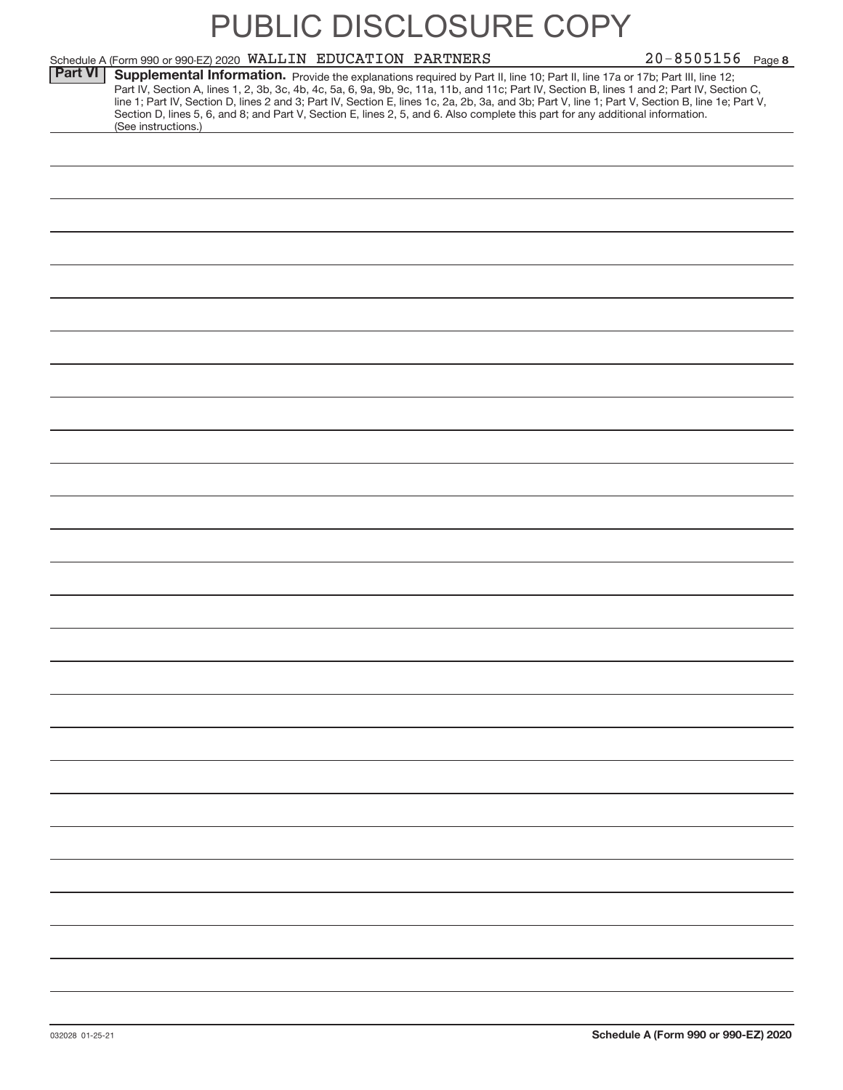# 20-8505156 Page 8 Schedule A (Form 990 or 990‐EZ) 2020  $\,$  WALLIN EDUCATION PARTNERS  $20$  –  $8505156$  Page Part VI | Supplemental Information. Provide the explanations required by Part II, line 10; Part II, line 17a or 17b; Part III, line 12; Part IV, Section A, lines 1, 2, 3b, 3c, 4b, 4c, 5a, 6, 9a, 9b, 9c, 11a, 11b, and 11c; Part IV, Section B, lines 1 and 2; Part IV, Section C, line 1; Part IV, Section D, lines 2 and 3; Part IV, Section E, lines 1c, 2a, 2b, 3a, and 3b; Part V, line 1; Part V, Section B, line 1e; Part V, Section D, lines 5, 6, and 8; and Part V, Section E, lines 2, 5, and 6. Also complete this part for any additional information. (See instructions.)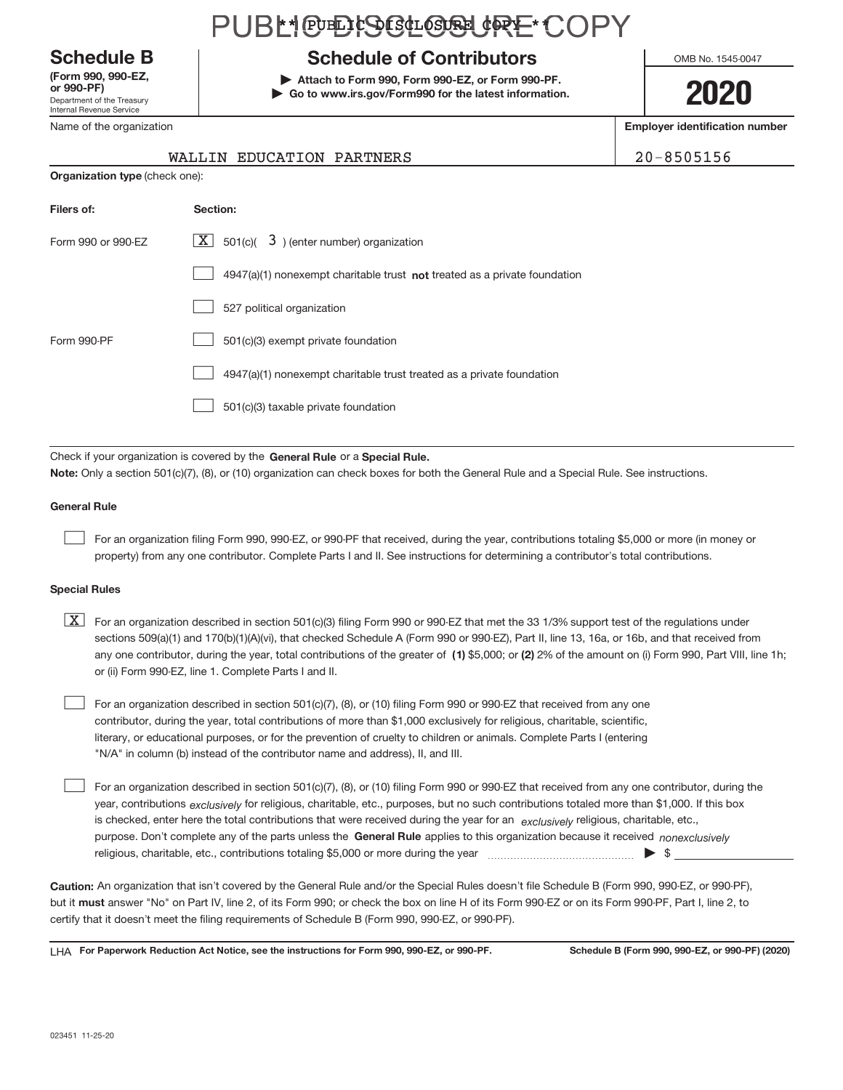Department of the Treasury Internal Revenue Service **(Form 990, 990‐EZ,**

Name of the organization

#### PUBLI@EHSGL@&URE\*COPY

#### **Schedule B Schedule of Contributors**

**or 990‐PF) | Attach to Form 990, Form 990‐EZ, or Form 990‐PF. | Go to www.irs.gov/Form990 for the latest information.** OMB No. 1545-0047

#### **2020**

**Employer identification number**

| $0 - 8505156$ |  |
|---------------|--|
|---------------|--|

| WALLIN EDUCATION PARTNERS | $\vert$ 20-8505156 |
|---------------------------|--------------------|

| <b>Organization type (check one):</b>                                              |  |  |  |  |
|------------------------------------------------------------------------------------|--|--|--|--|
| Section:                                                                           |  |  |  |  |
| $ \mathbf{X} $ 501(c)( 3) (enter number) organization                              |  |  |  |  |
| $4947(a)(1)$ nonexempt charitable trust <b>not</b> treated as a private foundation |  |  |  |  |
| 527 political organization                                                         |  |  |  |  |
| 501(c)(3) exempt private foundation                                                |  |  |  |  |
| 4947(a)(1) nonexempt charitable trust treated as a private foundation              |  |  |  |  |
| 501(c)(3) taxable private foundation                                               |  |  |  |  |
|                                                                                    |  |  |  |  |

Check if your organization is covered by the General Rule or a Special Rule. **Note:**  Only a section 501(c)(7), (8), or (10) organization can check boxes for both the General Rule and a Special Rule. See instructions.

#### **General Rule**

 $\begin{array}{c} \hline \end{array}$ 

For an organization filing Form 990, 990‐EZ, or 990‐PF that received, during the year, contributions totaling \$5,000 or more (in money or property) from any one contributor. Complete Parts I and II. See instructions for determining a contributor's total contributions.

#### **Special Rules**

any one contributor, during the year, total contributions of the greater of  $\,$  (1) \$5,000; or (2) 2% of the amount on (i) Form 990, Part VIII, line 1h;  $\boxed{\text{X}}$  For an organization described in section 501(c)(3) filing Form 990 or 990-EZ that met the 33 1/3% support test of the regulations under sections 509(a)(1) and 170(b)(1)(A)(vi), that checked Schedule A (Form 990 or 990‐EZ), Part II, line 13, 16a, or 16b, and that received from or (ii) Form 990‐EZ, line 1. Complete Parts I and II.

For an organization described in section 501(c)(7), (8), or (10) filing Form 990 or 990‐EZ that received from any one contributor, during the year, total contributions of more than \$1,000 exclusively for religious, charitable, scientific, literary, or educational purposes, or for the prevention of cruelty to children or animals. Complete Parts I (entering "N/A" in column (b) instead of the contributor name and address), II, and III.  $\begin{array}{c} \hline \end{array}$ 

purpose. Don't complete any of the parts unless the General Rule applies to this organization because it received nonexclusively year, contributions <sub>exclusively</sub> for religious, charitable, etc., purposes, but no such contributions totaled more than \$1,000. If this box is checked, enter here the total contributions that were received during the year for an *exclusively* religious, charitable, etc., For an organization described in section 501(c)(7), (8), or (10) filing Form 990 or 990‐EZ that received from any one contributor, during the religious, charitable, etc., contributions totaling \$5,000 or more during the year  $\Box$ — $\Box$   $\Box$  $\begin{array}{c} \hline \end{array}$ 

**Caution:**  An organization that isn't covered by the General Rule and/or the Special Rules doesn't file Schedule B (Form 990, 990‐EZ, or 990‐PF),  **must** but it answer "No" on Part IV, line 2, of its Form 990; or check the box on line H of its Form 990‐EZ or on its Form 990‐PF, Part I, line 2, to certify that it doesn't meet the filing requirements of Schedule B (Form 990, 990‐EZ, or 990‐PF).

**For Paperwork Reduction Act Notice, see the instructions for Form 990, 990-EZ, or 990-PF. Schedule B (Form 990, 990-EZ, or 990-PF) (2020)** LHA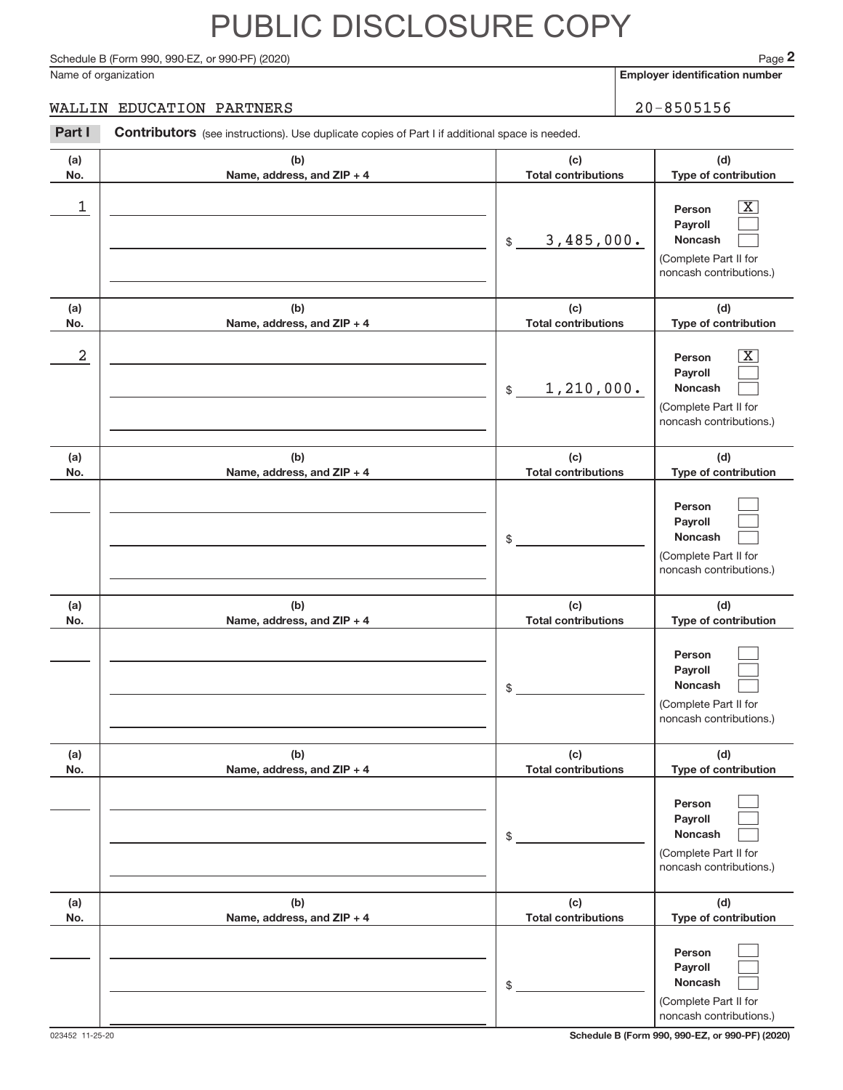Schedule B (Form 990, 990-EZ, or 990-PF) (2020)

Name of organization

**2**

**Employer identification number**

WALLIN EDUCATION PARTNERS 20-8505156

| Part I     | Contributors (see instructions). Use duplicate copies of Part I if additional space is needed. |                                   |                                                                                                        |
|------------|------------------------------------------------------------------------------------------------|-----------------------------------|--------------------------------------------------------------------------------------------------------|
| (a)<br>No. | (b)<br>Name, address, and ZIP + 4                                                              | (c)<br><b>Total contributions</b> | (d)<br>Type of contribution                                                                            |
| 1          |                                                                                                | 3,485,000.<br>\$                  | $\boxed{\text{X}}$<br>Person<br>Payroll<br>Noncash<br>(Complete Part II for<br>noncash contributions.) |
| (a)<br>No. | (b)<br>Name, address, and ZIP + 4                                                              | (c)<br><b>Total contributions</b> | (d)<br>Type of contribution                                                                            |
| 2          |                                                                                                | 1,210,000.<br>$$\$                | $\boxed{\text{X}}$<br>Person<br>Payroll<br>Noncash<br>(Complete Part II for<br>noncash contributions.) |
| (a)<br>No. | (b)<br>Name, address, and ZIP + 4                                                              | (c)<br><b>Total contributions</b> | (d)<br>Type of contribution                                                                            |
|            |                                                                                                | \$                                | Person<br>Payroll<br>Noncash<br>(Complete Part II for<br>noncash contributions.)                       |
| (a)<br>No. | (b)<br>Name, address, and ZIP + 4                                                              | (c)<br><b>Total contributions</b> | (d)<br>Type of contribution                                                                            |
|            |                                                                                                | \$                                | Person<br>Payroll<br>Noncash<br>(Complete Part II for<br>noncash contributions.)                       |
| (a)<br>No. | (b)<br>Name, address, and ZIP + 4                                                              | (c)<br><b>Total contributions</b> | (d)<br>Type of contribution                                                                            |
|            |                                                                                                | \$                                | Person<br>Payroll<br>Noncash<br>(Complete Part II for<br>noncash contributions.)                       |
| (a)<br>No. | (b)<br>Name, address, and ZIP + 4                                                              | (c)<br><b>Total contributions</b> | (d)<br>Type of contribution                                                                            |
|            |                                                                                                | \$                                | Person<br>Payroll<br>Noncash<br>(Complete Part II for<br>noncash contributions.)                       |

023452 11‐25‐20 **Schedule B (Form 990, 990-EZ, or 990-PF) (2020)**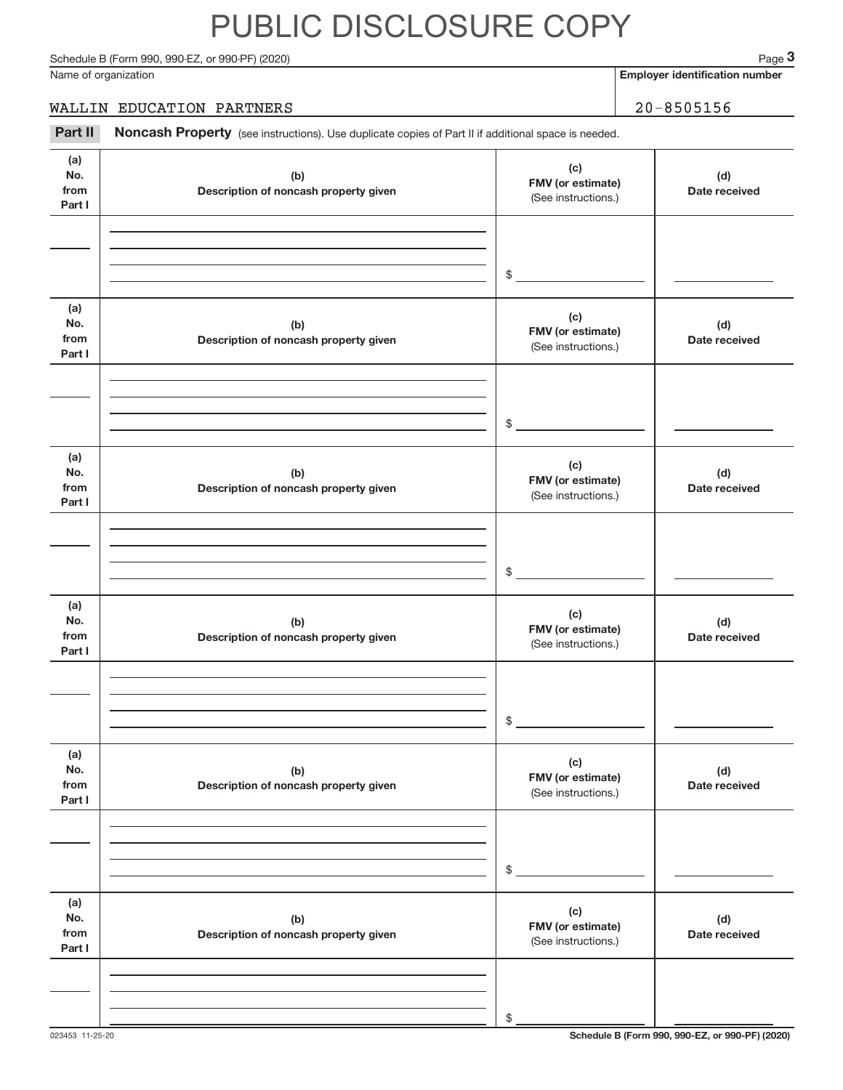#### Schedule B (Form 990, 990-EZ, or 990-PF) (2020)

Name of organization

**3**

**Employer identification number**

#### WALLIN EDUCATION PARTNERS 20-8505156

Part II Noncash Property (see instructions). Use duplicate copies of Part II if additional space is needed.

| (a)<br>No.<br>from<br>Part I | (b)<br>Description of noncash property given | (c)<br>FMV (or estimate)<br>(See instructions.) | (d)<br>Date received |
|------------------------------|----------------------------------------------|-------------------------------------------------|----------------------|
|                              |                                              | $$\overbrace{\hspace{2.5cm}}$                   |                      |
| (a)<br>No.<br>from<br>Part I | (b)<br>Description of noncash property given | (c)<br>FMV (or estimate)<br>(See instructions.) | (d)<br>Date received |
|                              |                                              | $\mathfrak{S}$                                  |                      |
| (a)<br>No.<br>from<br>Part I | (b)<br>Description of noncash property given | (c)<br>FMV (or estimate)<br>(See instructions.) | (d)<br>Date received |
|                              |                                              | $\mathfrak{S}$                                  |                      |
| (a)<br>No.<br>from<br>Part I | (b)<br>Description of noncash property given | (c)<br>FMV (or estimate)<br>(See instructions.) | (d)<br>Date received |
|                              |                                              | \$                                              |                      |
| (a)<br>No.<br>from<br>Part I | (b)<br>Description of noncash property given | (c)<br>FMV (or estimate)<br>(See instructions.) | (d)<br>Date received |
|                              |                                              | $$\mathbb{S}$$                                  |                      |
| (a)<br>No.<br>from<br>Part I | (b)<br>Description of noncash property given | (c)<br>FMV (or estimate)<br>(See instructions.) | (d)<br>Date received |
|                              |                                              | \$                                              |                      |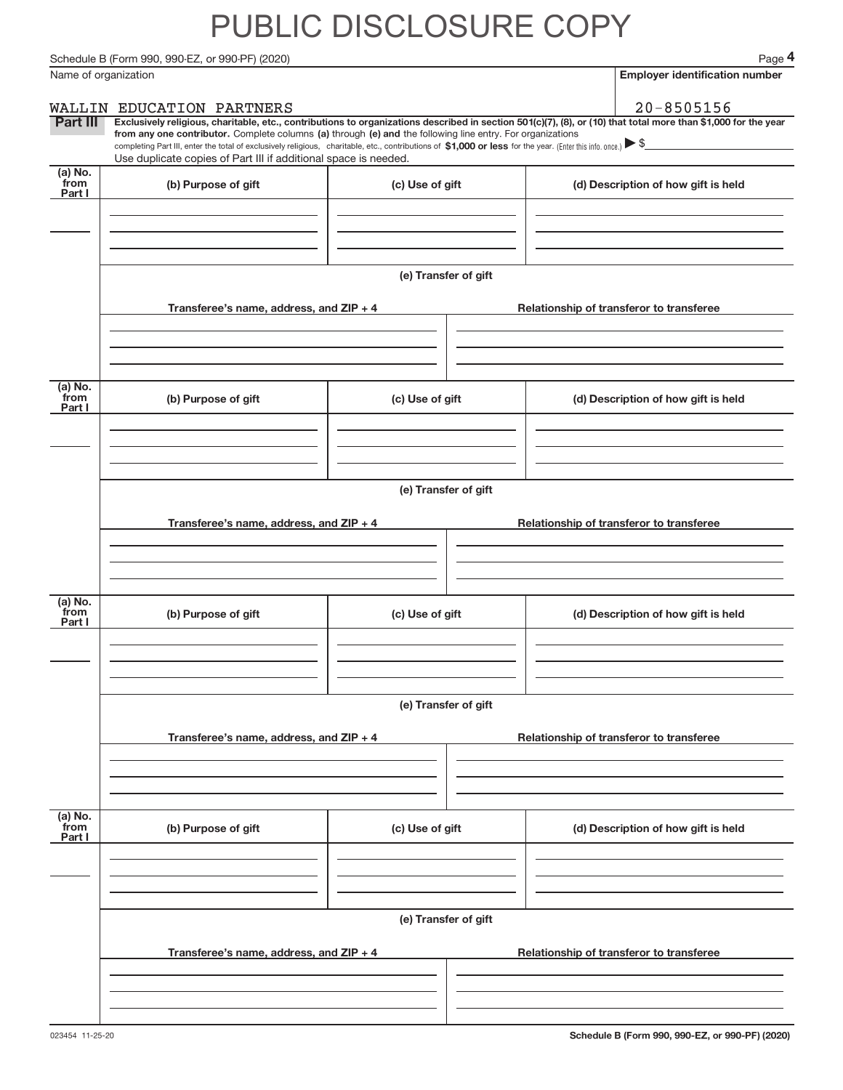Schedule B (Form 990, 990-EZ, or 990-PF) (2020)

| Name of organization        |                                                                                                                                                                                                                                                                                                                                                                  |                      | <b>Employer identification number</b>                                                                                                                          |
|-----------------------------|------------------------------------------------------------------------------------------------------------------------------------------------------------------------------------------------------------------------------------------------------------------------------------------------------------------------------------------------------------------|----------------------|----------------------------------------------------------------------------------------------------------------------------------------------------------------|
|                             | WALLIN EDUCATION PARTNERS                                                                                                                                                                                                                                                                                                                                        |                      | $20 - 8505156$                                                                                                                                                 |
| Part III                    | from any one contributor. Complete columns (a) through (e) and the following line entry. For organizations<br>completing Part III, enter the total of exclusively religious, charitable, etc., contributions of $$1,000$ or less for the year. (Enter this info. once.) $\blacktriangleright$<br>Use duplicate copies of Part III if additional space is needed. |                      | Exclusively religious, charitable, etc., contributions to organizations described in section 501(c)(7), (8), or (10) that total more than \$1,000 for the year |
| (a) No.<br>from<br>Part I   | (b) Purpose of gift                                                                                                                                                                                                                                                                                                                                              | (c) Use of gift      | (d) Description of how gift is held                                                                                                                            |
|                             |                                                                                                                                                                                                                                                                                                                                                                  | (e) Transfer of gift |                                                                                                                                                                |
|                             | Transferee's name, address, and ZIP + 4                                                                                                                                                                                                                                                                                                                          |                      | Relationship of transferor to transferee                                                                                                                       |
| (a) No.<br>from<br>Part I   | (b) Purpose of gift                                                                                                                                                                                                                                                                                                                                              | (c) Use of gift      | (d) Description of how gift is held                                                                                                                            |
|                             | Transferee's name, address, and ZIP + 4                                                                                                                                                                                                                                                                                                                          | (e) Transfer of gift | Relationship of transferor to transferee                                                                                                                       |
| $(a)$ No.<br>from<br>Part I | (b) Purpose of gift                                                                                                                                                                                                                                                                                                                                              | (c) Use of gift      | (d) Description of how gift is held                                                                                                                            |
|                             |                                                                                                                                                                                                                                                                                                                                                                  | (e) Transfer of gift |                                                                                                                                                                |
|                             | Transferee's name, address, and ZIP + 4                                                                                                                                                                                                                                                                                                                          |                      | Relationship of transferor to transferee                                                                                                                       |
| $(a)$ No.<br>from<br>Part I | (b) Purpose of gift                                                                                                                                                                                                                                                                                                                                              | (c) Use of gift      | (d) Description of how gift is held                                                                                                                            |
|                             |                                                                                                                                                                                                                                                                                                                                                                  | (e) Transfer of gift |                                                                                                                                                                |
|                             | Transferee's name, address, and ZIP + 4                                                                                                                                                                                                                                                                                                                          |                      | Relationship of transferor to transferee                                                                                                                       |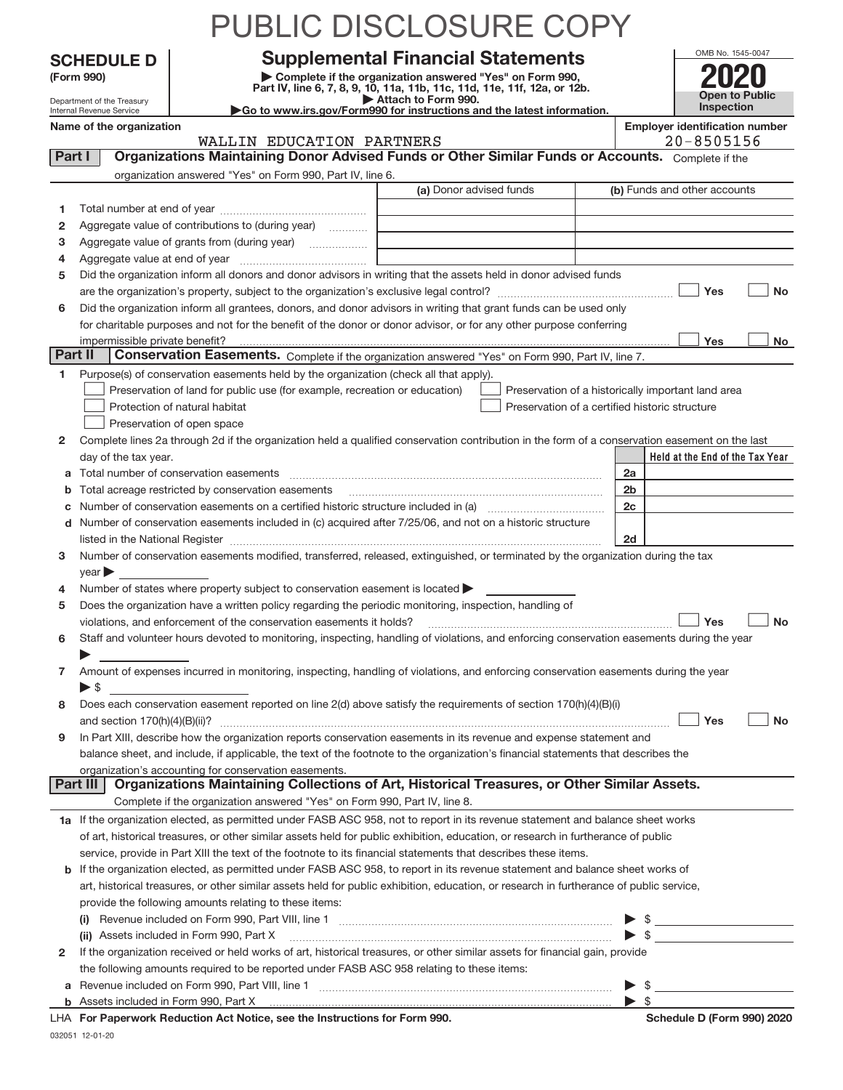|         |                                                                                                                   | PUBLIC DISCLOSURE COPY                                                                                                                                                                                                        |                         |                                                    |                          |                                                         |  |  |
|---------|-------------------------------------------------------------------------------------------------------------------|-------------------------------------------------------------------------------------------------------------------------------------------------------------------------------------------------------------------------------|-------------------------|----------------------------------------------------|--------------------------|---------------------------------------------------------|--|--|
|         | <b>SCHEDULE D</b>                                                                                                 | <b>Supplemental Financial Statements</b>                                                                                                                                                                                      |                         |                                                    |                          | OMB No. 1545-0047                                       |  |  |
|         | Complete if the organization answered "Yes" on Form 990,<br>(Form 990)                                            |                                                                                                                                                                                                                               |                         |                                                    |                          |                                                         |  |  |
|         | Part IV, line 6, 7, 8, 9, 10, 11a, 11b, 11c, 11d, 11e, 11f, 12a, or 12b.<br>Open to Public<br>Attach to Form 990. |                                                                                                                                                                                                                               |                         |                                                    |                          |                                                         |  |  |
|         | Department of the Treasury<br>Internal Revenue Service                                                            | Go to www.irs.gov/Form990 for instructions and the latest information.                                                                                                                                                        |                         |                                                    |                          | Inspection                                              |  |  |
|         | Name of the organization                                                                                          | WALLIN EDUCATION PARTNERS                                                                                                                                                                                                     |                         |                                                    |                          | <b>Employer identification number</b><br>$20 - 8505156$ |  |  |
| Part I  |                                                                                                                   | Organizations Maintaining Donor Advised Funds or Other Similar Funds or Accounts. Complete if the                                                                                                                             |                         |                                                    |                          |                                                         |  |  |
|         |                                                                                                                   | organization answered "Yes" on Form 990, Part IV, line 6.                                                                                                                                                                     |                         |                                                    |                          |                                                         |  |  |
|         |                                                                                                                   |                                                                                                                                                                                                                               | (a) Donor advised funds |                                                    |                          | (b) Funds and other accounts                            |  |  |
| 1       |                                                                                                                   |                                                                                                                                                                                                                               |                         |                                                    |                          |                                                         |  |  |
| 2       |                                                                                                                   | Aggregate value of contributions to (during year)                                                                                                                                                                             |                         |                                                    |                          |                                                         |  |  |
| 3       |                                                                                                                   |                                                                                                                                                                                                                               |                         |                                                    |                          |                                                         |  |  |
| 4       |                                                                                                                   |                                                                                                                                                                                                                               |                         |                                                    |                          |                                                         |  |  |
| 5       |                                                                                                                   | Did the organization inform all donors and donor advisors in writing that the assets held in donor advised funds                                                                                                              |                         |                                                    |                          |                                                         |  |  |
| 6       |                                                                                                                   | Did the organization inform all grantees, donors, and donor advisors in writing that grant funds can be used only                                                                                                             |                         |                                                    |                          | Yes<br>No                                               |  |  |
|         |                                                                                                                   | for charitable purposes and not for the benefit of the donor or donor advisor, or for any other purpose conferring                                                                                                            |                         |                                                    |                          |                                                         |  |  |
|         | impermissible private benefit?                                                                                    |                                                                                                                                                                                                                               |                         |                                                    |                          | Yes<br>No                                               |  |  |
| Part II |                                                                                                                   | Conservation Easements. Complete if the organization answered "Yes" on Form 990, Part IV, line 7.                                                                                                                             |                         |                                                    |                          |                                                         |  |  |
| 1       |                                                                                                                   | Purpose(s) of conservation easements held by the organization (check all that apply).                                                                                                                                         |                         |                                                    |                          |                                                         |  |  |
|         |                                                                                                                   | Preservation of land for public use (for example, recreation or education)                                                                                                                                                    |                         | Preservation of a historically important land area |                          |                                                         |  |  |
|         |                                                                                                                   | Protection of natural habitat                                                                                                                                                                                                 |                         | Preservation of a certified historic structure     |                          |                                                         |  |  |
|         |                                                                                                                   | Preservation of open space                                                                                                                                                                                                    |                         |                                                    |                          |                                                         |  |  |
| 2       |                                                                                                                   | Complete lines 2a through 2d if the organization held a qualified conservation contribution in the form of a conservation easement on the last                                                                                |                         |                                                    |                          |                                                         |  |  |
|         | day of the tax year.                                                                                              |                                                                                                                                                                                                                               |                         |                                                    | 2a                       | Held at the End of the Tax Year                         |  |  |
| a<br>b  |                                                                                                                   | Total acreage restricted by conservation easements                                                                                                                                                                            |                         |                                                    | 2 <sub>b</sub>           |                                                         |  |  |
| с       |                                                                                                                   |                                                                                                                                                                                                                               |                         |                                                    | 2c                       |                                                         |  |  |
|         | d Number of conservation easements included in (c) acquired after 7/25/06, and not on a historic structure        |                                                                                                                                                                                                                               |                         |                                                    |                          |                                                         |  |  |
|         |                                                                                                                   | listed in the National Register [111] Marshall Register [11] Marshall Register [11] Marshall Register [11] Marshall Register [11] Marshall Register [11] Marshall Register [11] Marshall Register [11] Marshall Register [11] |                         |                                                    | 2d                       |                                                         |  |  |
| 3       |                                                                                                                   | Number of conservation easements modified, transferred, released, extinguished, or terminated by the organization during the tax                                                                                              |                         |                                                    |                          |                                                         |  |  |
|         | $year \rightarrow$                                                                                                |                                                                                                                                                                                                                               |                         |                                                    |                          |                                                         |  |  |
| 4       |                                                                                                                   | Number of states where property subject to conservation easement is located                                                                                                                                                   |                         |                                                    |                          |                                                         |  |  |
| 5       |                                                                                                                   | Does the organization have a written policy regarding the periodic monitoring, inspection, handling of                                                                                                                        |                         |                                                    |                          |                                                         |  |  |
| 6       |                                                                                                                   | violations, and enforcement of the conservation easements it holds?<br>Staff and volunteer hours devoted to monitoring, inspecting, handling of violations, and enforcing conservation easements during the year              |                         |                                                    |                          | Yes<br>No                                               |  |  |
|         |                                                                                                                   |                                                                                                                                                                                                                               |                         |                                                    |                          |                                                         |  |  |
| 7       |                                                                                                                   | Amount of expenses incurred in monitoring, inspecting, handling of violations, and enforcing conservation easements during the year                                                                                           |                         |                                                    |                          |                                                         |  |  |
|         | $\blacktriangleright$ \$                                                                                          | <u> 1980 - Jan Stein Stein Stein Stein Stein Stein Stein Stein Stein Stein Stein Stein Stein Stein Stein Stein S</u>                                                                                                          |                         |                                                    |                          |                                                         |  |  |
| 8       |                                                                                                                   | Does each conservation easement reported on line 2(d) above satisfy the requirements of section 170(h)(4)(B)(i)                                                                                                               |                         |                                                    |                          |                                                         |  |  |
|         |                                                                                                                   |                                                                                                                                                                                                                               |                         |                                                    |                          | Yes<br><b>No</b>                                        |  |  |
| 9       |                                                                                                                   | In Part XIII, describe how the organization reports conservation easements in its revenue and expense statement and                                                                                                           |                         |                                                    |                          |                                                         |  |  |
|         |                                                                                                                   | balance sheet, and include, if applicable, the text of the footnote to the organization's financial statements that describes the                                                                                             |                         |                                                    |                          |                                                         |  |  |
|         | Part III                                                                                                          | organization's accounting for conservation easements.<br>Organizations Maintaining Collections of Art, Historical Treasures, or Other Similar Assets.                                                                         |                         |                                                    |                          |                                                         |  |  |
|         |                                                                                                                   | Complete if the organization answered "Yes" on Form 990, Part IV, line 8.                                                                                                                                                     |                         |                                                    |                          |                                                         |  |  |
|         |                                                                                                                   | 1a If the organization elected, as permitted under FASB ASC 958, not to report in its revenue statement and balance sheet works                                                                                               |                         |                                                    |                          |                                                         |  |  |
|         |                                                                                                                   | of art, historical treasures, or other similar assets held for public exhibition, education, or research in furtherance of public                                                                                             |                         |                                                    |                          |                                                         |  |  |
|         |                                                                                                                   | service, provide in Part XIII the text of the footnote to its financial statements that describes these items.                                                                                                                |                         |                                                    |                          |                                                         |  |  |
|         |                                                                                                                   | b If the organization elected, as permitted under FASB ASC 958, to report in its revenue statement and balance sheet works of                                                                                                 |                         |                                                    |                          |                                                         |  |  |
|         |                                                                                                                   | art, historical treasures, or other similar assets held for public exhibition, education, or research in furtherance of public service,                                                                                       |                         |                                                    |                          |                                                         |  |  |
|         |                                                                                                                   | provide the following amounts relating to these items:                                                                                                                                                                        |                         |                                                    |                          |                                                         |  |  |
|         |                                                                                                                   |                                                                                                                                                                                                                               |                         |                                                    |                          | $\triangleright$ \$                                     |  |  |
|         |                                                                                                                   | (ii) Assets included in Form 990, Part X [11] [2000] [2010] [2010] [30] Assets included in Form 990, Part X [1                                                                                                                |                         |                                                    |                          |                                                         |  |  |
| 2       |                                                                                                                   | If the organization received or held works of art, historical treasures, or other similar assets for financial gain, provide<br>the following amounts required to be reported under FASB ASC 958 relating to these items:     |                         |                                                    |                          |                                                         |  |  |
| а       |                                                                                                                   | Revenue included on Form 990, Part VIII, line 1 [2000] [2000] [2000] [2000] [2000] [2000] [2000] [2000] [2000                                                                                                                 |                         |                                                    |                          |                                                         |  |  |
|         |                                                                                                                   |                                                                                                                                                                                                                               |                         |                                                    | $\blacktriangleright$ \$ |                                                         |  |  |

|  | LHA For Paperwork Reduction Act Notice, see the Instructions for Form 990 |  |  |  |  |  |  |  |
|--|---------------------------------------------------------------------------|--|--|--|--|--|--|--|
|--|---------------------------------------------------------------------------|--|--|--|--|--|--|--|

032051 12‐01‐20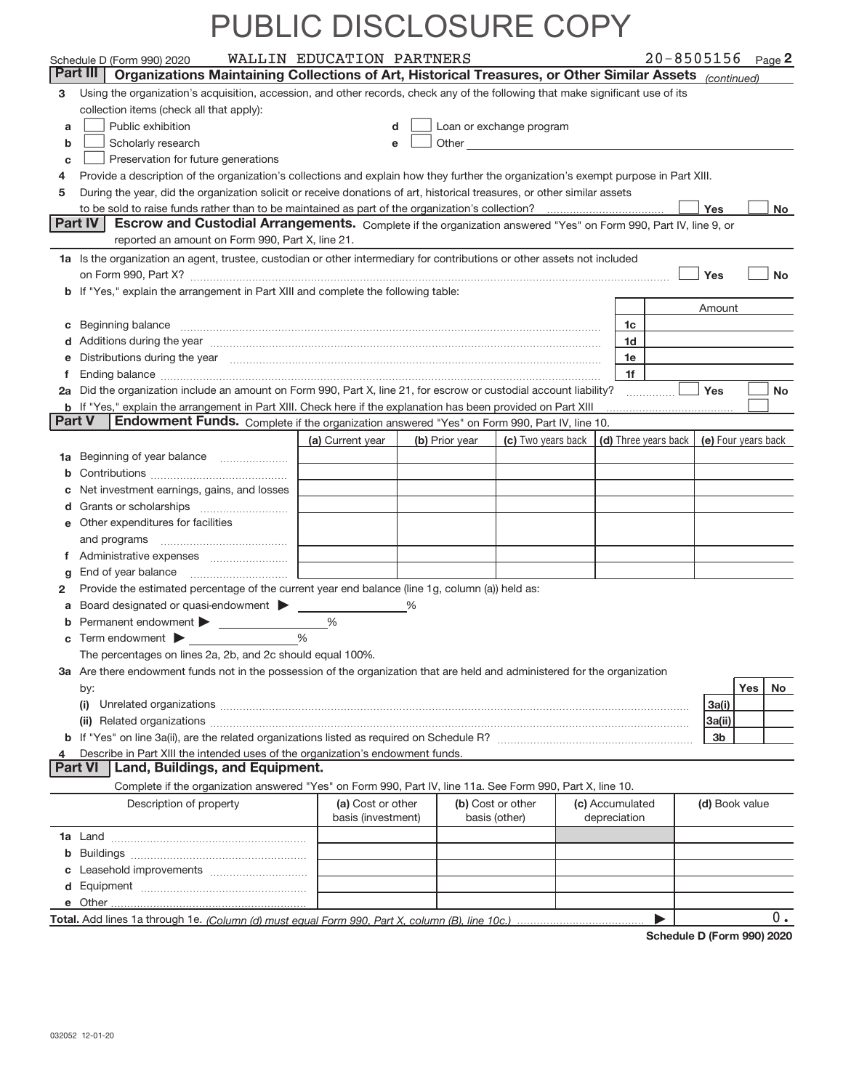|    | Schedule D (Form 990) 2020                                                                                                                                                                                                     | WALLIN EDUCATION PARTNERS               |                |               |                          |                 |              | $20 - 8505156$ Page 2                      |                |            |           |
|----|--------------------------------------------------------------------------------------------------------------------------------------------------------------------------------------------------------------------------------|-----------------------------------------|----------------|---------------|--------------------------|-----------------|--------------|--------------------------------------------|----------------|------------|-----------|
|    | Part III<br>Organizations Maintaining Collections of Art, Historical Treasures, or Other Similar Assets (continued)                                                                                                            |                                         |                |               |                          |                 |              |                                            |                |            |           |
|    | 3 Using the organization's acquisition, accession, and other records, check any of the following that make significant use of its<br>collection items (check all that apply):                                                  |                                         |                |               |                          |                 |              |                                            |                |            |           |
| a  | Public exhibition                                                                                                                                                                                                              | d                                       |                |               | Loan or exchange program |                 |              |                                            |                |            |           |
| b  | Scholarly research                                                                                                                                                                                                             | e                                       |                |               |                          |                 |              |                                            |                |            |           |
| c  | Preservation for future generations                                                                                                                                                                                            |                                         |                |               |                          |                 |              |                                            |                |            |           |
| 4  | Provide a description of the organization's collections and explain how they further the organization's exempt purpose in Part XIII.                                                                                           |                                         |                |               |                          |                 |              |                                            |                |            |           |
| 5  | During the year, did the organization solicit or receive donations of art, historical treasures, or other similar assets                                                                                                       |                                         |                |               |                          |                 |              |                                            |                |            |           |
|    |                                                                                                                                                                                                                                |                                         |                |               |                          |                 |              |                                            | Yes            |            | No        |
|    | Part IV<br>Escrow and Custodial Arrangements. Complete if the organization answered "Yes" on Form 990, Part IV, line 9, or                                                                                                     |                                         |                |               |                          |                 |              |                                            |                |            |           |
|    | reported an amount on Form 990, Part X, line 21.                                                                                                                                                                               |                                         |                |               |                          |                 |              |                                            |                |            |           |
|    | 1a Is the organization an agent, trustee, custodian or other intermediary for contributions or other assets not included                                                                                                       |                                         |                |               |                          |                 |              |                                            |                |            |           |
|    | on Form 990, Part X? [11] matter contracts and contracts and contracts are contracted and contracts are contracted and contract and contract of the set of the set of the set of the set of the set of the set of the set of t |                                         |                |               |                          |                 |              |                                            | Yes            |            | <b>No</b> |
|    | b If "Yes," explain the arrangement in Part XIII and complete the following table:                                                                                                                                             |                                         |                |               |                          |                 |              |                                            |                |            |           |
|    |                                                                                                                                                                                                                                |                                         |                |               |                          |                 |              |                                            | Amount         |            |           |
|    | c Beginning balance measurements and the contract of the contract of the contract of the contract of the contract of the contract of the contract of the contract of the contract of the contract of the contract of the contr |                                         |                |               |                          |                 | 1c           |                                            |                |            |           |
|    | d Additions during the year measurements are all an according to the year measurement of the year measurement                                                                                                                  |                                         |                |               |                          |                 | 1d           |                                            |                |            |           |
| е  | Distributions during the year manufactured and continuum and contact the year manufactured and contact the year                                                                                                                |                                         |                |               |                          |                 | 1e           |                                            |                |            |           |
| f  |                                                                                                                                                                                                                                |                                         |                |               |                          |                 | 1f           |                                            |                |            |           |
|    | 2a Did the organization include an amount on Form 990, Part X, line 21, for escrow or custodial account liability?                                                                                                             |                                         |                |               |                          |                 |              |                                            | Yes            |            | No        |
|    | b If "Yes," explain the arrangement in Part XIII. Check here if the explanation has been provided on Part XIII                                                                                                                 |                                         |                |               |                          |                 |              |                                            |                |            |           |
|    | <b>Part V</b><br>Endowment Funds. Complete if the organization answered "Yes" on Form 990, Part IV, line 10.                                                                                                                   |                                         |                |               |                          |                 |              |                                            |                |            |           |
|    |                                                                                                                                                                                                                                | (a) Current year                        | (b) Prior year |               | (c) Two years back       |                 |              | (d) Three years back   (e) Four years back |                |            |           |
| 1a | Beginning of year balance                                                                                                                                                                                                      |                                         |                |               |                          |                 |              |                                            |                |            |           |
| b  |                                                                                                                                                                                                                                |                                         |                |               |                          |                 |              |                                            |                |            |           |
| с  | Net investment earnings, gains, and losses                                                                                                                                                                                     |                                         |                |               |                          |                 |              |                                            |                |            |           |
| d  |                                                                                                                                                                                                                                |                                         |                |               |                          |                 |              |                                            |                |            |           |
|    | e Other expenditures for facilities                                                                                                                                                                                            |                                         |                |               |                          |                 |              |                                            |                |            |           |
|    | and programs                                                                                                                                                                                                                   |                                         |                |               |                          |                 |              |                                            |                |            |           |
|    |                                                                                                                                                                                                                                |                                         |                |               |                          |                 |              |                                            |                |            |           |
| g  |                                                                                                                                                                                                                                |                                         |                |               |                          |                 |              |                                            |                |            |           |
| 2  | Provide the estimated percentage of the current year end balance (line 1g, column (a)) held as:                                                                                                                                |                                         | %              |               |                          |                 |              |                                            |                |            |           |
| a  | Board designated or quasi-endowment<br>Permanent endowment                                                                                                                                                                     | %                                       |                |               |                          |                 |              |                                            |                |            |           |
|    | Term endowment <b>Designation</b>                                                                                                                                                                                              | %                                       |                |               |                          |                 |              |                                            |                |            |           |
|    | The percentages on lines 2a, 2b, and 2c should equal 100%.                                                                                                                                                                     |                                         |                |               |                          |                 |              |                                            |                |            |           |
|    | 3a Are there endowment funds not in the possession of the organization that are held and administered for the organization                                                                                                     |                                         |                |               |                          |                 |              |                                            |                |            |           |
|    | by:                                                                                                                                                                                                                            |                                         |                |               |                          |                 |              |                                            |                | <b>Yes</b> | No        |
|    | (i)                                                                                                                                                                                                                            |                                         |                |               |                          |                 |              |                                            | 3a(i)          |            |           |
|    |                                                                                                                                                                                                                                |                                         |                |               |                          |                 |              |                                            | 3a(ii)         |            |           |
|    |                                                                                                                                                                                                                                |                                         |                |               |                          |                 |              |                                            | 3b             |            |           |
| 4  | Describe in Part XIII the intended uses of the organization's endowment funds.                                                                                                                                                 |                                         |                |               |                          |                 |              |                                            |                |            |           |
|    | Land, Buildings, and Equipment.<br>Part VI                                                                                                                                                                                     |                                         |                |               |                          |                 |              |                                            |                |            |           |
|    | Complete if the organization answered "Yes" on Form 990, Part IV, line 11a. See Form 990, Part X, line 10.                                                                                                                     |                                         |                |               |                          |                 |              |                                            |                |            |           |
|    | Description of property                                                                                                                                                                                                        | (a) Cost or other<br>basis (investment) |                | basis (other) | (b) Cost or other        | (c) Accumulated | depreciation |                                            | (d) Book value |            |           |
|    |                                                                                                                                                                                                                                |                                         |                |               |                          |                 |              |                                            |                |            |           |
| b  |                                                                                                                                                                                                                                |                                         |                |               |                          |                 |              |                                            |                |            |           |
| c  |                                                                                                                                                                                                                                |                                         |                |               |                          |                 |              |                                            |                |            |           |
|    |                                                                                                                                                                                                                                |                                         |                |               |                          |                 |              |                                            |                |            |           |
|    |                                                                                                                                                                                                                                |                                         |                |               |                          |                 |              |                                            |                |            |           |
|    |                                                                                                                                                                                                                                |                                         |                |               |                          |                 |              | ▶                                          |                |            | $0$ .     |

**Schedule D (Form 990) 2020**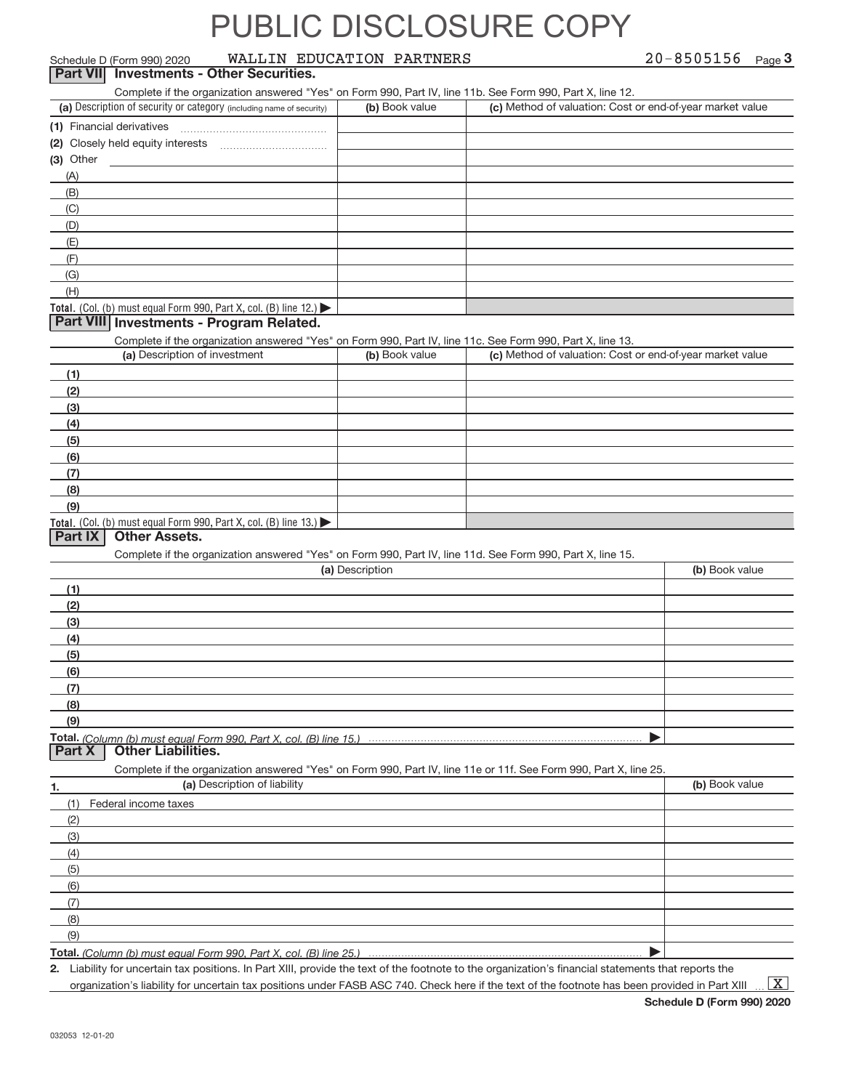| Schedule D (Form 990) 2020                                                                                 | WALLIN EDUCATION PARTNERS |                                                           | $20 - 8505156$ Page 3 |
|------------------------------------------------------------------------------------------------------------|---------------------------|-----------------------------------------------------------|-----------------------|
| <b>Investments - Other Securities.</b><br>  Part VIII                                                      |                           |                                                           |                       |
| Complete if the organization answered "Yes" on Form 990, Part IV, line 11b. See Form 990, Part X, line 12. |                           |                                                           |                       |
| (a) Description of security or category (including name of security)                                       | (b) Book value            | (c) Method of valuation: Cost or end-of-year market value |                       |
| (1) Financial derivatives                                                                                  |                           |                                                           |                       |
|                                                                                                            |                           |                                                           |                       |
| (3) Other                                                                                                  |                           |                                                           |                       |
| (A)                                                                                                        |                           |                                                           |                       |
| (B)                                                                                                        |                           |                                                           |                       |
| (C)                                                                                                        |                           |                                                           |                       |
| (D)                                                                                                        |                           |                                                           |                       |
| (E)                                                                                                        |                           |                                                           |                       |
| (F)                                                                                                        |                           |                                                           |                       |
| (G)                                                                                                        |                           |                                                           |                       |
| (H)                                                                                                        |                           |                                                           |                       |
| Total. (Col. (b) must equal Form 990, Part X, col. (B) line $12$ .)                                        |                           |                                                           |                       |
| Part VIII Investments - Program Related.                                                                   |                           |                                                           |                       |
| Complete if the organization answered "Yes" on Form 990, Part IV, line 11c. See Form 990, Part X, line 13. |                           |                                                           |                       |
| (a) Description of investment                                                                              | (b) Book value            | (c) Method of valuation: Cost or end-of-year market value |                       |
| (1)                                                                                                        |                           |                                                           |                       |
| (2)                                                                                                        |                           |                                                           |                       |
| (3)                                                                                                        |                           |                                                           |                       |
| (4)                                                                                                        |                           |                                                           |                       |
| (5)                                                                                                        |                           |                                                           |                       |
| (6)                                                                                                        |                           |                                                           |                       |
| (7)                                                                                                        |                           |                                                           |                       |
| (8)                                                                                                        |                           |                                                           |                       |
| (9)                                                                                                        |                           |                                                           |                       |
| Total. (Col. (b) must equal Form 990, Part X, col. (B) line 13.)                                           |                           |                                                           |                       |
| <b>Part IX</b><br><b>Other Assets.</b>                                                                     |                           |                                                           |                       |
| Complete if the organization answered "Yes" on Form 990, Part IV, line 11d. See Form 990, Part X, line 15. |                           |                                                           |                       |
|                                                                                                            | (a) Description           |                                                           | (b) Book value        |
|                                                                                                            |                           |                                                           |                       |

| (a) Description                                                                                                   | ( <b>b</b> ) BOOK value |
|-------------------------------------------------------------------------------------------------------------------|-------------------------|
| (1)                                                                                                               |                         |
| (2)                                                                                                               |                         |
| $\left(3\right)$                                                                                                  |                         |
| (4)                                                                                                               |                         |
| (5)                                                                                                               |                         |
| (6)                                                                                                               |                         |
| (7)                                                                                                               |                         |
| (8)                                                                                                               |                         |
| (9)                                                                                                               |                         |
|                                                                                                                   |                         |
| <b>Other Liabilities.</b><br>Part X                                                                               |                         |
| Complete if the organization answered "Yes" on Form 990, Part IV, line 11e or 11f. See Form 990, Part X, line 25. |                         |
| (a) Description of liability<br>1.                                                                                | (b) Book value          |

| -1. | (a) Description of liability      | (b) Book value |
|-----|-----------------------------------|----------------|
| (1) | Federal income taxes              |                |
| (2) |                                   |                |
| (3) |                                   |                |
| (4) |                                   |                |
| (5) |                                   |                |
| (6) |                                   |                |
| (7) |                                   |                |
| (8) |                                   |                |
| (9) |                                   |                |
|     | $T \cdot \text{d} \cdot \text{d}$ |                |

**Total.**  *(Column (b) must equal Form 990, Part X, col. (B) line 25.)* |

**2.** Liability for uncertain tax positions. In Part XIII, provide the text of the footnote to the organization's financial statements that reports the organization's liability for uncertain tax positions under FASB ASC 740. Check here if the text of the footnote has been provided in Part XIII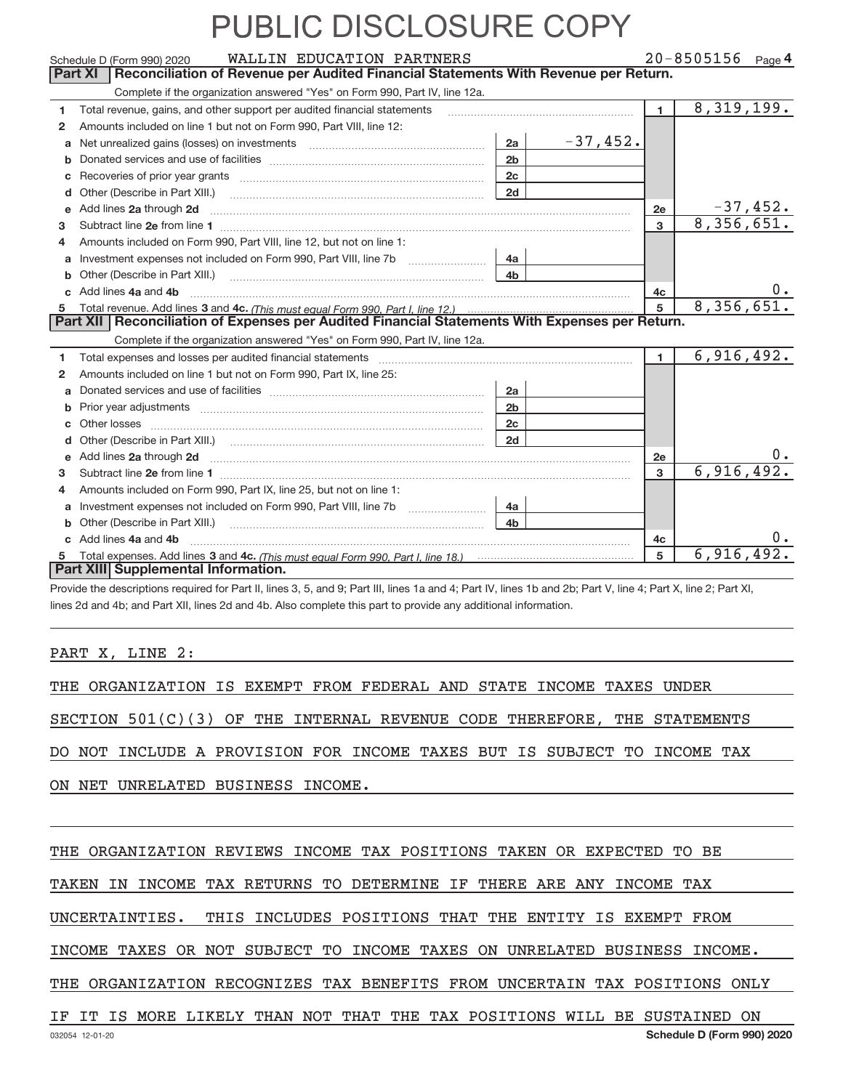|                | WALLIN EDUCATION PARTNERS<br>Schedule D (Form 990) 2020                                                                                                                                                                              |                |            |                | $20 - 8505156$ Page 4 |            |
|----------------|--------------------------------------------------------------------------------------------------------------------------------------------------------------------------------------------------------------------------------------|----------------|------------|----------------|-----------------------|------------|
| <b>Part XI</b> | Reconciliation of Revenue per Audited Financial Statements With Revenue per Return.                                                                                                                                                  |                |            |                |                       |            |
|                | Complete if the organization answered "Yes" on Form 990, Part IV, line 12a.                                                                                                                                                          |                |            |                |                       |            |
| 1              | Total revenue, gains, and other support per audited financial statements                                                                                                                                                             |                |            | $\blacksquare$ | 8,319,199.            |            |
| $\mathbf{2}$   | Amounts included on line 1 but not on Form 990, Part VIII, line 12:                                                                                                                                                                  |                |            |                |                       |            |
| a              |                                                                                                                                                                                                                                      | 2a             | $-37,452.$ |                |                       |            |
| b              |                                                                                                                                                                                                                                      | 2 <sub>b</sub> |            |                |                       |            |
| C              |                                                                                                                                                                                                                                      | 2c             |            |                |                       |            |
| d              |                                                                                                                                                                                                                                      | 2d             |            |                |                       |            |
| e              | Add lines 2a through 2d                                                                                                                                                                                                              |                |            | 2e             |                       | $-37,452.$ |
| 3              |                                                                                                                                                                                                                                      |                |            | 3              | 8,356,651.            |            |
| 4              | Amounts included on Form 990, Part VIII, line 12, but not on line 1:                                                                                                                                                                 |                |            |                |                       |            |
| a              |                                                                                                                                                                                                                                      | 4a             |            |                |                       |            |
| b              | Other (Describe in Part XIII.)                                                                                                                                                                                                       | 4b             |            |                |                       |            |
|                | Add lines 4a and 4b                                                                                                                                                                                                                  |                |            | 4c             |                       |            |
|                |                                                                                                                                                                                                                                      |                |            | 5              | 8,356,651.            |            |
|                | Part XII   Reconciliation of Expenses per Audited Financial Statements With Expenses per Return.                                                                                                                                     |                |            |                |                       |            |
|                | Complete if the organization answered "Yes" on Form 990, Part IV, line 12a.                                                                                                                                                          |                |            |                |                       |            |
| 1              | Total expenses and losses per audited financial statements [11] [12] manuscription and statements [13] Total expenses and losses per audited financial statements [13] manuscription and the statements [13] manuscription and       |                |            | $\blacksquare$ | 6,916,492.            |            |
| $\mathbf{2}$   | Amounts included on line 1 but not on Form 990, Part IX, line 25:                                                                                                                                                                    |                |            |                |                       |            |
| a              |                                                                                                                                                                                                                                      | 2a             |            |                |                       |            |
| b              | Prior year adjustments <b>manufacture and continuum</b> extendition of the contract of the contract of the contract of                                                                                                               | 2 <sub>b</sub> |            |                |                       |            |
|                |                                                                                                                                                                                                                                      | 2c             |            |                |                       |            |
|                |                                                                                                                                                                                                                                      | 2d             |            |                |                       |            |
| e              | Add lines 2a through 2d <b>contained a manufacture of the contract of the contract of the contract of the contract of the contract of the contract of the contract of the contract of the contract of the contract of the contra</b> |                |            | 2e             |                       |            |
| 3              |                                                                                                                                                                                                                                      |                |            | 3              | 6,916,492.            |            |
| 4              | Amounts included on Form 990, Part IX, line 25, but not on line 1:                                                                                                                                                                   |                |            |                |                       |            |
| a              |                                                                                                                                                                                                                                      | 4a             |            |                |                       |            |
| b              |                                                                                                                                                                                                                                      | 4h             |            |                |                       |            |
|                | Add lines 4a and 4b                                                                                                                                                                                                                  |                |            | 4c             |                       |            |
|                |                                                                                                                                                                                                                                      |                |            | 5              | 6,916,492.            |            |
|                | Part XIII Supplemental Information.                                                                                                                                                                                                  |                |            |                |                       |            |

Provide the descriptions required for Part II, lines 3, 5, and 9; Part III, lines 1a and 4; Part IV, lines 1b and 2b; Part V, line 4; Part X, line 2; Part XI, lines 2d and 4b; and Part XII, lines 2d and 4b. Also complete this part to provide any additional information.

PART X, LINE 2:

THE ORGANIZATION IS EXEMPT FROM FEDERAL AND STATE INCOME TAXES UNDER

SECTION 501(C)(3) OF THE INTERNAL REVENUE CODE THEREFORE, THE STATEMENTS

DO NOT INCLUDE A PROVISION FOR INCOME TAXES BUT IS SUBJECT TO INCOME TAX

ON NET UNRELATED BUSINESS INCOME.

THE ORGANIZATION REVIEWS INCOME TAX POSITIONS TAKEN OR EXPECTED TO BE

TAKEN IN INCOME TAX RETURNS TO DETERMINE IF THERE ARE ANY INCOME TAX

UNCERTAINTIES. THIS INCLUDES POSITIONS THAT THE ENTITY IS EXEMPT FROM

INCOME TAXES OR NOT SUBJECT TO INCOME TAXES ON UNRELATED BUSINESS INCOME.

THE ORGANIZATION RECOGNIZES TAX BENEFITS FROM UNCERTAIN TAX POSITIONS ONLY

#### IF IT IS MORE LIKELY THAN NOT THAT THE TAX POSITIONS WILL BE SUSTAINED ON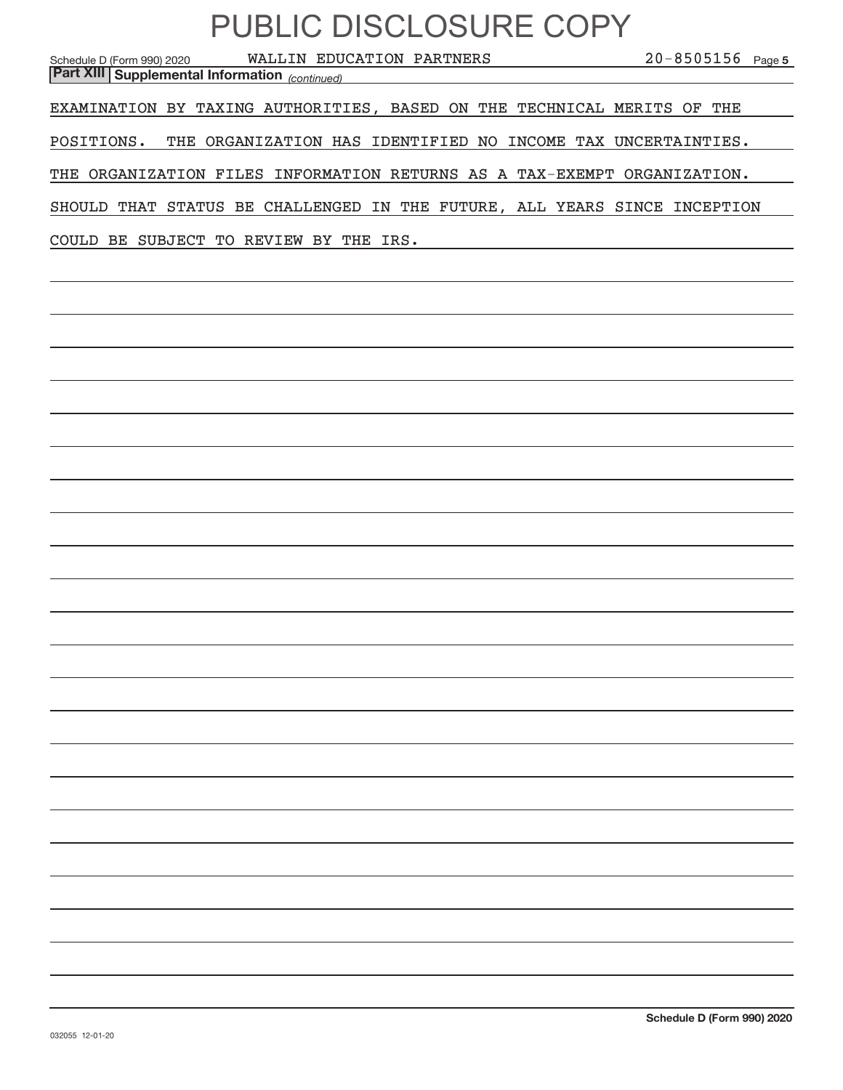| <b>PUBLIC DISCLOSURE COPY</b><br>$20 - 8505156$ Page 5<br>WALLIN EDUCATION PARTNERS<br>Schedule D (Form 990) 2020<br><b>Part XIII Supplemental Information</b> (continued) |
|----------------------------------------------------------------------------------------------------------------------------------------------------------------------------|
| EXAMINATION BY TAXING AUTHORITIES, BASED ON THE TECHNICAL MERITS OF THE                                                                                                    |
| THE ORGANIZATION HAS IDENTIFIED NO INCOME TAX UNCERTAINTIES.<br>POSITIONS.                                                                                                 |
| THE ORGANIZATION FILES INFORMATION RETURNS AS A TAX-EXEMPT ORGANIZATION.                                                                                                   |
| SHOULD THAT STATUS BE CHALLENGED IN THE FUTURE, ALL YEARS SINCE INCEPTION                                                                                                  |
| COULD BE SUBJECT TO REVIEW BY THE IRS.                                                                                                                                     |
|                                                                                                                                                                            |
|                                                                                                                                                                            |
|                                                                                                                                                                            |
|                                                                                                                                                                            |
|                                                                                                                                                                            |
|                                                                                                                                                                            |
|                                                                                                                                                                            |
|                                                                                                                                                                            |
|                                                                                                                                                                            |
|                                                                                                                                                                            |
|                                                                                                                                                                            |
|                                                                                                                                                                            |
|                                                                                                                                                                            |
|                                                                                                                                                                            |
|                                                                                                                                                                            |
|                                                                                                                                                                            |
|                                                                                                                                                                            |
|                                                                                                                                                                            |
|                                                                                                                                                                            |
|                                                                                                                                                                            |
|                                                                                                                                                                            |
|                                                                                                                                                                            |
|                                                                                                                                                                            |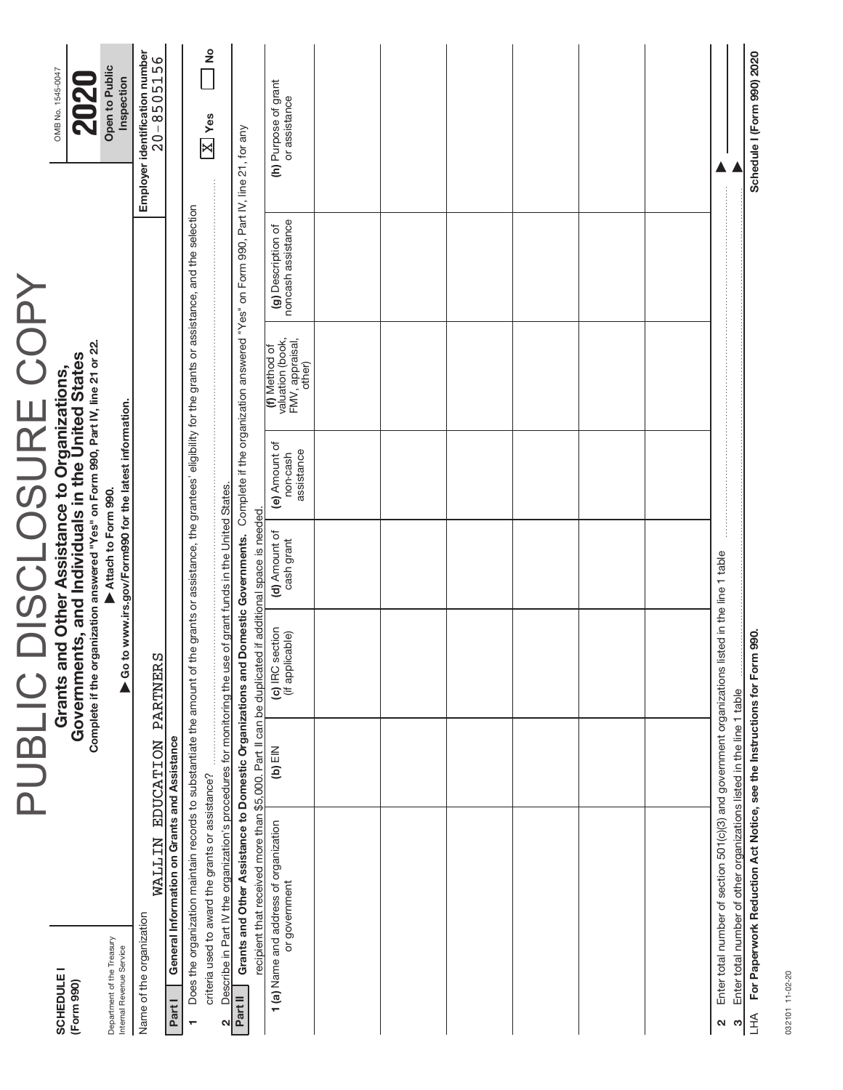032101 11‐02‐20

032101 11-02-20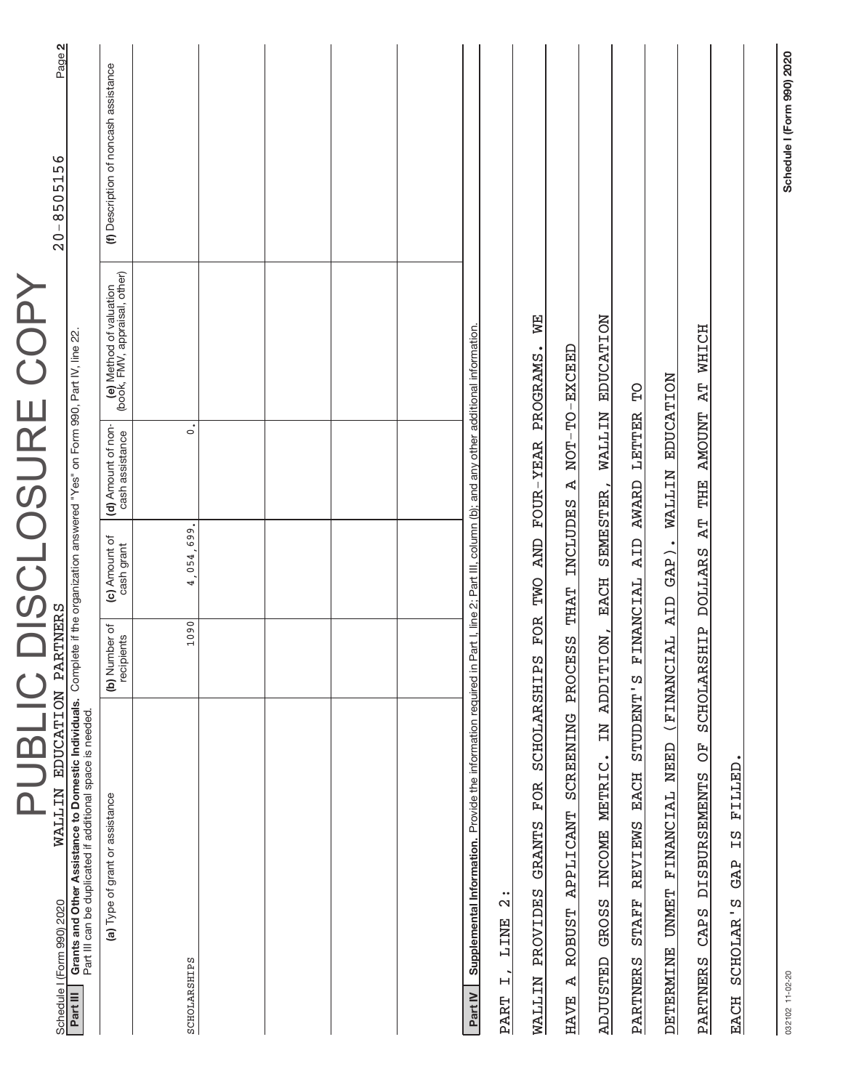| PUBLIC                                                                                                                                                                                                                                                           |                             |                             |                                       | DISCLOSURE COPY                                          |                                       |
|------------------------------------------------------------------------------------------------------------------------------------------------------------------------------------------------------------------------------------------------------------------|-----------------------------|-----------------------------|---------------------------------------|----------------------------------------------------------|---------------------------------------|
| Grants and Other Assistance to Domestic Individuals. Complete if the organization answered "Yes" on Form 990, Part IV, line 22.<br><b>MALLIN EDUCATION</b><br>Part III can be duplicated if additional space is needed<br>Schedule I (Form 990) 2020<br>Part III | <b>PARTNERS</b>             |                             |                                       |                                                          | Page 2<br>$20 - 8505156$              |
| (a) Type of grant or assistance                                                                                                                                                                                                                                  | (b) Number of<br>recipients | (c) Amount of<br>cash grant | (d) Amount of non-<br>cash assistance | (e) Method of valuation<br>(book, FMV, appraisal, other) | (f) Description of noncash assistance |
| SCHOLARSHIPS                                                                                                                                                                                                                                                     | 1090                        | 4,054,699                   | $\dot{\circ}$                         |                                                          |                                       |
|                                                                                                                                                                                                                                                                  |                             |                             |                                       |                                                          |                                       |
|                                                                                                                                                                                                                                                                  |                             |                             |                                       |                                                          |                                       |
|                                                                                                                                                                                                                                                                  |                             |                             |                                       |                                                          |                                       |
|                                                                                                                                                                                                                                                                  |                             |                             |                                       |                                                          |                                       |
| Supplemental Information. Provide the information required in Part I, line 2; Part III, column (b); and any other additional information.<br>Part IV                                                                                                             |                             |                             |                                       |                                                          |                                       |
| SCHOLARSHIPS<br><b>FOR</b><br><b>GRANTS</b><br><b>PROVIDES</b><br>$\ddot{2}$<br>LINE<br>$\ddot{ }$<br>WALLIN<br><b>PART</b>                                                                                                                                      |                             | FOR TWO                     | AND FOUR-YEAR PROGRAMS.               | B<br>N                                                   |                                       |
| SCREENING<br><b>APPLICANT</b><br><b>ROBUST</b><br>Ą<br><b>HAVE</b>                                                                                                                                                                                               | rα<br>Ω<br>PROCE            | <b>THAT</b>                 | INCLUDES A NOT-TO-EXCEED              |                                                          |                                       |
| ΣN<br>INCOME METRIC.<br>GROSS<br><b>ADJUSTED</b>                                                                                                                                                                                                                 | ON,<br><b>ADDITI</b>        | SEMESTER,<br>EACH           | <b>WALLIN</b>                         | <b>EDUCATION</b>                                         |                                       |
| STUDENT'S<br>EACH<br>REVIEWS<br><b>STAFF</b><br>PARTNERS                                                                                                                                                                                                         | 国                           | AID<br>INANCIAL             | LETTER<br><b>AWARD</b>                | ρq                                                       |                                       |
| NEED<br><b>FINANCIAL</b><br><b>UNMET</b><br><b>DETERMINE</b>                                                                                                                                                                                                     | (FINANCI                    | AL AID GAP). WALLIN         |                                       | <b>EDUCATION</b>                                         |                                       |
| ð<br><b>DISBURSEMENTS</b><br>CAPS<br>PARTNERS                                                                                                                                                                                                                    | <b>SCHOLARS</b>             |                             | HIP DOLLARS AT THE AMOUNT AT WHICH    |                                                          |                                       |
| PILLED<br>ΩH<br>GAP<br>SCHOLAR'S<br>EACH                                                                                                                                                                                                                         |                             |                             |                                       |                                                          |                                       |
|                                                                                                                                                                                                                                                                  |                             |                             |                                       |                                                          |                                       |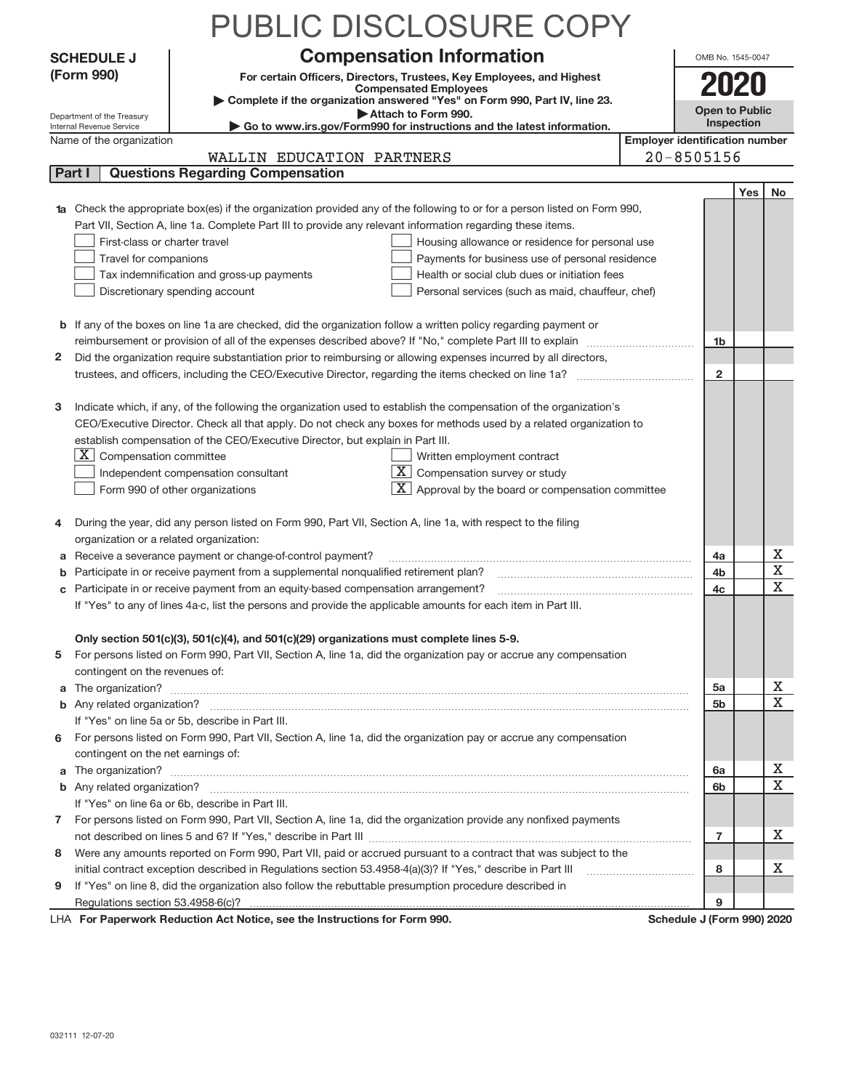| PUBLIC DISCLOSURE COPY |                                                                                                                                                                        |                                                                                                                                                                                                                                         |                                       |                            |     |                                                  |  |  |  |
|------------------------|------------------------------------------------------------------------------------------------------------------------------------------------------------------------|-----------------------------------------------------------------------------------------------------------------------------------------------------------------------------------------------------------------------------------------|---------------------------------------|----------------------------|-----|--------------------------------------------------|--|--|--|
|                        | <b>Compensation Information</b><br><b>SCHEDULE J</b>                                                                                                                   |                                                                                                                                                                                                                                         |                                       |                            |     |                                                  |  |  |  |
|                        | (Form 990)                                                                                                                                                             |                                                                                                                                                                                                                                         |                                       |                            |     |                                                  |  |  |  |
|                        |                                                                                                                                                                        | For certain Officers, Directors, Trustees, Key Employees, and Highest<br><b>Compensated Employees</b><br>Complete if the organization answered "Yes" on Form 990, Part IV, line 23.                                                     |                                       |                            |     |                                                  |  |  |  |
|                        | Department of the Treasury                                                                                                                                             | Attach to Form 990.                                                                                                                                                                                                                     |                                       | Open to Public             |     |                                                  |  |  |  |
|                        | Internal Revenue Service                                                                                                                                               | Go to www.irs.gov/Form990 for instructions and the latest information.                                                                                                                                                                  |                                       | Inspection                 |     |                                                  |  |  |  |
|                        | Name of the organization                                                                                                                                               |                                                                                                                                                                                                                                         | <b>Employer identification number</b> |                            |     |                                                  |  |  |  |
|                        |                                                                                                                                                                        | WALLIN EDUCATION PARTNERS                                                                                                                                                                                                               |                                       | $20 - 8505156$             |     |                                                  |  |  |  |
| Part I                 |                                                                                                                                                                        | <b>Questions Regarding Compensation</b>                                                                                                                                                                                                 |                                       |                            |     |                                                  |  |  |  |
|                        |                                                                                                                                                                        |                                                                                                                                                                                                                                         |                                       |                            | Yes | No.                                              |  |  |  |
|                        |                                                                                                                                                                        | 1a Check the appropriate box(es) if the organization provided any of the following to or for a person listed on Form 990,<br>Part VII, Section A, line 1a. Complete Part III to provide any relevant information regarding these items. |                                       |                            |     |                                                  |  |  |  |
|                        | First-class or charter travel                                                                                                                                          | Housing allowance or residence for personal use                                                                                                                                                                                         |                                       |                            |     |                                                  |  |  |  |
|                        |                                                                                                                                                                        |                                                                                                                                                                                                                                         |                                       |                            |     |                                                  |  |  |  |
|                        | Travel for companions<br>Payments for business use of personal residence<br>Tax indemnification and gross-up payments<br>Health or social club dues or initiation fees |                                                                                                                                                                                                                                         |                                       |                            |     |                                                  |  |  |  |
|                        |                                                                                                                                                                        | Discretionary spending account<br>Personal services (such as maid, chauffeur, chef)                                                                                                                                                     |                                       |                            |     |                                                  |  |  |  |
|                        |                                                                                                                                                                        |                                                                                                                                                                                                                                         |                                       |                            |     |                                                  |  |  |  |
|                        |                                                                                                                                                                        | <b>b</b> If any of the boxes on line 1a are checked, did the organization follow a written policy regarding payment or                                                                                                                  |                                       |                            |     |                                                  |  |  |  |
|                        |                                                                                                                                                                        | reimbursement or provision of all of the expenses described above? If "No," complete Part III to explain                                                                                                                                |                                       | 1b                         |     |                                                  |  |  |  |
| 2                      |                                                                                                                                                                        | Did the organization require substantiation prior to reimbursing or allowing expenses incurred by all directors,                                                                                                                        |                                       |                            |     |                                                  |  |  |  |
|                        |                                                                                                                                                                        |                                                                                                                                                                                                                                         |                                       |                            |     |                                                  |  |  |  |
|                        |                                                                                                                                                                        |                                                                                                                                                                                                                                         |                                       |                            |     |                                                  |  |  |  |
| з                      |                                                                                                                                                                        | Indicate which, if any, of the following the organization used to establish the compensation of the organization's                                                                                                                      |                                       |                            |     |                                                  |  |  |  |
|                        |                                                                                                                                                                        | CEO/Executive Director. Check all that apply. Do not check any boxes for methods used by a related organization to                                                                                                                      |                                       |                            |     |                                                  |  |  |  |
|                        |                                                                                                                                                                        | establish compensation of the CEO/Executive Director, but explain in Part III.                                                                                                                                                          |                                       |                            |     |                                                  |  |  |  |
|                        | $ \mathbf{X} $ Compensation committee                                                                                                                                  | Written employment contract                                                                                                                                                                                                             |                                       |                            |     |                                                  |  |  |  |
|                        |                                                                                                                                                                        | $\boxed{\textbf{X}}$ Compensation survey or study<br>Independent compensation consultant                                                                                                                                                |                                       |                            |     |                                                  |  |  |  |
|                        |                                                                                                                                                                        | $\lfloor x \rfloor$ Approval by the board or compensation committee<br>Form 990 of other organizations                                                                                                                                  |                                       |                            |     |                                                  |  |  |  |
|                        |                                                                                                                                                                        | During the year, did any person listed on Form 990, Part VII, Section A, line 1a, with respect to the filing                                                                                                                            |                                       |                            |     |                                                  |  |  |  |
|                        | organization or a related organization:                                                                                                                                |                                                                                                                                                                                                                                         |                                       |                            |     |                                                  |  |  |  |
| а                      |                                                                                                                                                                        | Receive a severance payment or change-of-control payment?                                                                                                                                                                               |                                       | 4a                         |     | X                                                |  |  |  |
| b                      |                                                                                                                                                                        | Participate in or receive payment from a supplemental nonqualified retirement plan?                                                                                                                                                     |                                       | 4b                         |     | $\overline{\text{X}}$<br>$\overline{\textbf{X}}$ |  |  |  |
|                        | c Participate in or receive payment from an equity-based compensation arrangement?                                                                                     |                                                                                                                                                                                                                                         |                                       |                            |     |                                                  |  |  |  |
|                        | If "Yes" to any of lines 4a-c, list the persons and provide the applicable amounts for each item in Part III.                                                          |                                                                                                                                                                                                                                         |                                       |                            |     |                                                  |  |  |  |
|                        |                                                                                                                                                                        |                                                                                                                                                                                                                                         |                                       |                            |     |                                                  |  |  |  |
|                        |                                                                                                                                                                        | Only section 501(c)(3), 501(c)(4), and 501(c)(29) organizations must complete lines 5-9.                                                                                                                                                |                                       |                            |     |                                                  |  |  |  |
| 5                      |                                                                                                                                                                        | For persons listed on Form 990, Part VII, Section A, line 1a, did the organization pay or accrue any compensation                                                                                                                       |                                       |                            |     |                                                  |  |  |  |
|                        | contingent on the revenues of:                                                                                                                                         |                                                                                                                                                                                                                                         |                                       |                            |     |                                                  |  |  |  |
| a                      |                                                                                                                                                                        |                                                                                                                                                                                                                                         |                                       | 5a                         |     | Х<br>$\mathbf X$                                 |  |  |  |
|                        |                                                                                                                                                                        |                                                                                                                                                                                                                                         |                                       | 5 <sub>b</sub>             |     |                                                  |  |  |  |
|                        |                                                                                                                                                                        | If "Yes" on line 5a or 5b, describe in Part III.                                                                                                                                                                                        |                                       |                            |     |                                                  |  |  |  |
| 6                      | contingent on the net earnings of:                                                                                                                                     | For persons listed on Form 990, Part VII, Section A, line 1a, did the organization pay or accrue any compensation                                                                                                                       |                                       |                            |     |                                                  |  |  |  |
|                        |                                                                                                                                                                        |                                                                                                                                                                                                                                         |                                       | 6а                         |     | х                                                |  |  |  |
|                        |                                                                                                                                                                        | a The organization? <b>Constitution</b> and the organization?                                                                                                                                                                           |                                       | 6b                         |     | $\mathbf X$                                      |  |  |  |
|                        |                                                                                                                                                                        | If "Yes" on line 6a or 6b, describe in Part III.                                                                                                                                                                                        |                                       |                            |     |                                                  |  |  |  |
| 7                      |                                                                                                                                                                        | For persons listed on Form 990, Part VII, Section A, line 1a, did the organization provide any nonfixed payments                                                                                                                        |                                       |                            |     |                                                  |  |  |  |
|                        |                                                                                                                                                                        |                                                                                                                                                                                                                                         |                                       | $\overline{7}$             |     | X                                                |  |  |  |
| 8                      |                                                                                                                                                                        | Were any amounts reported on Form 990, Part VII, paid or accrued pursuant to a contract that was subject to the                                                                                                                         |                                       |                            |     |                                                  |  |  |  |
|                        |                                                                                                                                                                        | initial contract exception described in Regulations section 53.4958-4(a)(3)? If "Yes," describe in Part III                                                                                                                             |                                       | 8                          |     | х                                                |  |  |  |
| 9                      |                                                                                                                                                                        | If "Yes" on line 8, did the organization also follow the rebuttable presumption procedure described in                                                                                                                                  |                                       |                            |     |                                                  |  |  |  |
|                        |                                                                                                                                                                        |                                                                                                                                                                                                                                         |                                       | 9                          |     |                                                  |  |  |  |
|                        |                                                                                                                                                                        | LHA For Paperwork Reduction Act Notice, see the Instructions for Form 990.                                                                                                                                                              |                                       | Schedule J (Form 990) 2020 |     |                                                  |  |  |  |

032111 12‐07‐20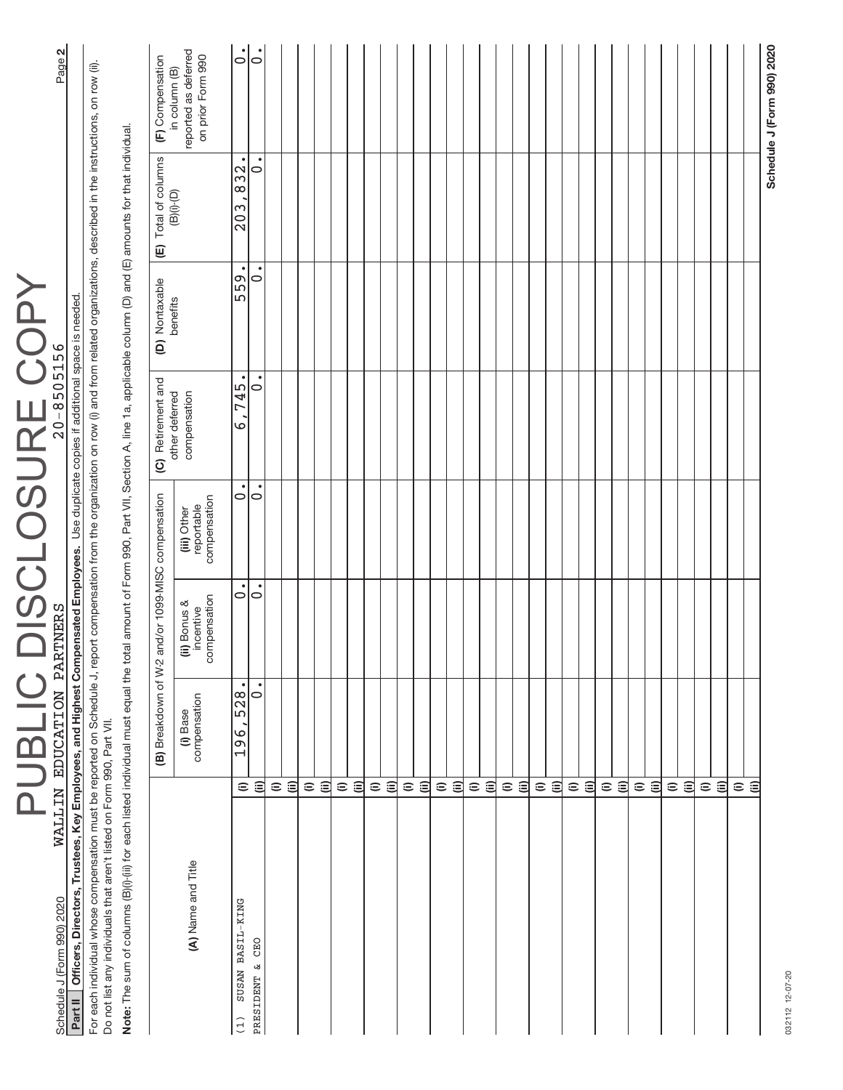| Schedule J (Form 990) 2020                                                                                                                                                                                                                                                       |                    | WALLIN EDUCATION         | <b>PARTNERS</b>                           |                                           | $20 - 8505156$                 |                  |                                    | Page 2                                                     |
|----------------------------------------------------------------------------------------------------------------------------------------------------------------------------------------------------------------------------------------------------------------------------------|--------------------|--------------------------|-------------------------------------------|-------------------------------------------|--------------------------------|------------------|------------------------------------|------------------------------------------------------------|
| Officers, Directors, Trustees, Key Employees, and Highest Compensated Employees. Use duplicate copies if additional space is needed<br>Partll                                                                                                                                    |                    |                          |                                           |                                           |                                |                  |                                    |                                                            |
| For each individual whose compensation must be reported on Schedule J, report compensation from the organization on row (i) and from related organizations, described in the instructions, on row (ii).<br>Do not list any individuals that aren't listed on Form 990, Part VII. |                    |                          |                                           |                                           |                                |                  |                                    |                                                            |
| Note: The sum of columns (B)(i)-(iii) for each listed individual must equal the total amount of Form 990, Part VII, Section A, line 1a, applicable column (D) and (E) amounts for that individual                                                                                |                    |                          |                                           |                                           |                                |                  |                                    |                                                            |
|                                                                                                                                                                                                                                                                                  |                    | (B) Breakdown of W-2     |                                           | and/or 1099-MISC compensation             | (C) Retirement and             | (D) Nontaxable   | (E) Total of columns               | (F) Compensation                                           |
| (A) Name and Title                                                                                                                                                                                                                                                               |                    | compensation<br>(i) Base | compensation<br>(ii) Bonus &<br>incentive | compensation<br>reportable<br>(iii) Other | other deferred<br>compensation | benefits         | $(B)(i)-(D)$                       | reported as deferred<br>on prior Form 990<br>in column (B) |
| SUSAN BASIL-KING<br>(1)                                                                                                                                                                                                                                                          | $\widehat{=}$      | $\bullet$<br>528<br>196  | $\circ$                                   | 0                                         | $\bullet$<br>45<br>r<br>ما     | $\bullet$<br>559 | $\bullet$<br>32<br>$\infty$<br>203 | $\dot{\circ}$                                              |
| PRESIDENT & CEO                                                                                                                                                                                                                                                                  | ⊜                  | $\circ$                  | $\circ$                                   | $\dot{\circ}$                             | $\bullet$<br>$\circ$           | 0                | $\circ$                            | $\bullet$<br>$\circ$                                       |
|                                                                                                                                                                                                                                                                                  | $\widehat{=}$      |                          |                                           |                                           |                                |                  |                                    |                                                            |
|                                                                                                                                                                                                                                                                                  | ⊜                  |                          |                                           |                                           |                                |                  |                                    |                                                            |
|                                                                                                                                                                                                                                                                                  | $\widehat{=}$      |                          |                                           |                                           |                                |                  |                                    |                                                            |
|                                                                                                                                                                                                                                                                                  | $\widehat{=}$      |                          |                                           |                                           |                                |                  |                                    |                                                            |
|                                                                                                                                                                                                                                                                                  | $\widehat{=}$      |                          |                                           |                                           |                                |                  |                                    |                                                            |
|                                                                                                                                                                                                                                                                                  | 闫                  |                          |                                           |                                           |                                |                  |                                    |                                                            |
|                                                                                                                                                                                                                                                                                  | $\widehat{=}$<br>闫 |                          |                                           |                                           |                                |                  |                                    |                                                            |
|                                                                                                                                                                                                                                                                                  | $\widehat{=}$      |                          |                                           |                                           |                                |                  |                                    |                                                            |
|                                                                                                                                                                                                                                                                                  | $\widehat{=}$      |                          |                                           |                                           |                                |                  |                                    |                                                            |
|                                                                                                                                                                                                                                                                                  |                    |                          |                                           |                                           |                                |                  |                                    |                                                            |
|                                                                                                                                                                                                                                                                                  | ΞÊ                 |                          |                                           |                                           |                                |                  |                                    |                                                            |
|                                                                                                                                                                                                                                                                                  | $\widehat{=}$      |                          |                                           |                                           |                                |                  |                                    |                                                            |
|                                                                                                                                                                                                                                                                                  | 闫                  |                          |                                           |                                           |                                |                  |                                    |                                                            |
|                                                                                                                                                                                                                                                                                  | $\widehat{=}$      |                          |                                           |                                           |                                |                  |                                    |                                                            |
|                                                                                                                                                                                                                                                                                  | 闫                  |                          |                                           |                                           |                                |                  |                                    |                                                            |
|                                                                                                                                                                                                                                                                                  | $\widehat{=}$      |                          |                                           |                                           |                                |                  |                                    |                                                            |
|                                                                                                                                                                                                                                                                                  | 闫                  |                          |                                           |                                           |                                |                  |                                    |                                                            |
|                                                                                                                                                                                                                                                                                  | $\widehat{=}$      |                          |                                           |                                           |                                |                  |                                    |                                                            |
|                                                                                                                                                                                                                                                                                  | $\widehat{\equiv}$ |                          |                                           |                                           |                                |                  |                                    |                                                            |
|                                                                                                                                                                                                                                                                                  | $\widehat{=}$      |                          |                                           |                                           |                                |                  |                                    |                                                            |
|                                                                                                                                                                                                                                                                                  | $\widehat{=}$      |                          |                                           |                                           |                                |                  |                                    |                                                            |
|                                                                                                                                                                                                                                                                                  | $\widehat{=}$      |                          |                                           |                                           |                                |                  |                                    |                                                            |
|                                                                                                                                                                                                                                                                                  | 闫                  |                          |                                           |                                           |                                |                  |                                    |                                                            |
|                                                                                                                                                                                                                                                                                  | $\widehat{=}$      |                          |                                           |                                           |                                |                  |                                    |                                                            |
|                                                                                                                                                                                                                                                                                  | 闫                  |                          |                                           |                                           |                                |                  |                                    |                                                            |
|                                                                                                                                                                                                                                                                                  | $\widehat{=}$      |                          |                                           |                                           |                                |                  |                                    |                                                            |
|                                                                                                                                                                                                                                                                                  | 闾                  |                          |                                           |                                           |                                |                  |                                    |                                                            |
|                                                                                                                                                                                                                                                                                  | $\widehat{=}$      |                          |                                           |                                           |                                |                  |                                    |                                                            |
|                                                                                                                                                                                                                                                                                  | $\widehat{\equiv}$ |                          |                                           |                                           |                                |                  |                                    |                                                            |
|                                                                                                                                                                                                                                                                                  |                    |                          |                                           |                                           |                                |                  |                                    | Schedule J (Form 990) 2020                                 |

PUBLIC DISCLOSURE COPY

PUBLIC DISCLOSURE COPY

032112 12-07-20 032112 12‐07‐20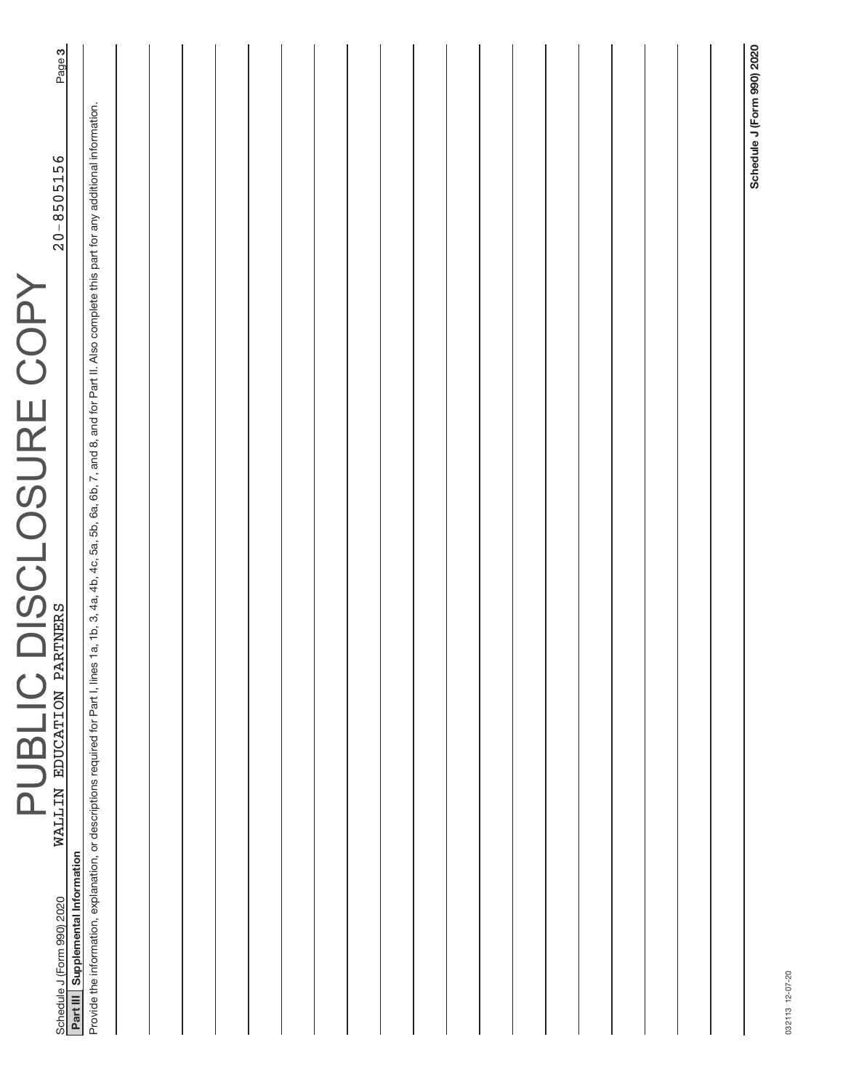| Page 3                                                                 |                                                                                                                                                                                                                                                    |  |  |  |  |  |  |  |  |                            |
|------------------------------------------------------------------------|----------------------------------------------------------------------------------------------------------------------------------------------------------------------------------------------------------------------------------------------------|--|--|--|--|--|--|--|--|----------------------------|
| $20 - 8505156$<br>PUBLIC DISCLOSURE COPY<br>Schedule J (Form 990) 2020 | 1a, 1b, 3, 4a, 4b, 4c, 5a, 5b, 6a, 6b, 7, and 8, and for Part II. Also complete this part for any additional information.<br>Provide the information, explanation, or descriptions required for Part I, lines<br>Part III Supplemental Information |  |  |  |  |  |  |  |  | Schedule J (Form 990) 2020 |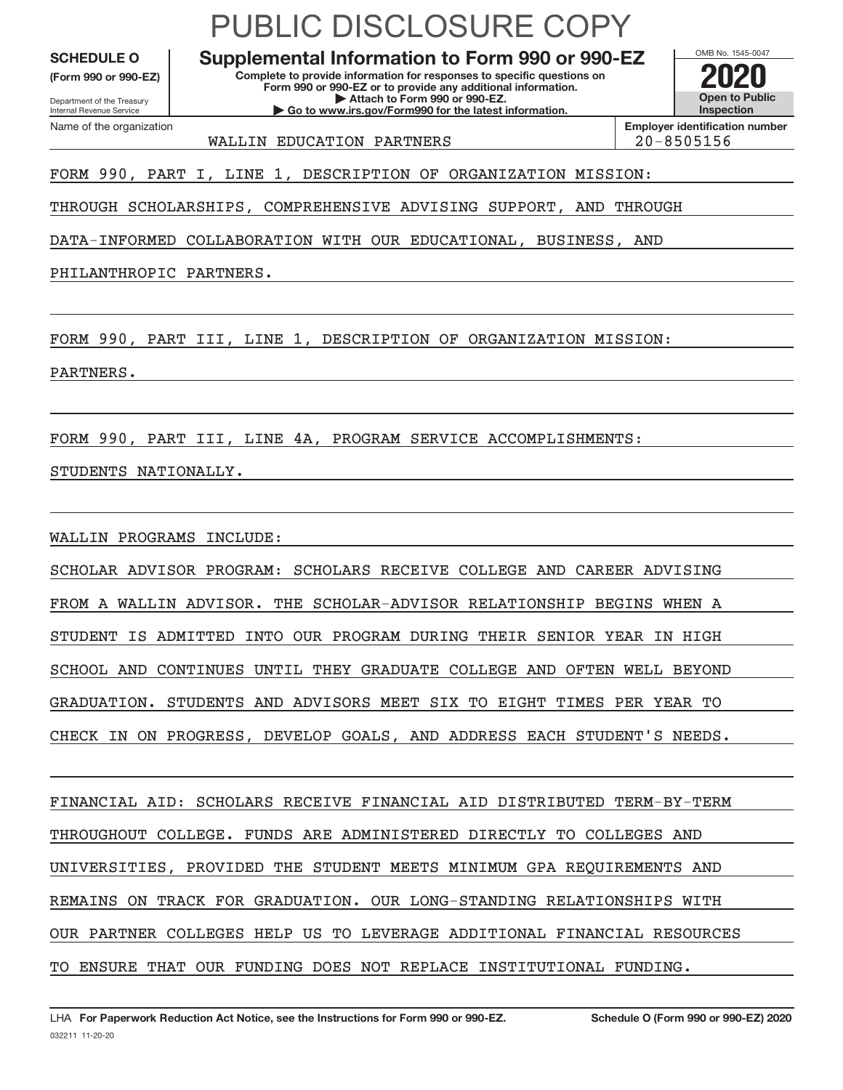**(Form 990 or 990‐EZ)**

Department of the Treasury Internal Revenue Service Name of the organization

# PUBLIC DISCLOSURE COPY

**Complete to provide information for responses to specific questions on Form 990 or 990‐EZ or to provide any additional information. | Attach to Form 990 or 990‐EZ. | Go to www.irs.gov/Form990 for the latest information. SCHEDULE O Supplemental Information to Form 990 or 990‐EZ 2020** OMB No. 1545‐0047 **Open to Public Inspection**

WALLIN EDUCATION PARTNERS 20–8505156

**Employer identification number**

FORM 990, PART I, LINE 1, DESCRIPTION OF ORGANIZATION MISSION:

THROUGH SCHOLARSHIPS, COMPREHENSIVE ADVISING SUPPORT, AND THROUGH

DATA‐INFORMED COLLABORATION WITH OUR EDUCATIONAL, BUSINESS, AND

PHILANTHROPIC PARTNERS.

FORM 990, PART III, LINE 1, DESCRIPTION OF ORGANIZATION MISSION:

PARTNERS.

FORM 990, PART III, LINE 4A, PROGRAM SERVICE ACCOMPLISHMENTS:

STUDENTS NATIONALLY.

WALLIN PROGRAMS INCLUDE:

SCHOLAR ADVISOR PROGRAM: SCHOLARS RECEIVE COLLEGE AND CAREER ADVISING FROM A WALLIN ADVISOR. THE SCHOLAR‐ADVISOR RELATIONSHIP BEGINS WHEN A STUDENT IS ADMITTED INTO OUR PROGRAM DURING THEIR SENIOR YEAR IN HIGH SCHOOL AND CONTINUES UNTIL THEY GRADUATE COLLEGE AND OFTEN WELL BEYOND GRADUATION. STUDENTS AND ADVISORS MEET SIX TO EIGHT TIMES PER YEAR TO CHECK IN ON PROGRESS, DEVELOP GOALS, AND ADDRESS EACH STUDENT'S NEEDS.

FINANCIAL AID: SCHOLARS RECEIVE FINANCIAL AID DISTRIBUTED TERM‐BY‐TERM THROUGHOUT COLLEGE. FUNDS ARE ADMINISTERED DIRECTLY TO COLLEGES AND UNIVERSITIES, PROVIDED THE STUDENT MEETS MINIMUM GPA REQUIREMENTS AND REMAINS ON TRACK FOR GRADUATION. OUR LONG‐STANDING RELATIONSHIPS WITH OUR PARTNER COLLEGES HELP US TO LEVERAGE ADDITIONAL FINANCIAL RESOURCES TO ENSURE THAT OUR FUNDING DOES NOT REPLACE INSTITUTIONAL FUNDING.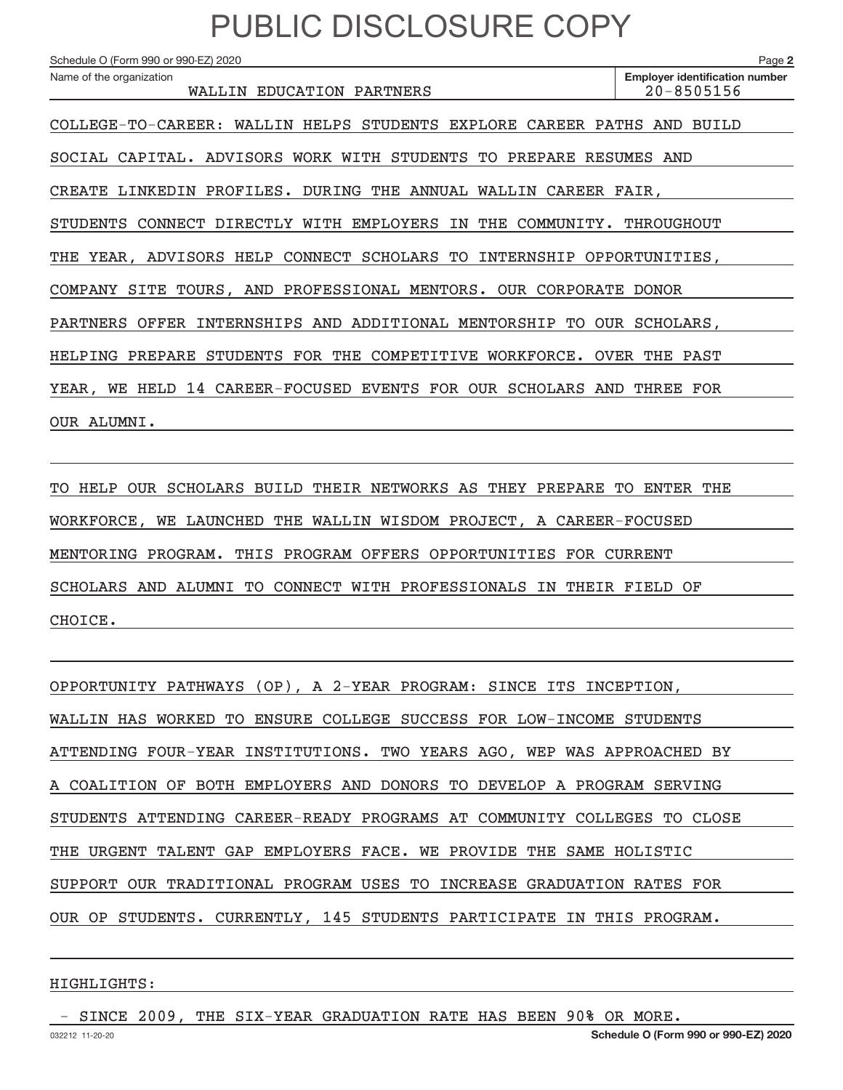Schedule O (Form 990 or 990-EZ) 2020

**Employer identification number**

| Name of the organization<br>WALLIN EDUCATION PARTNERS                   | <b>Employer identification numi</b><br>$20 - 8505156$ |  |  |  |  |  |  |
|-------------------------------------------------------------------------|-------------------------------------------------------|--|--|--|--|--|--|
| COLLEGE-TO-CAREER: WALLIN HELPS STUDENTS EXPLORE CAREER PATHS AND BUILD |                                                       |  |  |  |  |  |  |
| SOCIAL CAPITAL. ADVISORS WORK WITH STUDENTS TO PREPARE RESUMES AND      |                                                       |  |  |  |  |  |  |
| CREATE LINKEDIN PROFILES. DURING THE ANNUAL WALLIN CAREER FAIR,         |                                                       |  |  |  |  |  |  |
| STUDENTS CONNECT DIRECTLY WITH EMPLOYERS IN THE COMMUNITY. THROUGHOUT   |                                                       |  |  |  |  |  |  |
| THE YEAR, ADVISORS HELP CONNECT SCHOLARS TO INTERNSHIP OPPORTUNITIES,   |                                                       |  |  |  |  |  |  |
| COMPANY SITE TOURS, AND PROFESSIONAL MENTORS. OUR CORPORATE DONOR       |                                                       |  |  |  |  |  |  |
| PARTNERS OFFER INTERNSHIPS AND ADDITIONAL MENTORSHIP TO OUR SCHOLARS,   |                                                       |  |  |  |  |  |  |
| HELPING PREPARE STUDENTS FOR THE COMPETITIVE WORKFORCE. OVER THE PAST   |                                                       |  |  |  |  |  |  |
| YEAR, WE HELD 14 CAREER-FOCUSED EVENTS FOR OUR SCHOLARS AND THREE FOR   |                                                       |  |  |  |  |  |  |
| OUR ALUMNI.                                                             |                                                       |  |  |  |  |  |  |
|                                                                         |                                                       |  |  |  |  |  |  |

TO HELP OUR SCHOLARS BUILD THEIR NETWORKS AS THEY PREPARE TO ENTER THE WORKFORCE, WE LAUNCHED THE WALLIN WISDOM PROJECT, A CAREER‐FOCUSED MENTORING PROGRAM. THIS PROGRAM OFFERS OPPORTUNITIES FOR CURRENT SCHOLARS AND ALUMNI TO CONNECT WITH PROFESSIONALS IN THEIR FIELD OF CHOICE.

OPPORTUNITY PATHWAYS (OP), A 2‐YEAR PROGRAM: SINCE ITS INCEPTION, WALLIN HAS WORKED TO ENSURE COLLEGE SUCCESS FOR LOW‐INCOME STUDENTS ATTENDING FOUR‐YEAR INSTITUTIONS. TWO YEARS AGO, WEP WAS APPROACHED BY A COALITION OF BOTH EMPLOYERS AND DONORS TO DEVELOP A PROGRAM SERVING STUDENTS ATTENDING CAREER‐READY PROGRAMS AT COMMUNITY COLLEGES TO CLOSE THE URGENT TALENT GAP EMPLOYERS FACE. WE PROVIDE THE SAME HOLISTIC SUPPORT OUR TRADITIONAL PROGRAM USES TO INCREASE GRADUATION RATES FOR OUR OP STUDENTS. CURRENTLY, 145 STUDENTS PARTICIPATE IN THIS PROGRAM.

#### HIGHLIGHTS:

‐ SINCE 2009, THE SIX‐YEAR GRADUATION RATE HAS BEEN 90% OR MORE.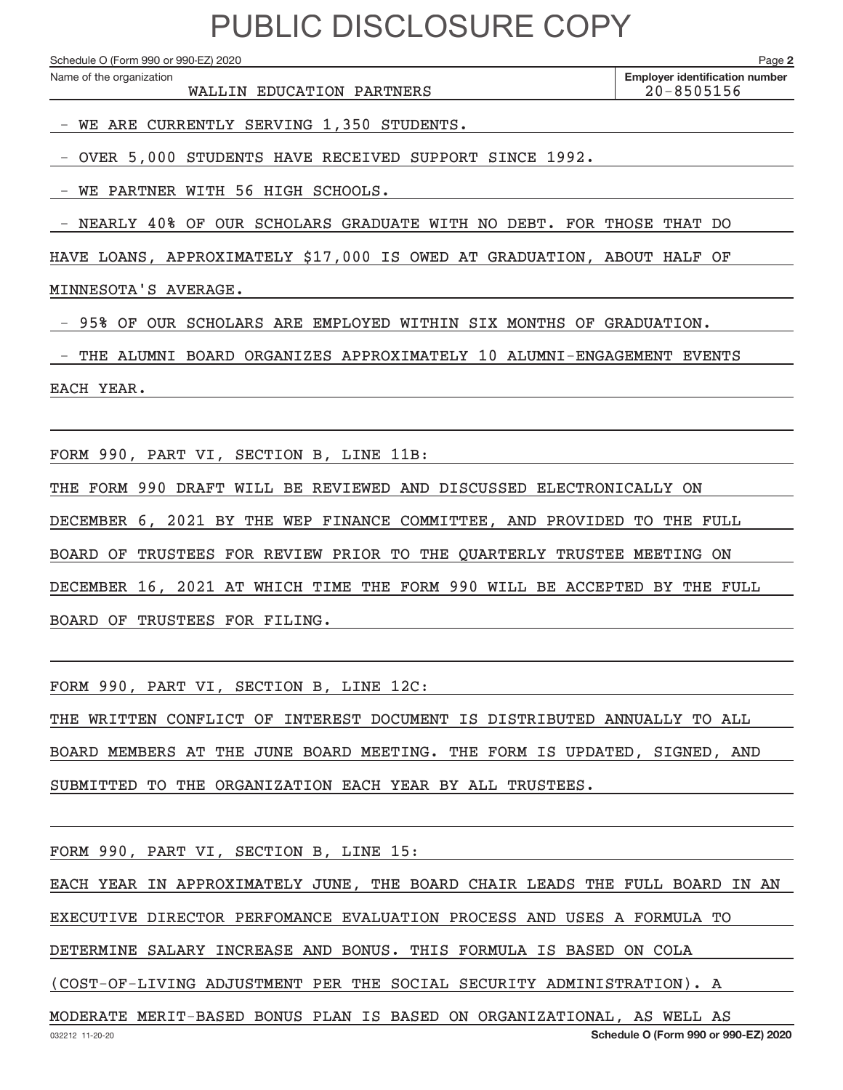Schedule O (Form 990 or 990-EZ) 2020

Name of the organization

**2**

**Employer identification number** WALLIN EDUCATION PARTNERS 20–8505156

‐ WE ARE CURRENTLY SERVING 1,350 STUDENTS.

‐ OVER 5,000 STUDENTS HAVE RECEIVED SUPPORT SINCE 1992.

‐ WE PARTNER WITH 56 HIGH SCHOOLS.

‐ NEARLY 40% OF OUR SCHOLARS GRADUATE WITH NO DEBT. FOR THOSE THAT DO

HAVE LOANS, APPROXIMATELY \$17,000 IS OWED AT GRADUATION, ABOUT HALF OF

MINNESOTA'S AVERAGE.

‐ 95% OF OUR SCHOLARS ARE EMPLOYED WITHIN SIX MONTHS OF GRADUATION.

‐ THE ALUMNI BOARD ORGANIZES APPROXIMATELY 10 ALUMNI‐ENGAGEMENT EVENTS

EACH YEAR.

FORM 990, PART VI, SECTION B, LINE 11B:

THE FORM 990 DRAFT WILL BE REVIEWED AND DISCUSSED ELECTRONICALLY ON

DECEMBER 6, 2021 BY THE WEP FINANCE COMMITTEE, AND PROVIDED TO THE FULL

BOARD OF TRUSTEES FOR REVIEW PRIOR TO THE QUARTERLY TRUSTEE MEETING ON

DECEMBER 16, 2021 AT WHICH TIME THE FORM 990 WILL BE ACCEPTED BY THE FULL

BOARD OF TRUSTEES FOR FILING.

FORM 990, PART VI, SECTION B, LINE 12C:

THE WRITTEN CONFLICT OF INTEREST DOCUMENT IS DISTRIBUTED ANNUALLY TO ALL BOARD MEMBERS AT THE JUNE BOARD MEETING. THE FORM IS UPDATED, SIGNED, AND SUBMITTED TO THE ORGANIZATION EACH YEAR BY ALL TRUSTEES.

FORM 990, PART VI, SECTION B, LINE 15:

EACH YEAR IN APPROXIMATELY JUNE, THE BOARD CHAIR LEADS THE FULL BOARD IN AN

EXECUTIVE DIRECTOR PERFOMANCE EVALUATION PROCESS AND USES A FORMULA TO

DETERMINE SALARY INCREASE AND BONUS. THIS FORMULA IS BASED ON COLA

(COST‐OF‐LIVING ADJUSTMENT PER THE SOCIAL SECURITY ADMINISTRATION). A

MODERATE MERIT‐BASED BONUS PLAN IS BASED ON ORGANIZATIONAL, AS WELL AS